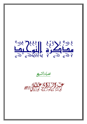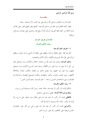بسْم اللَّهِ الرَّحْمَنِ الرَّحِيمِ

مقدمسة

الحمد لله رب العالمين، وصلى الله وسلم على نبينا محمد وآله وصحبه. وبعد: فهذه كلمة مختصرة في جملة من مسائل التوحيد، كتبتها وفق المنهج المقرر على طلاب السنة الثالثة من كلية اللغة العربية، وأسأل الله أن ينفع هما، وتشتمل على مقدمة، ومسائل، و خاتمة.

> مقدمة في تعريف التوحيد وبيان الحكم وأقسامه

> > ١– تعريف علم التوحيد:

التَّوحيد لغة: جعل المتعدَّد واحدًا، ويُطلق على اعتقاد أن الشيء واحد متفرد، ويطلق شرعًا على تفرَّد الله بالربوبية والألهية، وكال الأسماء والصفات.

**وعلم التوحيد** يبحث عما يجب لله من صفات الجلال والكمال، وما يستحيل عليه من كل ما لا يليق به، وما يجوز من الأفعال، وعما يجب للرسل والأنبياء، وما يستحيل عليهم، وما يجوز في حقهم، وما يتصل بذلك من الإيمان بالكتب المترلة، والملائكة الأطهار، ويوم البعث والجزاء، والقدر والقضاء، وفائدته تصحيح العقيدة، والسلامة في العواقب، ونيل السعادة في الدارين، واسمه: " علم التوحيد، وعلم أصول الدين ".

٢– بيان الحكم وأقسامه:

الحكم إثبات أمر لأمر، أو نفيه عنه. مثاله: محمد رسول الله، ومسيلمة ليس برسول. وينقسم إلى ثلاثة أقسام: عقلي، وشرعي، وعادي.

**فالعقلبي** إثبات أمر لأمر، أو نفيه عنه بناء على تفكير دون توقف على شرع، ولا تحربة أو تكرار. مثاله: اللّه موجود، لا إله إلا اللّه.

**والشرعي** إثبات أمر لأمر، أو نفيه عنه بناء على وحي من الله، مثل: الصلوات الخمس فريضة على المكلفين، ولا يجوز شرب الخمر.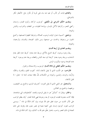**والعادي** إثبات أمر لأمر، أو نفيه عنه بناء على تجربة أو تكرار مثل: الأمطار تكثر بالشو اطيئ.

وينقسم الحكم الشرعي إلى تكليفي: كوجوب الزكاة، وتحريم القمار، واستنان ركعتي الفجر، وكراهية الأكل باليسار، وإباحة الطيبات من الطعام، والشراب، واللباس ونحوها.

ووضعي: كسببية دحول الوقت لوجوب الصلاة، وشرطية الطهارة لصحتها، وكمنع الجنون من وجوها، والحدث من صحتها، ومن ذلك: الصحة، والفساد، والرَّحصة، و العزيمة.

وينقسم العادي إلى أربعة أقسام:

ربط وجود بوجود، كربط الشبع بالأكل، وربط عدم بعدم: كربط عدم المطر بعدم السَّحاب، وربط وجود بعدم: كربط البرد بعد اللباس والغطاء، وربط عدم بوجود: كربط عدم الصحة بوجود ميكروب المرض.

وينقسم الحكم العقلبي إلى ثلاثة أقسام: الوجوب، والاستحالة، والجواز.

فالواجب: هو الثَّابت الذي لا يقبل الانتفاء لذاته: كثبوت العلم، والقدرة، والحجَّة، والرِّضا، والوجه، واليدين، ونحوها من الكمالات للهٌ، فإلها صفات ثابتة له– تعالى– لا تقبل الانتفاء.

والمستحيل: هو المنفي الذي لا يقبل الثبوت: كشريك الباري، والجمع بين النقيضين، ورفعهما، والجمع بين الضّدّين.

والجائز : ويقال له: "المكن" هو ما يقبل الوجود والعدم: كالمخلوقات التي نشاهدها، فإلها كانت معدومة فقبلت الوجود، ثم بعد وجودها فهي قابلة للعدم. "وقد يطلق الواجب على الأمر الثابت من حيث تعلق علم الله بثبوته، وإن كان ممكنًا في ذاته ". ويسمى الواجب لغيره، كوجود إنسان على كيفية معينة في عصر معين، فإن وقوعه على تلك الصفة في ذلك العصر واجب، باعتبار تعلَّق علم الله به كذلك، وإن كان ممكنا في ذاته.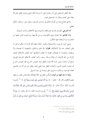وقد يُطلق المستحيل على أمر معدوم يجوز أن يوجد لكنه امتنع وجوده لتعلق علم الله ببقائه على العدم، ويقال له: المستحيل لغيره.

والذي يُحتاج إليه من أقسام الحكم في مباحث التوحيد، وعليه تدور مسائله، الحكم العقلي.

أما الشرعي: فيُبحث عنه في علم الفقه، وأصوله، وفي الأخلاق، وآداب السلوك.

وأ**ما العادي**: فله اتصال وثيق بالكونيات، وسنن الله فيها، وما يُجريه البشر عليها من التجارب، وما يُستفاد منها بالتَكرار .

ومعنى كون الوحوب والاستحالة والجواز حكما عقليا أفما لازمة لما حكم له بما، لا تقبل التخلف عنه ولا الانفكاك، **فقولنا**: الله عليم وحكيم، والنقيضان لا يجتمعان ولا يرتفعان، والضدان لا يجتمعان، قضايا لا تختلف أحكامها كما تختلف الأحكام العادية إكرامًا من الله لأوليائه، أو إثباتًا لرسالة رسله، وكما تختلف الأحكام الشرعية الفرعية بنسخ أو استثناء، وليس المراد ألها تثبت بالعقل دون نصوص الشرع، فإن نصوص الشرع قد جاءت بأصول الدين، وكشفت للعقل عما خفى عليه، وقصر عن إدراكه من تفاصيل عقائد التوحيد، وسلكت به طريق الحق، وهدته إلى سواء السبيل.

ولولًا ما جاء فيها من البيان لارتَكَسَ العقل في حمأة الضلالة، وقام للناس العذر، وسقطِ عنهم التكليف، قال الله – تعالى–: ﴿ وَمَا كُنَّا مُعَذِّبينَ حَتَّى نَبْعَتَ رَسُولاً ۞ ﴾ (''. [سورة الإسراء، الآية: ١٥]. وقال: ﴿ رُّسُلاً مُّبَشِّرِينَ وَمُنذِرِينَ لِءَلَّا يَكُونَ لِلنَّاسِ عَلَى ٱللَّهِ حُجَّةٌ بَعْدَ ٱلرُّسُلَّ وَكَانَ ٱللَّهُ عَزِيزًا حَكِيمًا (۞ ﴾ (٢). [سورة النساء، الآية: ١٦٥]. وقال: ﴿ وَلَوٓ أَنَّآ أَهْلَكْنَهُم بِعَذَابِ مِّن قَبْلِهِۦ لَقَالُواْ رَبَّنَا لَوْلَآ أَرْسَلْتَ إِلَيْنَا رَسُولاً فَنَتَّبعَ ءَايَنتِكَ مِن قَبْل أَن نَّذِلَّ

- (١) سورة الإسراء آية : ١٥.
- (٢) سورة النساء آية: ١٦٥.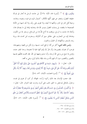وَغَنْزَى ﴾ ["). [سورة طه، الآية: ١٣٤]. بل حاءت الرسل بما تُحار في إدراك حقيقته العقول، وتعجز عن فهم كُنْههِ الأفكار: كسؤال الميت في قبره، ونعيمه، وعذابه، وحياة أهَل النار في النار، ولكنها لا تحيله، ولا تقوى على ردّه، ولا تجد لديها من الأدلة الصحيحة ما ينقضه، بل وصلت العقول بتيسير الله لها، وهدايته إياها إلى ما يصدق هذا، وأمثاله مما جاءت به الرسل، ووقفت بما أتاح اللهُّ لها من الوسائل، وسخر لها من الكون، وهداها إليه من التجارب على حقائق سبق أن أنكرهّا، وسخرت ممن تحدث ها، وربما رمته بالسحر، والكهانة، أو الخيال، والجنون.

وليس ذلك لشيء أكثر من ألها لم تقع تحت حسها، ولم تكن من إلفها، ومعهودها، فوجب أن تعترف بقصورها، وأن تقرّ بأن لِإدراكها غاية لا تعدوها، وحدا تقف عنده، وتؤمن بما صح من وحي الله لرسله، وأن تسلم وجهها إلى الله. فإن الهمت فلتتَّهم نفسها بالقصور والتَقصير، دون أن تتَهم اللّه ورسله، فإلها بذلك أولى، وهي به أقعد.

قال– تعالى–: ﴿ سَنُرِيهِمْ ءَايَـٰتِنَا فِي ٱلْأَفَاقِ وَفِيٓ أَنفُسِهِمْ حَتَّىٰ يَتَبَيَّنَ لَهُمْ أَنَّهُ ٱلْحَقُّ أَوَلَمْ يَكْفِ بِرَبِّكَ أَنَّهُۥ عَلَىٰ كُلّ شَيْءٍ شَهِيدٌ ۞ أَلآ إِنَّهُمْ فِي مِرْيَةٍ مِّن لِّقَآءِ رَبّهِمْ أَلَآ إِنَّهُۥ بِكُلّ شَيْءِ مُحِيطٌ ﴾ ﴾ <sup>(٢)</sup>. [سورة فصلت، الآيتان: ٥٣، ٥٤ ].

فإن حجب الإنسان بعد ذلك ركوبه لرأسه، لجهالة، أو كبر، أو هوى في نفسه، وحاول بالباطل ليدحض به الحق، غلب على أمره، ودارت عليه الدوائر. قال– تعالى–: ﴿ إِنَّ ٱلَّذِينَ كُجَدِلُونَ فِيٓ ءَايَـٰتِ ٱللَّهِ بِغَيۡرِ سُلۡطَـٰن أَتَـٰهُمۡ ۚ إِن فِي صُدُورهِمۡ إِلَّا كِبۡرٌ مَّا هُم بِبَالِغِيهِ ۚ فَٱسۡتَعِذۡ بِٱللَّهِ ۗ إِنَّهُۥ هُوَ ٱلسَّمِيعُ ٱلۡبَصِيرُ ۞ لَخَلْقُ ٱلسَّمَـٰوَاتِ وَٱلۡأَرۡضِ أَكۡبَرُ مِنۡ خَلْقِ ٱلنَّاسِ وَلَـٰكِنَّ أَكۡـُثَرَ ٱلنَّاسِ لَا يَعۡلَمُونَ ۞ ﴾ ("ْ). [سورة غافر، الآيتان: ٥٦، ٥٧].

- (١) سورة طه آية : ١٣٤ .
- .  $0\xi \delta \Upsilon$ : فصلت  $\Upsilon$
- .  $\circ \vee \circ 1$ : خافر :  $\circ \vee \vee \circ$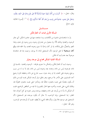وقال– تعالى–: ﴿ أَفَرَءَيْتَ مَن ٱخَّذَ إِلَيْهَهُۥ هَوَلهُ وَأَضَلَّهُ ٱللَّهُ عَلَىٰ عِلْمٍ وَخَتَمَ عَلَىٰ سَمْعِهِۦ وَقَلْبِهِۦ وَجَعَلَ عَلَىٰ بَصَرِهِۦ غِشَـٰوَةً فَمَن يَهْدِيهِ مِنْ بَعْدِ ٱللَّهِ ۚ أَفَلَا تَذَكَّرُونَ ۞ ﴾ `` . [سورة الجاثية، الآية: ٢٣].

# المسألة الأولى إثبات أن العالم ممكن

مســائــا

إنَ ما شاهدناه في ماضينا من الكائنات، وما نشاهده منها في حاضرنا ممكن: أي جائز الوجود، والعدم؛ وذلك لأنَّا نراه يتحول من عدم إلى وجود، ومن وجود إلى عدم، وهذا التغير والتحوُّل دليل إمكانه، إذ لو كان واجبًا لما سبق وجوده العدم، ولما لحقه فناء، ولو كان مستحيلا لما قبل الوجود لأن المستحيل لذاته لا يوجد، وحيث إننا قد شاهدناه موجودًا بعد عدم ثبت أنه ممكن.

## المسألة الثانية الممكن محتاج إلى موجد ومؤثر

وحيث ثبت أن العالم ممكن، والممكن ما استوى طرفاه – الوجود والعدم– بالنسبة إلى ذاته، فوجوده ليس من ذاته، وعدمه بعد وجوده ليس من ذاته، إذن لا بد له من سبب يرجح وجوده على العدم، إذ لو وحد بدون سبب حارج عن ذاته وحقيقته للزم ترجيح أحد المتساويين على الآخر بلا مرحح، وهو باطل؛ ولو أوجد الممكن نفسه للزم من ذلك أن يكون متقدمًا على نفسه باعتباره حالقًا لها، ومتأخرا على نفسه باعتباره مخلوقًا لها، وتقدَّم الشيء على نفسه، وتأخره عنها محال بالضرورة لما فيه من التناقض الواضح، فثبت أن الممكن لا بدَّ له من مُوحِد غير ذاته وحقيقته، يوحِده ويدبر شئونه في كل أحواله، هذا المغاير: إما المستحيل، وإما الواحب، لا حائزٍ أن يكون موحده هو المستحيل؛ لأن المستحيل غير موجود فلا يؤثر، ولأن فاقد الشيء لا يُعطيه. فثبت أن مُوجده هو الواجب، وهو الله- تعالى-.

(١) سورة الجاثية آية : ٢٣ .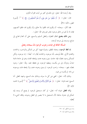وقد أرشدنا الله– تعالى– إلى ذلك في كثير من آيات القرآن الكريم.

قال– تعالى–: ﴿ أَمْ خُلُقُواْ مِنْ غَيْرِ شَيْءٍ أَمْ هُمُ ٱلْخَـٰلِقُونَ ۞ ﴾ ''. [سورة الطور، الآية: ٣٥].

فقد أنكر– سبحانه– أن يكونوا قد خُلقوا بلا خالق، وأن يكونوا قد خَلقوا أنفسهم، فإذن لا بدَّ لهم من خالق موجود مغاير لهم وهو الله– تعالى–.

ومن ذلك يتضح اتفاق الفطرة، والعقل السليم والسمع، على أن العالم محتاج إلى صانع، ومستند إلى موجد أوجده.

المسألة الثالثة في إثبات وجوب الوجود لله سبحانه وتعالى

إن لفظ الوجود، ومعناه المطلق، يشترك فيهما كل من الممكن والواحب، والحادث والقديم الأزلي. فاللهْ يُوصف بأنه موجود، والحادث يُقال له– أيضًا–: إنه موجود، ولكن للممكن وجود يخصُّه، فإنه حادث سبق وجوده عدم، ويلحقه الفناء، وهو في حاجة دائمة ابتداءُ، ودوامًا، إلى من يكسبه، ويعطيه الوجود، بل يحفظه عليه. ولله– تعالى– وجود يخصِّه، فهو- سبحانه- واحب الوحود لم يسبق وحوده عدم، ولا يلحقه فناء، ووحوده من ذاته لم يكسبه من غيره.

وذلك لأنه– تعالى– الغني عن كل ما سواه، وبذلك جاء السمع، وشهد العقل. أما السمع: فمنه قوله- تعالى-: ﴿ هُوَ ٱلْأَوَّلُ وَٱلْأَخِرُ وَٱلظَّنْهِرُ وَٱلْبَاطِنُ ۗ ﴾ (`` [سورة الحديد  $|\tilde{Y}:X\rangle$ الآية:

**وأما العقل:** فبيانه أنه– تعالى– لو كان مستحيل الوحود لم يصح أن يستند إليه الممكن في حدوثه بداهة؛ لأن المستحيل ما لا يتصور في العقل وجوده، وفاقد الشيء لا ،<br>تعطيه.

- (١) سورة الطور آية : ٣٥ .
- (٢) سورة الحديد آية : ٣ .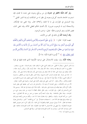ولو كان ممكنًا لافتقر في حدوثه إلى من يرجّح وجوده على عدمه لما تقدم، فإن استمرت الحاجة، فاستند كل في وجوده إلى نظير له من الممكنات لزم إما الدور القبلي '') وإما التسلسل في المؤثرات إلى ما لا فعاية، وكلاهما محال. وإذا انتفى عنه الإمكان. والاستحالة ثبت له الوجوب ضرورة. لأن أقسام الحكم العقلي ثلاثة، وقد انتفى اثنان، فتعين الثالث، وهو الوجوب فالله– تعالى– واجب الوجود.

**وقد أرشدنا اللَّه** إلى ذلك في كثير من الآيات.

منهــا قوله- تعالى-: ﴿ إِنَّ فِي خَلْقِ ٱلسَّمَـٰوَاتِ وَٱلْأَرْضِ وَٱخْتِلَـٰفِ ٱلَّيْلِ وَٱلنَّهَارِ وَٱلْفُلْكِ ٱلَّتِي تَجۡرِى فِي ٱلۡبَحۡرِ بِمَا يَنفَعُ ٱلنَّاسَ وَمَآ أَنزَلَ ٱللَّهُ مِنَ ٱلسَّمَآءِ مِن مَّآءِ فَأَحْيَا بِهِ ٱلْأَرْضَ بَعۡدَ مَوْمَا وَبَثَّ فِيهَا مِن كُلِّ دَابَّةٍ وَتَصْرِيفِ ٱلرِّيَـحِ وَٱلسَّحَابِ ٱلْمُسَخَّرِ بَيْنَ ٱلسَّمَآءِ وَٱلْأَرْضِ لَأَيَـٰتِ لِّقَوۡمِ يَعۡقِلُونَ ۞ ﴾ (``) [سورة البقرة الآية: ١٦٤].

وهذه الآية، وإن سيقت للاستدلال على توحيد الألوهية الذي تقدم قبلها في قوله

(١) الدور السبقى ، ويقال له القبلى : هو توقف الشيء على ما توقف عليه ، وهو قسمان : مصرح ، ومضمر . فالمصرح ما كانت الواسطة فيه واحدة ، مثاله كأن يقال مثلا : خالد أوجد بكرًا ، وبكـــر أوجد خالدا ، فبكر متوقف في وجوده على حالد ثم حالد توقف في وجوده على بكر والواسطة واحدة وهي بكر . ويقال له : هذا دور بمرتبة . فإن تعددت المراتب كانت بحسبها ، وهذا الدور باطل لما يلزمه من التناقض ، إذ يلزمه أن يكون الشيء سابقًا لا سابقًا مؤثَّرًا لا مؤثَّرًا إلخ . بل يلزم أن يكون الشيء نقيض نفسه ضرورة المغايرة بين المتقدم والمتأخر ، والأثر والمؤثر . أما الدور المعي مثل توقف الأبوة على البنوة ، والبنوة على الأبوة ، فجائز . لأنه من باب الإضافات ، وهي اعتبارية لا وجود لها ، والتسلسل هو ترتب أمور بعضها على بعض بحيث يكون كل متأخر منها يتوقف في وجوده على سابق عليه . يكون علة له في وجوده إلى غير لهاية . ويسمى هذا النوع التسلسل في العلل ، وفي المؤثرات ، وهو باطل باتفاق العقلاء لما يلزمه من عدم وجود شيء من الحوادث ، وهذا باطل بالمشاهدة . وقد عرف السعد [ هو مسعود بن عمر بن عبد الله التفتازاني ، سعد الدين ، من أئمة العربية ، والبيان ، والمنطق ، ولد بتفتازان عام ٧١٢ هـــ ، وأقام بسرخس وأبعده تيمورلنك إلى سمرقند وتوفي فيها عام ٧٩٣ هـــ . له مصنفات عديدة ] . في " شرح المقاصد " الدور ، والتسلسل بعبارة جامعة لهما فقال : هما أن يتوالى عروض العلية والمعلولية لا إلى لهاية ، بأن يكون كل ما هو معروض للعلية معروضا للمعلولية ، ولا ينتهي إلى حالة تعرض له العلية دون المعلولية ، فإن كانت المعروضات متناهية ، فهو الدور بمرتبة إن كان اثنين ، وبمراتب إن كانت المعروضات فوق اثنين ، وإلا فهو التسلسل . (٢) سورة البقرة آية : ١٦٤ .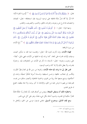تعالى: ﴿ وَإِلَيْهُكُمْ إِلَيْهُ وَاحِدٌ ۖ لَآ إِلَيْهَ إِلَّا هُوَ ٱلرَّحْمَـٰنُ ٱلرَّحِيمُ (٢) ﴾ ('' [سورة البقرة الآية: ١٦٣]. إلا ألها تدلُّ دلالة قاطعة على توحيد الربوبية، فإن استحقاقه– تعالى– للعبادة، واختصاصه ها فرع عن وجوده، وانفراده بالخلق، والتدبير، والتصريف، والتقدير.

ومنها قوله- تعالى-: ﴿ أَفَرَءَيْتُم مَّا تُمْنُونَ ۞ ءَأَنتُم بَخَلُقُونَهُۥَ أَمْ نَحَنُ ٱلْحَنلَقُونَ ۞ خَنُ قَدَّرْنَا بَيْنَكُمُ ٱلْمَوْتَ وَمَا خَنُّ بِمَسْبُوقِينَ ۞ عَلَىٰٓ أَن نُّبَدِّلَ أَمْثَلَكُمْ وَنُنشِئَكُمْ في مَا لَا تَعْلَمُونَ ۞ وَلَقَدْ عَامَتُمُ ٱلنَّشَأَةَ ٱلْأُولَىٰ فَلَوْلَا تَذَكَّرُونَ ۞ أَفَرَءَيْتُم مَّا تَحَرُثُوبَ ۞ ءَأنتُمْ تَزْرَعُونَهُۥَ أَمْ خَنُ ٱلزَّارِعُونَ ۞ لَوۡ نَشَآءُ لَجَعَلۡنَهُ حُطَيَمَا فَظَلَٰتُمۡ تَفَكَّهُونَ ۞ ﴾ (`` إلخ الآيات من سورة الواقعة.

فهذه الآيات، وإن ذكرت لتنزيه الله– تعالى– وتقديسه عما ظنه به منكرو البعث، وسيقت لِإثبات قدرته على المعاد. كما يرشد إليه ما قبلها من الآيات، فهي دليل– أيضًا– على وجوب وجوده- تعالى- لاستناد ما ذكر في الآيات من المخلوقات إليه. وحدوثه بقدرته، ولا يعقل ذلك إلا إذا كان واحب الوجود.

فمن نظر إلى ما ترشد إليه هذه الآيات، ونحوها من سنن الله في العالم نظرًا ثاقبًـــا، وفكـــر في عجائب خلقها، وحسن تنسيقها، وشـــدة أسرها تفكيرًا عميَقًا، وبحث في أحكامها، وبديع صنعها بحثًا بريتًا من الهوى، والحمية الجاهلية، وأنصف مناظره من نفسه، فلم يمنعه من فهم ما عرض عليه من الحق، والإذعان له كبر يرديه، ولا عناد يطغيه، اتضح له طريق الهدي.

واضطره ذلك أن يستيقن النتيجة، ويؤمن من أعماق قلبه، بأن للعالم ربّا حلَاقًا فاعلًا مختارًا حكيمًا في تقديره، وتدبيره أحاط بكلِّ شيء علمًا، وهو على كلِّ شيء قديرٍ.

ومع قيام الدليل، ووضوح السبيل، تعامى فرعون موسى عن الحق، وتحاهل ما

- (١) سورة البقرة آية : ١٦٣ .
- . ٥٦ سورة الواقعة : ٥٨ ٦٥ .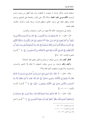استيقنته نفسه، وأنكر بلسانه ما شهدت به الفطرة، ودل عليه العقل من وجود واجب الوجود، **فأقام موسى عليه الحجة**، بدلالة الأثر على المؤثر، والصنعة على الصانع، ووجود العالم، وعظم خلقه على وجود الخالق، وعظيم قدرته، وسعة علمه، وكمال حكمته، فغلبه بحجته.

وذلك بيّن واضح فيما حكاه اللهّ عنهما من الحوار، والسؤال، والجواب:

قال- تعالى-: ﴿ قَالَ فِرْعَوْنُ وَمَا رَبُّ ٱلْعَلَمِينَ ﴾ قَالَ رَبُّ ٱلسَّمَـٰوَاتِ وَٱلْأَرْضِ وَمَا بَيِّنَهُمَا ۖ إِن كُنتُم مُوقِنِينَ ۞ قَال لِمَنْ حَوْلَهُۥٓ أَلَا تَسْتَمِعُونَ ۞ قَالَ رَبُّكُمْ وَرَبُّ ءَابَآبِكُمُ ٱلْأَوَّلِينَ ﴾ قَالَ إِنَّ رَسُولَكُمُ ٱلَّذِيٓ أُرْسِلَ إِلَيۡكُمۡ لَمَجۡنُونٌ ۞ قَالَ رَبُّ ٱلۡمَشۡرِقِ وَٱلۡمَغۡربِ وَمَا بَيۡهُمَآ إِن كُنتُمْ تَعْقِلُونَ ۞ قَالَ لَيْنِ ٱخَّذْتَ إِلَيهًا غَيْرِي لِأَجْعَلَنَّكَ مِنَ ٱلْمَسْجُونِينَ ۞ ﴾ ('') [سورة الشعراء الآيات: ٢٣ - ٢٩].

فانظو كيف وقف موسى موقف من يصدع بالحق، ويقيم عليه البرهان؟

وكيف وقف فرعون من موسى موقف السفهاء، لا يملك إلا الشتم، والسباب، والسخرية، والاستهزاء، والتهديد بأليم العذاب؟!!.

وقال– تعالى–: ﴿ وَلَقَدْ ءَاتَيْنَا مُوسَىٰ تِسْعَ ءَايَـٰبِ بَيِّنَـٰتٍ فَسْـَٔالٌ بَنِيٓ إِسْرَءِيلَ إِذْ جَآءَهُمْ فَقَالَ لَهُۥ فِرْعَوْنُ إِنِّي لَأَظُنُّكَ يَـٰمُوسَىٰ مَسْحُورًا ۞ قَالَ لَقَدْ عَامْتَ مَآ أَنزَلَ هَتَؤُلآءِ إِلَّا رَبُّ ٱلسَّمَوَاتِ وَٱلْأَرْضِ بَصَآبِرَ وَإِنِّي لَأَظُّنُكَ يَنْفِرْعَوْنِنُ مَثْبُورًا (٢٦ \$ (٢) [سورة الإسراء  $|\tilde{V}$ الآيتان: ١٠١– ١٠٢).

وقال– تعالى–: ﴿ فَلَمَّا جَآءَيُّهُمْ ءَايَنتُنَا مُبْصِرَةً قَالُواْ هَـٰذَا سِحْرٌ مُّبِيرٌ ﴾ ۞ وَجَحَدُواْ بهَا وَٱسْتَيْقَنَتْهَآ أَنفُسُهُمْٓ ظُلُمًا وَعُلُوًّا ۚ فَٱنظُرْ كَيفَ كَانَ عَنقبَةُ ٱلْمُفْسِدِينَ ۞ ﴾ (٣) [سورة النمل

- . ٢٩ ٢٣ : عليقواء : ٢٣ ٢٩ .
- .  $1 \cdot 7 1 \cdot 1 = 2$  سورة الإسراء :
	- . ١٤ ١٣ : ١٤٠ ٢١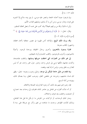$\sqrt{2}i$ نة: ١٣: ١٣.

وإن فرعون حينما أخذته الحجة، وانتصر عليه موسى، لم يبق بيده سلاح إلا التمويه على قومه، وإنذار موسى، ومن آمن به أن يذلهم، ويذيقهم العذاب الأليم.

وأين له ذلك! والله من ورائهم محيط؟! وقد كتب على نفسه أن يجعل العاقبة للمتقين.

وقال– تعالى–: ﴿ فَأَرَادَ أَن يَسْتَفِزَّهُم مِّنَ ٱلْأَرْضِ فَأَغْرَقْنَهُ وَمَن مَّعَهُۥ جَمِيعًا (۞ ﴾ ('') [سورة الإسراء الآية: ١٠٣].

**وقد ورث ذلك الزيغ**، والإلحاد أناس ظهروا في عصور متعاقبة بأسماء مختلفة، واشتهروا بألقاب متنوعة.

فتارة يسمون بالدهريين: وأحرى برحال الحقيقة، ووحدة الوجود. وأحيانًا بالشيوعيين، وأحرى بالوجوديين. (اللقب الجديد) وآونة بالبهائيين.

إلى غير ذلك من العبارات التي اختلفت حروفها ومبانيها، وائتلفت مقاصدها، واتحدت معانيها، فكلها ترمى إلى غرض واحد، وتدور حول محور واحد، هو أنه ليس للعالم رب يخلق ويدبر، وليس له إله يُعبد ويقصد.

وبما تقدم من دليل حاجة الممكن إلى موجد، ودليل وحوب وحوده– تعالى– يظهر لك فساد مذهبهم، وخروجه عن مقتضى النظر، وموجب العقل، وما يصدَق ذلك، ويؤيده من أدلة السمع.

فإن زعم زاعم منهم بعد ذلك، أن وجود العالم وليد الصدفة والاتفاق.

أو أنه نشأت أطواره عن تفاعل بين عناصر المادة، فتفرقت إلى وحدات بعد اجتماع، أو اجتمعت، وائتلفت بعد تفرق، واختلاف.

وصار لتلك الوحدات، أو المركبات من الخواص ما لم يكن لها قبل هذا التفاعل، وبذلك تحدّدت الظواهر، وحدث ما نشاهده من تغيير وآثار مع جريالها على سنة لا

(١) سورة الإسراء آية : ١٠٣.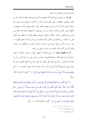تتبدل، وناموس لا يختلف، ولا يتغير.

قيل له: من الذي أودع تلك المادة طبيعتها، وأكسبها حواصها، فإنها إن كانت لها من ذاها، ومقتضى حقيقتها لم تقبل التغير والزوال لأن ما بالذات لا يتخلف ولا يزول، وقد رأيناها تتبدل، فلا بدَّ لها من واهب يهبها، وفاعل مختار حكيم عليم يدبَّرها، ويضعها في محالُّها، وليس ذلك من المادة وحدها، ولا من خواصها، أو طبيعتها القائمة ها، فإلها ليس لها من سعة العلم، وكمال الحكمة، وشمول المشيئة، وعظيم القدرة ما ينتظم معه الكون على ما نشاهد من إحكام تبهر العقول دقَّته وجماله، ومن إبداع يأحذ بمجامع القلوب ما فيه من شدة الأسر، وقوة الربط بين وحداته، وكمال التناسب، والتكافؤ بين أجزائه، وقيام كل من الآخر مقام الخادم من سيده، والراعي من رعيته.

ألا إن الطبيعة صمَّاء لا تسمع، بكماء لا تنطق، عمياء لا تبصر، حاهلة لا تعلم، مسخَّرة لمن أودعها المادة، خاضعة لتصريفه وتقديره، سائرة على ما رُسِمَ لها من سُنن لا تعدوها، ونواميس لا تخرج عنها، فأين يكون لها خلق وإبداع أو إليها تنظيم وتدبير أو منها وحي وتشريع؟! إنَّما ذلك إلى اللَّه وحده، تعالى الله عمَّا يقول الملحدون: ﴿ يُحۡنُ خَلَقْنَهُمْ وَشَدَدْنَا أَسْرَهُمْ ۖ وَإِذَا شِئْنَا بَدَّلْنَا أَمْثَلَهُمْ تَبْدِيلاً ۞ ﴾ (`` [سورة الإنسان الآية:  $\sqrt{17}$ 

﴿ تَبَرَكَ ٱلَّذِى بِيَدِهِ ٱلْمُلْكُ وَهُوَ عَلَىٰ كُلِّ شَيْءٍ قَدِيرٌ ﴾ ٱلَّذِى خَلَقَ ٱلْمَوْتَ وَٱلْحَيَوٰةَ لِيَبْلُوَكُمْ أَيْكُمْ أَحْسَنُ عَمَلاً ۚ وَهُوَ ٱلْعَزِيزُ ٱلْغَفُورُ ۞ ٱلَّذِى خَلَقَ سَبْعَ سَمَنوَاتِ طِبَاقَا ۖ مَّا تَرَىٰ فِي خَلْق ٱلرَّحْمَـٰنِ مِن تَفَـٰوُتٍ ۖ فَٱرْجِعِ ٱلْبَصَرَ هَلْ تَرَىٰ مِن فُطُورِ ۞ ثُمَّ ٱرْجِعِ ٱلْبَصَرَ كَرَّتَيْنِ يَنقَلِبُ إِلَيْكَ ٱلْبَصَرُ خَاسِئًا وَهُوَ حَسِيرٌ ۞ وَلَقَدْ زَيَّنَّا ٱلسَّمَآءَ ٱلدُّنْيَا بِمَصَنبِيحَ وَجَعَلْنَهَا رُجُومًا لِّلشَّيَنطِين وَأَعْتَدْنَا لَهُمْ عَذَابَ ٱلسَّعِيرِ۞ ﴾ (٢) [سورة الملك الآيات: ١- ٥].

- (١) سورة الإنسان آية : ٢٨ .
	- .  $\circ 1$  : بسورة الملك : (٢)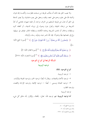ولا يعيب الحق بعد ذلك أن يتنكب طريقه من مسخت فطرتـــه، واتَّخـــذ إلهه هواه، وأضله الله على علم، وختم على سمعه، وقلبه، وحعل على بصره غشاوة، ولا يضير الدعاة إلى الحق أن عدل عن طريقه المستقيم من انحرف مزاجه، أو غلبته شهوته، فخشى أن تحدّ الشريعة من نزعاته الخبيثة، وتحول دون وصوله إلى نزواته الدنيئة.، أو أطغاه كبره وسلطانه، وحاف أن تذهب الشريعة بزعامته الكاذبة، وسلطانه الجائر، فوقف في سبيلها، و لج في خصامها بغيًا وعدوانًا. فإن الله ناصر دينه، ومؤَيد رسله، وأوليائه.

﴿ وَلَيَنصُرَنَّ ٱللَّهُ مَن يَنصُرُهُۥٓ ۗ إِنَّ ٱللَّهَ لَقَوئُ عَزِيزٌ ۞ ﴾ ('') [سورة الحج الآية:  $\sqrt{\xi}$ 

- ﴿ إِن تَنصُرُواْ ٱللَّهَ يَنصُرَكُمْ وَيُنَبِّتُ أَقْدَامَكُمْ (٢٦٨) [سورة القتال الآية: ٧].
- ﴿ وَسَيَعْلَمُ ٱلَّذِينَ ظَلَمُوٓاْ أَيَّ مُنقَلَبٍ يَنقَلِبُونَ ۞ ﴾ (") [سورة الشعراء، الآية: ٢٢٧]. المسألة الرابعة في أنواع التوحيد

## توحيد الربوبية

أنواع التوحيد: ثلاثة:

١ – توحيد الربوبية. ٢ – توحيد الأسماء والصفات. ويقال له أيضًا: توحيد الخبر ، وتوحيد المعرفة والإثبات. ٣- توحيد العبادة ويسمى – أيضًا –: توحيد الإلهية، وتوحيد الإرادة والقصد، وتوحيد الطلب.

توحيد الربوبية

أما توحيد الربوبية: فهو توحيد الله – تعالى– بأفعاله. والإقرار بأنه خالق كل شيء

- (١) سورة الحج آية : ٤٠ .
	- (٢) سورة محمد آية : ٧ .
- (٣) سورة الشعراء آية : ٢٢٧ .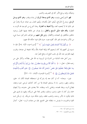ومليكه، وإليه يرجع الأمر كله في التصريف والتدبير.

فهو الذي يُحيى ويميت، وهو الذي يبسط الرزق لمن يشاء ويقدر، وهو الذي يوسل الرسل، ويشرعّ الشّرائع، ليُحق الحقّ بكلماته، ويُقيم العدل بين عباده شرعًا وقدرًا إلى غير ذلك مما لا يُحصيه العد، **ولا تُحيط به العبارة**. وهذا النوع من التوحيد قد أقرت به الفطرة، **وقام عليه دليل السمع والعقل**، ولم يعرف عن طائفة بعينها القول بوجود حالقين متكافئين في الصفات والأفعال. **ومن نقل عنهم** من طوائف المشركين نسبة شيء من الآثار والحوادث لغير الله، كقوم هود، حيث قالوا فيما حكاه الله عنهم:

﴿ إِن نَّقُولُ إِلَّا ٱعۡتَرَٰىٰكَ بَعۡضُ ءَالِهَتِنَا بِسُوٓء ۗ ﴾ ('') [سورة هود، الآية: ٥٤]. فإن ما نسبوه إلى آلهتهم إنما كان لزعمهم ألها وثيقة الصلة باللهّ، وألها شفيعة لمن عبدها، وتقرب إليها بالقرابين عند الله، في حلب النفع له، ودفع الضرّ عنه.

ومن أحل هذه الشائبة من الشرك في الربوبية نبه الله على بطلانه، وأنكر على من زعمه فقال- تعالى-: ﴿ مَا ٱتَّخَذَ ٱللَّهُ مِن وَلَدٍ وَمَا كَانَ مَعَهُۥ مِنۡ إِلَـٰهٍ ۚ إِذَا لَّذَهَبَ كُلُّ إلَـٰه بِمَا خَلَقَ وَلَعَلَا بَعْضُهُمْ عَلَىٰ بَعْضٌ شُبْحَنَ ٱللَّهِ عَمَّا يَصِفُونَ ۞ عَلِم ٱلْغَيْبِ وَٱلشَّهَـٰدَة فَتَعَـلَىٰ عَمَّا يُشۡرِكُونَ ۞ ﴾ (٢) [سورة المؤمنون، الآيتان: ٩١- ٩٢].

فيين – سبحانه– أنه لو كان معه إله يشركه في استحقاقه العبادة لكان له: خلق، وملك، وقهر، وتدبير. إذ لا يستحق العبادة إلا من كان كذلك، ليرجى حيره ونفعه، فيطاع أمره، وينفذ قصده، ويخشى بأسه وبطشه. فلا يعتدى على حدوده، ولا يُنتهك حماه، ولو كان له خلق، وتدبير، وملك، وتقدير لعلا على شريكه، وقهره إن قوي على ذلك ليكون له الأمر وحده، ولذهب بخلقه، وتفرد بملكه دون شريكه. إن لم يكن لديه القوة والجبروت ما يفرض به سلطانه على الجميع. فإن من صفات الرب- تعالى- كمال

- (١) سورة هود آية : ٥٤.
- . ٩٢ ٩١: المؤمنون: ٩١ ٩٢.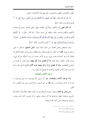العلو، والكبرياء، والقهر، والجبروت. وفي معنى هذه الآية قوله– تعالى–:

﴿ قُل لَّوْ كَانَ مَعَهُّرَ ءَاهُةٌ كَمَا يَقُولُونَ إِذًا لَّا بَتَغَوَّا إِلَىٰ ذِي ٱلْعَرْشِ سَبِيلًا (٢٥ ﴾ ('') [سورة الإسراء، الآية: ٤٢].

**إذا كان المعنى** المراد لاتخذوا سبيَلاً إلى مغالبته. وقيل: المعنى لاتخذوا سبيلاً إلى عبادته، وتأليهه، والقيام بواجب حقه. وابتغوا إلى رضاه سبيلا. كما قال– تعالى–: ﴿ أُوْلَتِيكَ ٱلَّذِينَ يَدۡعُونَ ۖ يَبۡتَغُونَ ۚ إِلَىٰ رَبِّهِمُ ٱلۡوَسِيلَةَ أَيُّهُمۡ أَقۡرَبُ وَيَرۡجُونَ رَحۡمَتَهُۥ وَبَخَافُونَ عَذَابَهُۥٓ إِنَّ عَذَابَ رَبِّكَ كَانَ مَحْذُورًا هِيَّ ﴾ (٢) [سورة الإسراء، الآية: ٥٧].

وقد استخلص بعض العلماء من ذلك دليلا سموه: **دليل التمانع**، استدلوا به على توحيد الربوبية. **قالوا:** لو أمكن أن يكون هناك ربان يخلقان، ويدبران أمر العالم لأمكن أن يختلفا بأن يريد أحدهما وجود شيء، ويريد الآخر عدمه، أو يريد أحدهما حركة شيء، ويريد الآخر سكونه. وعند ذلك **إما أن يحصل مراد كل منهما**، وهو محال. لما يلزمه من اجتماع النقيضين، وإما أن يحصل مراد واحد منهما دون الآخر فيكون الذي نفذ مراده هو الرب دون الآخر لعجزه، والعاجز لا يصلح أن يكون ربا.

#### توحيد الأسماء والصفات

**وأما توحيد الأسماء والصفات:** فهو أن يسمى الله ويوصف، بما سمى ووصف به نفسه، أو سماه، ووصفه به رسوله ﷺ من غير تحريف، ولا تأويل، ومن غير تكييف، ولا تمثيل.

**ومن تبصر في العالم**، وعرف شئونه وأحواله تبين له كمال تعلقه خلقًا وأمرًا بأسماء الله الحسني، وصفاته العليا، وارتباطه هما أتم ارتباط، وظهر له أن الوجود كله آيات بينات، وشواهد واضحات على أسماء الله، وصفاته.

- (١) سورة الإسراء آية : ٤٢ .
- (٢) سورة الإسراء آية : ٥٧ .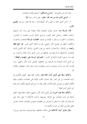وقد ذكر (ابن القيم) في: " مدارج السالكين " طريقين لِإثبات الصفات: ١– ا**لوحي الذي جاء من عند الله– تعالى–** على لسان رسوله ﷺ. ٢ – الحس الذي شاهد به البصير آثار الصنعة قال– , حمه الله تعالى– في بيان **الطويق** الأول:

فأما الوسالة فإلها حاءت بإثبات الصفات إثباتًا مفصلا على وحه أزال الشبهة، وكشف الغطاء، وحصل العلم اليقين، ورفــع الشكّ المريب، فثلجت له الصدور، واطمأنت به القلوب، واستقر به الإيمان في نصابه. **ففصلت الرسالة** الصفات، والنعوت، والأفعال، أعظم من تفصيل الأمر والنهي، وقررت إثباها أكمل تقرير. فما أ**بلغ لفظه** وأبعده من الإجمال، والاحتمال، وأمنعه من قبول التأويل، ولذلك كان التأويل لآيات الصفات، وأحاديثها بما يخرجها عن حقائقها من جنس تأويل آيات المعاد، وأحباره. بل أبعد منه. لوجوه كثيرة ذكرةما في كتاب: " ا**لصواعق المرسلة على الجهمية والمعطلة** ". بل تأويل آيات الصفات بما يخرجها عن حقائقها، كتأويل آيات الأمر والنهي سواء، فالباب كله باب واحد، ومصدره واحد، ومقصده واحد، وهو إثبات حقيقتها، والإيمان بما.

وكذلك سطا على تأويل آيات المعاد قوم. وقالوا: فعلنا فيها، كفعل المتكلمين في آيات الصفات، بل نحن أعذر. فإن اشتمال الكتب الإلهية على الصفات، والعلوم، وقيام الأفعال أعظم من نصوص المعاد للأبدان بكثير، فإذا ما ساغ لهم تأويلها، فكيف يحرم علينا نحن تأويل آيات المعاد!

وكذلك سطا قوم آخرون على تأويل آيات الأمر، والنهي، وقالوا: فعلنا فيها، كفعل أولئك في آيات الصفات مع كثرةما، وتنوعها، وآيات الأحكام لا تبلغ زيادة على خمسمائة آية. قالوا: وما يظن أنه معارض من العقليات لنصوص الصفات، فعندنا معارض عقلي لنصوص المعاد من جنسه، وأقوى منه.

وقال متأولو آيات الأحكام على حلاف حقائقها، وظـواهرها، والـــذي سوغ لنا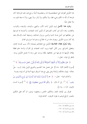هذا التأويل القواعد التي اصطلحتموها لنا، وحعلتموها أصلًا نرجع إليه، فلما طردناها كان طردها أن اللَّه ما تكلَّم بشيء قط، ولا يتكلَّم، ولا يأمر، ولا ينهي، ولا له صفة تقوم به، ولا يفعل شبئًا.

وطرد هذا الأصل لزوم تأويل آيات الأمر، والنهي، والوعد، والوعيد، والثواب، والعقاب، وقد ذكرنا في كتاب الصواعق أن تأويل آيات الصفات، وأخبارها بما يخرجها عن حقائقها هو أصل فساد الدنيا والدين، وزوال الممالك، وتسليط أعداء الإسلام عليه إنما كان بسبب التأويل. ويعرف هذا من له اطلاع، وخبرة بما حرى في العالم.

ولهذا يُحرِّم عقلاء الفلاسفة التأويل مع اعتقادهم بصحته؛ لأنه سبب لفساد العالم، وتعطيل للشرائع. ومن تأمَّل كيفية ورود آيات الصفات في القرآن والسنة علم قطعًا بطلان تأويلها بما يخرجها عن حقائقها، فإلها وردت على وجه لا يحتمل التأويل بوجه. فانظر إلى قوله– تعالى–:

﴿ هَلْ يَنظُرُونَ إِلَّآ أَن تَأْتِيَهُمُ ٱلْمَلَنَإِكَةُ أَوْ يَأْتِيَ رَبُّكَ أَوْ يَأْتِيَ بَعْضُ ءَايَتِ رَبّكً ﴾ ( ') [سورة الأنعام الآية: ١٥٨]. هل يحتمل هذا التقسيم والتنويع تأويل إتيان الرب– حلَّ حلاله– بإتيان ملائكته وآياته؟ وهل يبقى مع هذا السياق شبهة أصلا في أنه إتيانه بنفسه!

وكذلك قوله- تعالى-: ﴿ ﴾ وَإِنَّا أَوْحَيْنَآ إِلَيْكَ كَمَآ أَوۡحَيۡنَآ إِلَىٰ نُوحٍ وَٱلنَّبِيِّحَنَ مِنۢ بَعۡدِهۦ ۚ ﴾ ''. إلى أن قال: ﴿ وَكَلَّمَ ٱللَّهُ مُوسَىٰ تَكۡلِيمَا ۞ ﴾ (") [سورة النساء  $|\tilde{V}$ تتان: ١٦٣ ١ - ١٢٤.

ففرق بين الإيحاء العام، والتكليم الخاص، وجعلهما نوعين، ثم أكد فعل التكليم بالمصدر الرافع لتوهم ما يقوله المحرفون. كذلك قوله:

- (١) سورة الأنعام آية : ١٥٨ .
- (٢) سورة النساء آية : ١٦٣ .
- (٣) سورة النساء آية : ١٦٤ .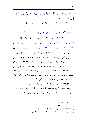﴿ ﴾ وَمَا كَانَ لِبَشَرٍ أَن يُكَلِّمَهُ ٱللَّهُ إِلَّا وَحْيًا أَوْ مِن وَرَآىٍ حِجَابٍ أَوْ يُرْسِلَ رَسُولاً ﴾ ('' [سورة الشورى، الآية: ٥١].

فنوع تكليمه إلى تكليم بواسطة، وتكليم بغير واسطة، وكذلك قوله لموسى عليه السلام:

﴿ إِنِّي ٱصۡطَفَيۡتُكَ عَلَى ٱلنَّاسِ بِرِسَـٰلَـٰتِي وَبِكَلَـٰمِي ﴾ (٢) [سورة الأعراف الآية: ١٤٤]. ففرق بين الرسالة، والكلام. والرسالة إنما هي بكــــلامه. وكذلك قول النبي ﷺ ﴿ "إِنكُمْ ترون ربكم عيانا كما ترون القمر ليلة البدر في الصحو ليس بينه سحاب وكما ترون الشمس في الظهيرة صحوًا ليس دولها سحاب ﴾ (٣) <sup>(٤)</sup> ومعلوم أن هذا البيان، والكشف، والاحـــتراز ينافي إرادة التأويل قطعًا، ولا يرتاب في هذا من له عقل ودين.

الطريق الثاني: من طرق إثبات الصفات دلالة الصفة عليها، فإن المخلوق يدل على وجود حالقه، وعلى حياته، وعلى قدرته، وعلى علمه، ومشيئته. **فإن الفعل الاختياري** يستلزم ذلك استلزامًا ضروريا. فما فيه من الإتقان، والإحكام، ووقوعه على أكمل الوجوه يدل على حكمة فاعله وعنايته، وما فيه من الإحسان، والنفع، ووصول المنافع العظيمة إلى المخلوق يدل على رحمة حالقه، وإحسانه، وجوده، وما فيه من آثار الكمال يدل على أن خالقه أكمل منه، فمعطى الكمال أحق بالكمال.

وخالق الأسماع، والأبصار، والنطق أحق أن يكون سميعًا بصيرا متكلمًا.

وخالق الحياة، والعلوم، والقدر، والإرادات أحق بأن يكون هو كذلك في نفسه، فما في المخلوقات من أنواع التخصيصات هو من أدل شيء على إرادة الرب– سبحانه–

- (١) سورة الشورى آية : ٥١ .
- (٢) سورة الأعراف آية : ١٤٤ .
- (٣) مسلم الإيمان (١٨٣) ، ابن ماجه المقدمة (١٧٩) ، أحمد (١٧/٣) .
- (٤) " مختصر صحيح مسلم " (٨٦) و " صحيح الجامع الصغير " (٦٩٠٥) عن أبي هريرة .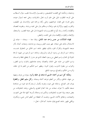ومشيئته، وحكمته التي اقتضت التخصيص، وحصــول الإحـــابة عقيب سؤال الـــطالب على الوجه المطلوب دليل على علم الرب تعالى بالجزئيات، وعلى سمعه لسؤال عبيده، وعلى قدرته على قضاء حوائجهم، وعلى رأفته ورحمته بهم، والإحسان إلى المطيعين، والتقرب إليهم، والإكرام لهم، وإعلاء درجاهم يدل على محبته ورضاه. وعقوبته للعصاة، والظلمة، وأعداء رسله بأنواع العقـــوبـــات المشهودة تدل على صفة الغضب. والسخط، والإبعاد، والطرد، والإقصاء يدل على المقت، والبغض.

فَهذَه الدلالات من جنس واحد عند التأمل، وهذا دعا - سبحانه - عباده إلى الاستدلال بذلك على صفاته. فهو يثبت العلم بربوبيته، ووحدانيته، وصفات كماله بآثار صنعته المشهودة، والقرآن مملوء بذلك، فيظهر شاهد اسم الخالق من المخلوق نفســه، وشاهد اسم الرازق من وجود الرزق، والمرزوق، وشاهد اسم الرحيم من شهود الرحمة المبثوثة في العالم، واسم المعطى من وجود العطاء الذي هو مدرار لا ينقطع لحظة واحـــدة، واسم الحليم من حلمه على الجناة، والعصاة، وعدم معاجلتهم بالجزاء، واسم الغفور، والتواب من مغفرة الذنوب، وقبول التوبة. ويظهر اسم الحكيم من العلم بما في حلقه، وأمره من الحكم، والمصالح، ووجود المنافع.

وهكذا كل اسم من أسمائه الحسني له شاهد في خلقه وأمره. يعرفه من عرفه، ويجهله من جَهلَه. فالخلق، والأمر من أعظم شواهد أسمائه وصفاته. **وكل سليم العقل**، **والفطرة** يعرف قدر الصانع. وحذقه على غيره، وتفرده بكمال لم يشاركه فيه غيره من مشاهدة صنعته فكيف لا تعرف صفات من هذا العالم العلوي والسفلي، وهذه المخلوقات من بعض صنعه، وإذا اعتبرت المخلوقات، والمأمورات وحدقما بأسرها كلها دالة على النعوت، والصفات، وحقائق الأسماء الحسني، وعلمت أن المعطلة من أعظم الناس عمي، ومكابرة، ويكفي ظهور شاهد الصنع فيك خاصة، كما قال– تعالى–: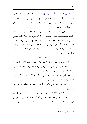﴿ وَفِيٓ أَنفُسِكُمْ ۚ أَفَلَا تُبۡصِرُونَ ۞ ﴾ (') [سورة الذاريات، الآية: ٢١]. فالموجب دات بأسرها شواهد صفات الرب- جل جلاله– ونعسوته، وأســـمائه، هي كلها تشــــير إلى الأســــماء الحسني، وحقائقها، وتنادي ها وتدل عليها، وتخبر ها بلسان النطق والحال، كـــما قيل:

في الملسك الأعلسي إليسك رسسائل تأمــــــــــــــــطو ر الكــــــــــــائنات فإنهــــــــــا ألا كل شيء مـــا خــــلا اللّــــه باطــــل وقسد خسط فيهسا لسو تأملتسها تشسير بإثبسات الصفات لرهسا فصامتها يهسدي ومسن هسو قائسل فلست ترى شيئًا أدل على شيء من دلالة المخلوقات على صفات حالقها، ونعوت كماله، وحقائق أسمائه. وقد تنوعت أدلتها بحسب تنوعها فهي تدل عقلا، وحسا، وفطرة، ونظرًا، واعتبارا. اهـــ.

#### توحيد الالهية

وأما توحيد الإلهية: فهو إفراد اللَّه بالعبادة: قولًا، وقصدًا، وفعلًا، فلا يُنذر إلا له، ولا تُقرب القرابين إلا إليه، ولا يُدعى في السَراء والضراء إلا إياه، ولا يُستغاث إلا به، ولا ُيتوكل إلا عليه، إلى غير ذلك من أنواع العبادة.

وهذا النوع هو الذي بعثت به الرسل، وأنزلت به الكتب، وبدأ به كل رسول دعوته، ووقعت فيه الخصومة بينه وبين أمته.

وهو الذي من أجله شرع الجهاد، وقامت الحرب على ساقها بين الموحَّدين والمشركين.

والطريق الفطري لإثبات توحيد الإلهية الاستدلال عليه بتوحيد الربوبية. فإن قلب الإنسان يتعلق أولًا بمصدر خلقه، ومنشأ نفعه وضرَّه، ثم ينتقل بعد ذلك إلى الوسائل التي تقربه إليه، وترضيه عنه، وتوثَّق الصلات بينه وبينه، فتوحيد الربوبية باب لتوحيد الإلهية.

(١) سورة الذاريات آية : ٢١ .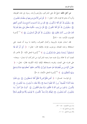**من أجل ذلك** احتجّ الله على المشركين، وقرّرهم وأرشد رسوله إلى هذه الطريقة، وأمره أن يدعو ها قومه، قال– تعالى–: ﴿ قُل لِّمَن ٱلْأَرْضُ وَمَن فِيهَآ إِن كُنتُمۡ تَعۡلَمُونَـَـ هِ ۖ سَيَقُولُونَ لِلَّهِ ۚ قُلْ أَفَلَا تَذَكَّرُونَ ﴾ قُلْ مَن رَّبُّ ٱلسَّمَـٰوَاتِ ٱلسَّبْعِ وَرَبُّ ٱلْعَرْش ٱلْعَظِيم ۞ سَيَقُولُونَ لِلَّهِ ۚ قُلْ أَفَلَا تَتَّقُونَ ۞ قُلْ مَنْ بِيَدِهِۦ مَلَكُوتُ كُلِّ شَيْءٍ وَهُوَ يُحِيرُ وَلَا تُجَارُ عَلَيْهِ إِن كُنتُمْ تَعْلَمُونَ ۞ سَيَقُولُونَ لِلَّهِ ۚ قُلْ فَأَنَّىٰ تُسْخَرُونَ ۞ ﴾ `` [سورة المؤمنون، الآيات: ٨٤ - ٨٩].

فقد استدل بتفرده بالربوبية، وكمال التصرف، وحمايته ما يريد أن يحميه، على استحقاقه وحده للعبادة، ووحوب إفراده بالإلهية قال– تعالى–: ﴿ أَيَّنَّ أَمَّرُ ٱللَّهِ فَلَا تَسْتَعْجِلُوهُ ۚ سُبْحَـٰنَهُۥ وَتَعَـلَىٰ عَمَّا يُشْرَكُونَ ۞ ﴾ ('') [سورة النحل الآية: ١]. فأحبر بأن البعث آت لا محالة، ونزَّه نفسه عما زعمه المشركون من الشركاء، ثم استدل– سبحانه– على قدرته على البعث، وتفرده باستحقاقه الإلهية بآياته الكونية، فقال– تعالى–: ﴿ خَلَق ٱلْإِنسَنَ مِن نُّطِفَةٍ فَإِذَا هُوَ خَصِيمٌ مُّبِينٌ ۞ وَٱلْأَنْعَـٰمَ خَلَقَهَا ۗ لَكُمْ فِيهَا دِفْءٌ وَمَنَـٰفِعُ وَمِنْهَا تَأْكُلُونَ۞ ﴾ (٣) [سورة النحل، الآيتان: ٤، ٥].

إِلِي قُولِــه- تَعْــالِ-: ﴿ أَفَمَن بَحَلْقُ كَمَن لَّا يَخَلُّقُ أَفَلَا تَذَكَّرُونَ ۞ وَإِن تَعُدُّواْ نِعْمَةَ ٱللَّهِ لَا يُحۡصُوهَآ ۚ إِن ۗ ٱللَّهَ لَغَفُورٌ رَّحِيمٌ ( ۞ وَٱللَّهُ يَعۡلَمُ مَا تُسِرُّونَ ۖ وَمَا تُعۡلَنُونَ ۞ وَٱلَّذِينَ ۖ يَدۡعُونَ مِن دُونِ ٱللَّهِ لَا سَحۡلُقُونَ شَيۡـًٗا وَهُمۡ سُحۡلَقُونَ ۞ ۚ أَمۡوَٰ'تُ غَيۡرُ أَحۡيَآء ۖ وَمَا يَشْعُرُونَ ۖ أَيَّانَ يُبْعَثُونَ ۚ ﴾ إِلَيْهُكُمْ إِلَيهٌ وَ'حِلٌّ فَٱلَّذِينَ ۖ لَا يُؤْمِنُونَ بِٱلْأَخِرَة قُلُوبُهُم مُّنكِرَةٌ

- $\Lambda$ ۹ ۸۶ نفرو المؤمنون ( ۱ ) سورة المؤمنون (
	- (٢) سورة النحل آية : ١ .
	- . ٥ ٤ : النحل: ٥ ٥ .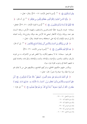وَهُم مُّسۡتَكۡبُرُونَ۞﴾ ۞ (''. [سورة النحل الآيات: ١٧– ٢٢]. وقال– تعالى–:

﴿ يَتَأَيُّهَا ٱلنَّاسُ ٱعۡبُدُوا۟ رَبَّكُمُ ٱلَّذِي خَلَقَكُمۡ وَٱلَّذِينَ مِن قَبْلِكُمۡ ﴾ (`` إلى أن قال: ﴿ فَلَا تَجَعَلُواْ لِلَّهِ أَندَادًا وَأَنتُمْ تَعْلَمُونَ ۞ ﴾ (" [سورة البقرة الآيتان: ٢١، ٢٢]. فجعل – سبحانه– تفرده بالربوبية حلقًا للحـــاضرين والسابقين، وتمهيده الأرض، ورفعه السماء بغير عمد يرونما، وإنزاله الأمطار ليحيى ها الأرض بعد موقما، ويخرج ها رزقًـــا لعباده بابًا إلى توحيد الإلهية وآية بيّنة على استحقاقه وحده العبادة. وقال- تعالى-:

﴿ قُلْ مَن يَرْزُقُكُم مِّنَ ٱلسَّمَاءِ وَٱلْأَرْضِ أَمَّن يَمْلِكُ ٱلسَّمَعَ وَٱلْأَبْصَرَ ﴾ (<sup>٤)</sup>. إلى أن قال:

﴿ فَمَا لَكُمْ كَيْفَ تَحْكُمُونَ ۞ ﴾ <sup>(٥)</sup> [سورة يونس الآيات: ٣١- ٣٥].

فقررهم- سبحانه- بما لا يسعهم إنكاره، ولا مخلص لهم من الاعتراف به من تفرده بالرزق، والملك، والتدبير، والإحياء، والإماتة، والبدء، والإعادة، والإرشاد، والهداية ليقيم به عليهم الحجة في وجوب تقواه دون سواه.

وينكسر عليهم حكمهم الخاطئ، وشركهم الفاضح، وعكوفهم على من لا يملك لهم ضرا ولا نفعًا، ولا حياة ولا نشورًا. قال– تعالى–:

﴿ قُلِ ٱلْحَمْدُ لِلَّهِ وَسَلَـٰمٌ عَلَىٰ عِبَادِه ٱلَّذِينَ ٱصۡطَفَىٰٓ ۚ ءَاللَّهُ خَيۡرٌ أَمَّا يُشۡرَكُونَ ۞ أَمَّنۡ خَلَقَ ٱلسَّمَـٰوَاتِ وَٱلْأَرْضَ وَأَنزَلَ لَكُم مِّرَ ﴾ ٱلسَّمَاءِ مَآءً فَأَنْبَتْنَا بِهِۦ حَدَآبِقَ ذَاتَ بَهۡجَةٍ مَّا كَانَ لَكُمْ أَن تُنْبِتُواْ شَجَرَهَا ۖ أَءِلَنهُ مَّعَ ٱللَّهِ ۚ بَلْ هُمْ قَوْمٌ يَعْدِلُونَ ۞ ﴾ ('') إلى قوله –

- . ٢٦ ١٧ : ١٧ ٢٦ .
	- (٢) سورة البقرة آية : ٢١ .
	- (٣) سورة البقرة آية : ٢٢ .
	- (٤) سورة يونس آية : ٣١ .
	- (٥) سورة يونس آية : ٣٥ .
- (٦) سورة النمل: ٥٩ ٦٠ .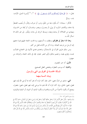تعالى–: ﴿ قُلْ هَاتُواْ بُرَّهَـنئكُمْ إِن كُنتُمْ صَـٰدِقِينَ ۞ ﴾ ('')، ('') [سورة النمل، الآيات:  $\sqrt{12} - 99$ 

فأنكر– سبحانه– أن يكون معه من خَلَقَ، ودبر، أو صرف، وقدَّر، أو يُجيب المضطرّ إذا دعاه، ويكشف السّوء، أو يولي، أو يعـــزل، وينصر، ويخــــذل، أو يُنقذ من الحــــيرة، ويهدي من الضلالة، أو يبدئ ويعيد، ويبسط الرزق لمن يشاء، ويَقْدِر. إلى غير ذلك مما استأثر اللّه به.

وهذا مما استقرَّ في فطرقم، ونطقت به ألسنتهم، وبه قامت الحجة عليهم فيما دعتهم إليه الرسل من توحيد العبادة. وما ذكر من الآيات قليل من كثير.

ومن سلك طريق القرآن في الاستدلال، واهتدى بمدي الأنبياء في الحجاج اطمأنت نفسه، وقوى يقينه، وخصم مناظره (أي انتصر عليه). فإن في ذلك الحجة، والبرهان من جهتين:

> الأولى: أنه حير المعصوم. والثانية: أنه موجب الفطرة، ومقتضى العقل الصحيح.

المسألة الخامسة في الفرق بين النبي والرسول

وبيان النسبة بينهما

**النبي**: مشتق من النبأ، بمعنى: الخبر، فإن كان المراد أنه يخبر أمته بما أوحى الله إليه، فهو فعيل، بمعنى: فاعل، وإن كان المراد أن الله يخبره بما يوحي إليه، فهو فعيل، بمعنى: مفعول، ويصح أن يكون مأخوذًا من النَّبء (بالهمزة وسكون الباء)، أو النبوة، أو النباوة (بالواو)،

<sup>(</sup>١) سورة النمل آية : ٦٤ .

<sup>(</sup>٢) وقمامها : (أَمَّنْ حَعَلَ الْأَرْضَ قَرَارًا وَحَعَلَ خِلَالَهَا أَنْهَارًا وَحَعَلَ لَهَا رَوَاسِيَ وَحَعَلَ بَيْنَ الْبَحْرَيْن حَاجزًا أَإِلَهٌ مَعَ اللَّهِ بَلْ أَكْثَرُهُمْ لَا يَعْلَمُونَ أَمَّنْ يُجيبُ الْمُضْطَرَّ إذَا دَعَاهُ وَيَكْشِفُ السُّوءَ وَيَجْعَلُكُمْ خُلَفَاءَ الْأَرْض أَإِلَةٌ مَعَ اللَّهِ قَلِيلًا مَا تَذَكَّرُونَ أَمَّنْ يَهْدِيكُمْ فِي ظُلُمَاتِ الْبَرِّ وَالْبَحْرِ وَمَنْ يُرْسِلُ الرِّيَاحَ بُشْرًا بَيْنَ يَدَيْ رَحْمَتِهِ أَإِلَٰهٌ مَعَ اللَّهِ تَعَالَى اللَّهُ عَمَّا يُشْرِكُونَ أَمَّنْ يَبْدَأُ الْخَلْقَ ثُمَّ يُعِيدُهُ وَمَنْ يَرْزُقُكُمْ مِنَ السَّمَاء وَالْأَرْضِ أَإِلَهٌ مَعَ اللَّهِ قُلْ هَاتُوا بُرْهَانَكُمْ إِنْ كُنْتُمْ صَادِقِينَ) .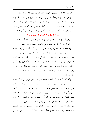وكلها بمعنى: الارتفاع والظهور، وذلك لرفعة قدر النبي، وظهور شأنه، وعلوَ مترلته.

والفرق بين النبي والرسول: أن الرسول من بعثه الله إلى قوم، وأنزل عليه كتابًا، أو لم يتزل عليه كتابًا لكن أوحى إليه بحكم لم يكن في شريعة من قبله؛ والنبي من أمره الله أن يدعو إلى شريعة سابقة دون أن ينزل عليه كتابًا، أو يوحى إليه بحكم حديد ناسخ أو غير ناسخ، وعلى ذلك، فكل رسول بيي، ولا عكس، وقيل: هما مترادفان، والأول أصح.

المسألة السادسة في إمكان الوحي والرسالة

**الوحي لغة**: الإعلام في خفاء بإشارة، أو كتابة، أو إلهام، أو مناجاة، أو نحو ذلك. وشرعًا: هو إعلام اللَّه نبيه بحكم شرعي، ونحوه، بواسطة، أو بغير واسطة.

ولا يبعد في نظر العقل، ولا يستحيل في تقدير الفكر، أن يختص واهب النعم، ومفيض الخير بعض عباده: بسعة في الفكر، ورحابة في الصدر، وكمال صبر، وحسن قيادة، وسلامة في الأخلاق، ليعدّهم بذلك لتحمّل أعباء الرسالة، ويكشف لهم عما أخفاه عن غيرهم، ويوحى إليهم بما فيه سعادة الخلق، وصلاح الكون، رحمةً للعالمين، وإعذارًا إلى الكافرين، وإقامة للحجة على الناس أجمعين، فإنه– سبحانه– بيده ملكوت كل شيء، وهو الفاعل المختار، لا مانع لما أعطي، ولا مُعطى لما منع، ولا رادَّ لما قَضى، وهو على كل شيء قدير .

وآية ذلك أنَّا نشاهد أن اللَّه- سبحانه- خلق عباده على طرائق شتى في أفكارهم، ومذاهب متباينة في مداركهم، فمنهم من سما عقله، واتسعت مداركه، واطلع من الكون على كثير من أسراره، حتى وصل به ثاقب فكره، وانتهت به تجاربه إلى أن اختر ع للناس ما رفع أولو الألباب من أحله رءوسهم إليه، إعجابًا به، وشهادة له بالمهارة، وأنكره عليه صغار العقول حتى عدوه شعوذة، وكهانةً، أو ضربًا من ضروب السحر، ولا يزالون كذلك حتى يستبين لهم بعد طول العهد، ومرّ الأزمان ما كان قد حفى عليهم، فيذعنوا له، ويوقنوا بما كانوا به يكذُّبون، ومنهم من ضعف عقله، وضـــاقت مداركـــه، فعميت عليه الحقائق، واشتبه عليه الواضح، فأنكر البدهيات، وردّ الآيات البينات، بل منهم من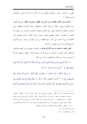انتهى به انحراف مزاحه، واضطره تفكيره، إلى أن أنكر ما تدركه الحواس كطوائف السو نسطائية <sup>(١)</sup>.

وكسما ثبت ذلك التفاوت بين الناس في العقول بضرورة النظر، وبديهة العقل، ثبت التفاوت بينهم– أيضًا– في قوة الأبدان وضعفها، وسعة الأرزاق وضيقها، ونيل المناصب العالية، والاستيلاء على زمام الأمور، وقيادة الشعب، والحرمان من ذلك، إما للعجز أو القصور، ليتخذ بعضهم بعضًا سخريا. وإما لحكمة أخرى يعلمها مدبّر الكائنات؛ وربما كشف عن كثير منها الغطاء لمن تدبر القرآن، وعرف سيرة الأنبياء، وتاريخ الأمم، ومما جرى عليها من أحداث.

فمن شاهد ما مضت به سنة اللَّه في عباده من التفاوت بينهم في مداركهم، وقواهم، وإرادقم، وغير ذلك من أحوالهم، لم يسعه إلا أن يستسلم للأمر الواقع، ويستيقن بأن لله أن ينبئ من يشاء من خلقه، ويصطفى من أراد من عباده.

﴿ رُّسُلًا مُّبَشِّرِينَ وَمُنذِرِينَ لِئَلَّا يَكُونَ لِلنَّاسِ عَلَى ٱللَّهِ حُجَّةُ بَعْدَ ٱلرُّسُلَ ۚ وَكَانَ ٱللَّهُ عَزِيزًا حَكِيمًا هِمَ ﴾ (٢) [سورة النساء الآية: ١٦٥].

﴿ وَرَبُّكَ خَمْلُقُ مَا يَشَآءُ وَخَنَّارُ ۗ مَا كَانَ ۖ لَهُمُ ٱلۡخِيۡرَةُ ۚ سُبۡحَـٰنَ ٱللَّهِ وَتَعَـٰلَىٰ عَمَّا يُشْرِكُونَ ۞ ﴾ (٣) [سورة القصص الآية: ٦٨]. ﴿ وَقَالُواْ لَوْلَا نُزِّلَ هَـٰذَا ٱلْقُرْءَانُ عَلَىٰ رَجُلٍ مِّنَ ٱلْقَرْيَتَيْنِ عَظِيمٍ ۞ أَهُمْ يَقْسِمُونَ رَحْمَتَ رَبِّكَ ۚ خَمْنُ قَسَمْنَا بَيْنَهُم مَّعِيشَتَهُمْ فِى ٱلْحَيَوٰة

- (٢) سورة النساء آية: ١٦٥.
- (٣) سورة القصص آية : ٦٨ .

<sup>(</sup>١) السونسطائية ثلاث فرق الأولى : العنادية وهي التي تنكر حقائق الأشياء الحسية ، والعقلية ، وتكذب حواسها ، وعقلها فيما تشاهد . أو تدرك وتراه وهمًا وحيالًا . الثانية : اللاأدرية : وهي التي تشك في حقائق الأشياء ، وتتردد فيها فتقول : لا أدري ، ألها وحود أم لا ؟ الثالثة : العندية : وهي التي ترى أن ليس للأشياء حقيقة ثابتة في نفسها ، بل تتبع إدراك ، من أدركها وعقيدة من خطرت بباله ، وهذه المذاهب باطلة بضرورة الحس ، والعقل . والقائلون ها قد سقطوا عن رتبة البحث والمناظرة .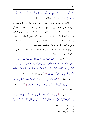ٱلدُّنْيَا ۚ وَرَفَعْنَا بَعْضَهُمْ فَوْقَ بَعْضٍ دَرَجَىتٍ لِّيَتَّخِذَ بَعْضُهُم بَعْضًا سُخْرِيًّا ۗ وَرَحْمَتُ رَبِّكَ خَيْرٌ مِّمَّا سَجَمَعُونَ ۞ ﴾ <sup>(١)</sup> [سورة الزحرف الآيتان: ٣١، ٣٢].

إن الحوار الذي دار بين الرسل وأممهم يدل على أفمم لم يكونوا ينكرون الرسالة، ولم يكونوا يستبعدون حاجتهم إلى هداية من الله عن طريق روح طيبة يختارها الله لوحيه، أو نفس طاهرة يصطفيها لتبليغ شرعه، لكنهم استبعدوا أن يكون ذلك الرسول من البشر، وظنوا خطأ أنه إنما يكون من الملائكة، زعمًا منهم أن البشرية تنافي الرسالة، فمهما صفت روح الإنسان، وسمت نفسه، واتَسعت مداركه، فهو في نظرهم أقل من أن يكون أهلا لأن يُوحى الله إليه، وأحقر من أن يختاره اللهّ لتحمُل أعباء رسالته.

**ومن نظر في الكتب المُنزلة**، وتصفَح ما رواه علماء الأخبار، اتضح له ما ذكر من إمكان الوحى، وحاجة الناس إليه.

قال اللّه- تعالى-: ﴿ وَلَقَدۡ أَرۡسَلۡنَا نُوحًا إِلَىٰ قَوۡمِهِۦٓ إِنِّي لَكُمۡ نَذِيرٌ مُّبِينٌ ﴾ أَن لَا تَعۡبُدُوٓا۟ إِلَّا ٱللَّهَ ۖ إِنِّيٓ أَخَافُ عَلَيۡكُمۡ عَذَابَ يَوۡمِ أَلِيمِ ۞ فَقَالَ ٱلۡمَلَأُ ٱلَّذِينَ كَفَرُوا۟ مِن قَوۡمِهِۦ مَا نَرَىٰكَ إِلَّا بَشَرًا مِّثْلَنَا وَمَا نَرَىٰكَ ٱتَّبَعَكَ إِلَّا ٱلَّذِينَ هُمْ أَرَاذِلُنَا بَادِىَ ٱلرَّأْى وَمَا نَرَىٰ لَكُمْ عَلَيْنَا مِن فَضَّلِ بَلِّ نَظُنُّكُمْ كَـٰذِبِيرَـَـنَ ۞ ﴾ (") [سورة هود الآيات: ٢٥ – ٢٧].

وقال– تعالى–: ﴿ كَذَّبَتْ ثَمُودُ بِٱلنُّذُرِ ۞ فَقَالُوٓاْ أَبَشَرًا مِّنَّا وَٰحِدًا نَّتَّبِعُهُۥٓ إِنَّآ إِذَا لَّفِي ضَلَالٍ وَسُعُرٍ ۞ أَءُلْقِيَ ٱلذِّكْرُ عَلَيْهِ مِنْ بَيْنِنَا بَلْ هُوَ كَذَّابٌ أَشِرٌ ۞ ﴾ (") [سورة القمر الآيات: ٢٣- ٢٥].

وقال– تعالى–: ﴿ وَٱضْرَبْ لَهُم مَّثَلاً أَصْحَبَ ٱلْقَرَيَةِ إِذْ جَآءَهَا ٱلْمُرْسَلُونَ ۞ إِذْ أَرْسَلْنَا إِلَيْهِمُ ٱتَّنَيْنِ فَكَذَّبُوهُمَا فَعَزَّزْنَا بِتَالِثِ فَقَالُوٓاْ إِنَّآ إِلَيۡكُم مُّرۡسَلُونَ ۞ قَالُواْ مَآ أَنتُمۡ إِلَّا بَشَرٌّ مِّتْلُنَا وَمَآ

- (١) سورة الزحرف : ٣١ ٣٢ .
	- . ٢٧ ٢٥ : ٢٥ ٢٧ .
	- . ٢٥ ٢٣ : ٣٥ ٢٥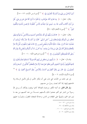أَنزَلَ ٱلرَّحْمَىٰنُ مِن شَيْءٍ إِنْ أَنتُمْ إِلَّا تَكْذِبُونَ ۞ ﴾ ('') [سورة يس الآيات: ١٣ - ١٥].

وقال– تعالى–: ﴿ وَمَا قَدَرُواْ ٱللَّهَ حَقَّ قَدْرِهِۦٓ إِذۡ قَالُواْ مَآ أَنزَلَ ٱللَّهُ عَلَىٰ بَشَر مِّن شَيۡء ۗ قُلۡ مَنْ أَنزَلَ ٱلْكِتَنبَ ٱلَّذِي جَآءَ بِهِۦ مُوسَىٰ نُورًا وَهُدًى لِّلنَّاس تَّجَعَلُونَهُۥ قَرَاطِيسَ تُبْدُونَها وَتُخَفُونَ كَثِيرًا ﴾ (``) [سورة الأنعام الآية: ٩١].

وقال– تعالى–: ﴿ ﴾ قَالَتْ رُسُلُهُمْ أَفِي ٱللَّهِ شَكٌّ فَاطِرِ ٱلسَّمَىوَاتِ وَٱلْأَرْضُ يَدۡعُوكُمۡ لِيَغۡفِرَ لَكُم مِّن ذُنُوبِكُمْ وَيُؤَخِّرَكُمْ إِلَى ۚ أَجَلِ مُّسَمًّى ۚ قَالُوٓاْ إِنْ أَنتُمْ إِلَّا بَشَرٌ مِّثْلُنَا تُريدُونَ أَن تَصُدُّونَا عَمَّا كَانَ يَعْبُدُ ءَابَاَؤُنَا فَأْتُونَا بِسُلْطَنٍ مُّبِينٍ ١٨٠ قَالَتْ لَهُمْ رُسُلُهُمْ إِن خَّنُ إِلَّا بَشَرُّ مِّثَلُكُمْ وَلَـٰكِنَّ ٱللَّهَ يَمُنُّ عَلَىٰ مَن يَشَآءُ مِنْ عِبَادِهِۦ ۗ وَمَا كَانَ لَذَآ أَن نَأۡتِيَكُم بِسُلۡطَن إِلَّا بِإِذۡنِ ٱللَّهِ ً وَعَلَى ٱللَّهِ فَلْيَتَوَكَّلِ ٱلْمُؤْمِنُونَ ۞ ﴾ (") [سورة إبراهيم الآية: ١٠- ١١].

وقـــال- تعالى-: ﴿ مَا يَأْتِيهِم مِّن ذِكْرِ مِّن رَّبِّهِم مُّحَدَثٍ إِلَّا ٱسْتَمَعُوهُ وَهُمْ يَلْعَبُونَ ۞ لَاهِيَةَ قُلُوبُهُمْ ۗ وَأَسَرُّواْ ٱلنَّجْوَى ٱلَّذِينَ ظَلَمُواْ هَلْ هَـٰذَآ إِلَّا بَشَرٌ مِّثْلُكُمْ ۖ أَفَتَأْتُونَ ۗ ٱلسِّحْرَ وَأَنتُمْ تُبْصِرُونَ ۞ قَالَ رَبِّي يَعْلَمُ ٱلْقَوْلَ فِي ٱلسَّمَآءِ وَٱلْأَرْض ۖ وَهُوَ ٱلسَّمِيعُ ٱلْعَلِيمُ ۞ ﴾ ('') [سورة الأنبياء الآيات: ٢ - ٤].

إلى غير ذلك من الآيات التي تدل على أن إنكار الأمم لم يكن لأصل الرسالة ولا لحاجتهم إليها، إنما كان لبعث رسول من جنسهم.

**ولو قال قائل**: إن أئمة الكفر، وزعماء الضلالة كانوا يوقنون بإمكان أن يرسل الله رسولا من البشر غير ألهم جحدوا ذلك بألسنتهم حســـدًا من عند أنفسهم من بعد ما تبين لهم الحق، وتمويهًا على الطغام من الناس، وخداعًا لضعفاء العقول، وتلبيسًـــا عليهم

- . ١٥ سورة يس: ١٣ ١٥ .
- (٢) سورة الأنعام آية : ٩١ .
- . \\ \ . : هيم : (2) سورة إبراهيم .
	- . ٤ ٢ : وقرأ الأنبياء : ٢ ٤ .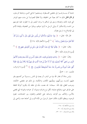خشية أن يســــارعــــوا إلى مقتضى الفــــطرة، ويستجيبوا لداعى الدين، ومتابعة المرسلين، لو قال قائل ذلك ما كان بعيدًا عن الحقيقة، ولا محافيًا للصواب! بل بدت منهم البوادر التي تؤيد ذلك، وتصدقه وسبق إلى لساهم ما يرشد البصير إلى ما انطوت عليه نفوسهم من الحسد والاستكبار أن يؤتَى الرسل ما أوتوا دولهم، وينالوا من الفضيلة، وقيادة الأمم إلى الإصلاح ما لم ينل هؤلاء.

قال الله- تعالى-: ﴿ وَإِذَا جَآءَتْهُمْ ءَايَةٌ قَالُواْ لَن نُّؤۡمِنَ حَتَّىٰ نُؤۡنَىٰ مِثۡلَ مَآ أُوتِيَ رُسُلُ ٱللَّهِ ٛ ٱللَّهُ أَعْلَمُ حَيْثُ يَجْعَلُ رِسَالَتَهُۥ ۗ ﴾ ('') [سورة الأنعام الآية: ١٢٤].

وقال– تعالى–: ﴿ وَقَالُواْ لَوْلَا نُزِّلَ هَـٰذَا ٱلْقُرْءَانُ عَلَىٰ رَجُلٍ مِّنَ ٱلْقَرَّيَتَيْنِ عَظِيم ۞ ﴾ (") [سورة الزخرف الآية: ٣١].

وقالَ– تعالى–: ﴿ وَنَادَىٰ فِرْعَوْنُ فِي قَوْمِهِۦ قَالَ يَنقَوْمِ أَلَيْسَ لِي مُلْكُ مِصْرَ وَهَـٰذِه ٱلْأَنْهَىرُ تَجَرى مِن تَحْقَّ أَفَلَا تُبْصِرُونَ ۞ أَمْر أَنَا خَيْرٌ مِّنْ هَـٰذَا ٱلَّذِى هُوَ مَهِينٌ وَلَا يَكَادُ يُبينُ ۞ فَلَوْلَآ أُلْقِيَ عَلَيْهِ أَسْوِرَةٌ مِّن ذَهَبِ أَوْ جَآءَ مَعَهُ ٱلْمَلَنَبِكَةُ مُقْتَرِنِينَ ۞ ۞ ﴾ (") [سورة الزخرف،  $\sqrt{2}$ الآيات: ٥١ - ٥٣.

وليس بدعًا أن يختار الله نبيا من البشر، أو يبعث في الناس رســـولا من أنفسهم يتلو عليهم آياتـــه، ويزكّيهم، ويعلّمهم الكتاب والحكمة، بل ذلك هو مقتضى الحكمة، وموجب العقل، فإن الله- سبحانه- قد مضت سنَّته في حلقه بأن يكونوا أنواعًا مختلفة على طرائق شتى، وطبائع متباينة، لكل نوع غرائزه وميوله، أو خواصه ومميزاته التي تقضي بالأنس، والتآلف بين أفراده، وتساعد على التفاهم والتعاون بين الجماعات، ليقوم الوجود، وينتظم الكون، فكان اختيار الرسول من الأمة أقرب إلى أخذها عنه، وأدعى إلى

- (١) سورة الأنعام آية : ١٢٤ .
- (٢) سورة الزحرف آية : ٣١ .
- . ٥٣ ٥١ : خرف : ٥١ ٥٣ .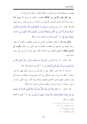فهمها منه، وتعاوِهْا معه، لمزيد التناسب، ولمكان الإلف بين أفراد النوع الواحد.

ولو كان عُمارٍ الأرضِ من الملائكة لاقتضت الحكمة أن يبعث الله إليهم مَلَكًا رسولًا، وقد أرشد الله إلى ذلك في ردَّه على من استنكر أن يرسل إلى البشر رسولًا منهم، قال الله- تعالى-: ﴿ وَمَا مَنَعَ ٱلنَّاسَ أَن يُؤْمِنُوٓاْ إِذْ جَآءَهُمُ ٱلۡهُدَىٰٓ إِلَّآ أَن قَالُوٓاْ أَبَعَثَ ٱللَّهُ بَشَرًا رَّسُولاً ۞ قُل لَّوْ كَانَ ۖ فِي ٱلْأَرْضِ مَلَنَهِكَةٌ يَمْشُونَ\_ مُطْمَبِنِّينَ لَنَزَّلْنَا عَلَيْهِم مِّنَ ٱلسَّمَاءِ مَلَكًا رَّسُولاً ۞ ﴾ <sup>(١)</sup> [سورة الإسراء، الآيتان: ٩٤– ٩٥].

**ولكن شاء الله** أن يكون الخليفة في الأرض من البشر، فاقتضت حكمته أن يكون رسوله إليهم من جنسهم، بل اقتضت حكمته ما هو أخص من ذلك، وأقرب إلى الوصول للغاية، وتحصيل المقصود من الرّسالة، فكتب على نفسه أن يُرسل كل رسول بلسان قومه.

قال– تعالى–: ﴿ وَمَآ أَرۡسَلۡنَا مِن رَّسُولٍ إِلَّا بِلِسَانِ قَوۡمِهِۦ لِيُبَيِّنَ ۖ لَهُمۡ ۖ فَيُضِلُّ ٱللَّهُ مَن يَشَآءُ وَيَهۡدِي مَن يَشَآءُ ۚ وَهُوَ ٱلۡعَزِيزُ ٱلۡحَكِيمُ ۞ ﴾ (`` [سورة إبراهيم الآية: ٤].

ولو قدَّر أن الله أجاب الكفار على ما اقترحوا من إرسال مَلَكٍ إليهم لأرسلٍ– سبحانه– الملك في صورة رحل، ليتمكَّنوا من أحذ التشريع عنه، والاقتداء به فيما يأتي ويذر، ويخوض معهم ميادين الحجاج والجهاد، وبذلك يعود الأمر سيرته الأولى، كما لو أرسل– سبحانه– رسولا من البشر، ويقعون في لَبْس وحيرة، جزاء وفاقًا.

قال– تعالى–: ﴿ وَقَالُواْ لَوْلَآ أُنزِلَ عَلَيْهِ مَلَكٌ وَلَوۡ أَنزَلۡنَا مَلَكًا لَّقُضِيَ ٱلۡأَمۡرُ ثُمَّ لَا يُنظَرُونَ ۞ وَلَوۡ جَعَلۡنَـٰهُ مَلَكَـا لَّجَعَلۡنَـٰهُ رَجُلاً وَلَلَبَسۡنَا عَلَيۡهِم مَّا يَلۡبِسُورَ ۖ ۞ ﴾ (٣) [سورة الأنعام الآيتان: ٩، ٩].

- . ٩٥ ٩٤ : ٩٤ ٩٥ .
	- (٢) سورة إبراهيم آية : ٤ .
	- . مورة الأنعام : ٨ ٩ .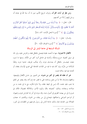ومن نظر في آيات القرآن، وعرف تاريخ الأمم، تبين له أن سنَة الله في عباده أن يرسل إليهم رُسُلا من أنفسهم.

قال– تعالى–: ﴿ وَمَآ أَرۡسَلۡنَا مِن ۖ قَبۡلِكَ إِلَّا رِجَالاً نُوحِىٓ إِلَيۡهُمۡ فَسۡـٰٓفُوٓاْ أَهۡلَ ٱلذِّكۡر إِن كُنتُمْ لَا تَعْلَمُونَ ۞ بِٱلْبَيِّنَـٰتِ وَٱلزُّبُر ۗ وَأَنزَلْنَاۤ إِلَيْكَ ٱلذِّكْرَ لِتُبَيِّنَ لِلنَّاس مَا نُزّلَ إلَيْهِمْ وَلَعَلَّهُمْ يَتَفَكَّرُونَ ۞ ﴾ ``` [سورة النحل الآيات: ٤٤، ٤٤]

وقـــال– تعالى–: ﴿ وَمَآ أَرْسَلْنَا قَبْلَكَ مِنَ ٱلْمُرْسَلِينَ ۚ إِلَّآ إِنَّهُمْ لَيَأْكُلُونَ ٱلطَّعَامَ وَيَمْشُورَ~ فِي ٱلْأَسْوَاقُ ۗ ﴾ (`` [سورة الفرقان الآية: ٢٠].

## المسألة السابعة في حاجة البشر إلى الرسالة

الأفعال الاختيارية: منها ما تُحمد عقباه فيجمل بالعاقل فعله، والحرص عليه، ولو ناله في سبيل تحصيله حرج ومشقَّة، وأصابه في عاجل أمره كثير من الآلام. ومنها ما تسوء مغبته، فيجــــدر بالعاقل أن يتماسك دونه، وأن يتنكب طريقه، خشية شره، وطلبًا للسَّلامة من ضُرَّه، وإن كان فيه ما فيه من الملذات العاجلة التي تغري الإنسان بفعله، أو تخدعه عما فيه سلامة نفسه.

غير أن عقله قد يقصر في كثير من شئونه، عن التمييز بين حَسَن الأفعال وقبيحها، ونافعها وضارها، فلا بدَّ من معين يساعده على ما قصر عنه إدراكه، وقد يعجز عن العلم بما يجب عليه علمه، لأنه ليس في محيط عقله، ولا دائرة فكره، مع ما في علمه به من صلاحه وسعادته، وذلك: كمعرفته بالله، واليوم الآخر، والملائكة تفصيلا، فكان في ضرورة إلى من يهديه الطريق في أصول دينه، وقد يتردد في أمر إما لعارض هوى وشهوة، أو لتزاحم الدواعي واحتلافها، فيحتاج إلى من ينقذه من الحيرة، ويكشف له حجاب الضلالة بنور الهداية، فبان بذلك حاجة الناس إلى رسول يخرجهم من الظلمات إلى النور،

- .  $\mathfrak{z} \mathfrak{z} \mathfrak{z} \mathfrak{r}$  : النحل:
	- (٢) سورة الفرقان آية : ٢٠ .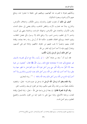ويكمّلهم بمعرفة ما قصرت عنه أفهامهم، ويوقفهم على حقيقة ما عجزوا عنه، ويدفع عنهم الألم والحيرة، ومضرة الشكوك.

أضف إلى ذلك أن تفاوت العقول والمدارك، وتباين الأفكار، واختلاف الأغراض، والمنازع، ينشأ عنه تضارب الآراء، وتناقض المذاهب، وذلك يفضى إلى سفك الدماء، وفيب الأموال، والاعتداء على الأعراض، وانتهاك الحرمات، وبالجملة ينتهي إلى تخريب، وتدمير لا إلى تنظيم، وحسن تدبير، ولا يرتفع ذلك إلا برسول يأتي بفصل الخطاب، ويقيم الحجة، ويوضّح المحجّة، فاقتضت حكمة الله أن يُرسل رسله رحمة بعباده، وإقامة للعدل بينهم، وتبصيرًا لما يجب عليهم من حقوق حالقهم، وإعانة لهم على أنفسهم، وإعذارًا إليهم، فإنه لا أحد أحبَّ إليه العذر من الله.

من أجل ذلك أرسل الرسل وأنزل الكتب.

فقد ثبت أن " سعد بن عبادة " قال: ﴿ لَو رأيت رحلًا مع امرأتي لضربته بالسيف غير مصفح (أي بحده لا صفحته)؛ فبلغ ذلك رسول الله ، ﷺ فقال: "تعجبون من غيرة سعد لأنا أغْيَرُ منه واللَّه أغْير مني ومن أجل غيرة اللَّه حرم الفواحش ما ظهر منها وما بطن، ولا أحد أحب إليه العذر من اللّه، ومن أحل ذلك بعث المبشرين والمنذرين ولا أحد أحبَّ إليه المدح من اللَّه، ومن أحل ذلك وعد اللَّه بالحنة ﴾ (''). رواه البخاري.

ومما تقَدم يعلم أن إرسال اللَّه الرسل مما يدحل في عموم قدرته- تعالى- وتقتضيه حكمتُه، فضلًا منه، ورحمة، واللَّه عليم حكيم، وهذا هو القول الوسط، والمذهب الحق.

وقد أفرط المعتزلة فقالوا: إن بعثة الرسل واجبة على الله – تعالى– إبانة للحقّ، وإقامة للعدل، ورعاية للأصلح، وهذا مبنيٍّ على ما ذهبوا إليه من القول بالتحسين والتقبيح العقليين، وهو أصل فاسد.

<sup>(</sup>١) البخاري الحدود (٢٤٥٤) ، مسلم اللعان (١٤٩٩) ، أحمد (٢٤٨/٤) ، الدارمي النكاح (٢٢٢٧) .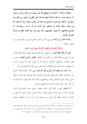وتطرّف البراهمة (`` فأحالوا أن يصطفى الله نبيًّا، ويبعث من عباده رسولا، وزعموا أن إرسالهم عبث، إما لعدم الحاجة إليهم اعتمادًا على العقل في التمييز بين المفاســـد والمصالح، واكتفاءُ بإدراكــــه ما يحتاج إليه العباد في المعاش والمعاد، وإما لاستغناء الله عن عباده، وعدم حاجته إلى أعمالهم، خيرًا كانت أم شرًّا، إذ هو- سبحــانه- لا ينتفع بطاعتهم، ولا يتضررُ بمعصيتهم، وقد سبق بيان عدم كفاية العقل في إدراك المصالح والمفاسد.

**وحاجة العالم إلى الرسالة** مع غنى اللّه عن أعمال الخلق، فليس إرسالهم عبثا بل هو مقتضى الحكمة.

المسألة الثامنة في المعجزة الفرق بينها وبين السحر

كل ما لم تبلغه طاقة البشر، و لم يقع في دائرة قدرتمم، فهو معجزة، وقد تُطلق المعجزة على ما حرج عن طاقة العامة من الخلق دون الخاصّة، **كبعض المسائل العلمية**، واحتراع بعض الآلات، والأجهزة الحديثة، وغيرها مما لا يقوى عليه إلَّا حواص الناس، وكــالغوص، والسباحة، وحمل الأثقال، وهذا عجز نسبي يكون في مخلوق دون آخر.

وأما المراد من المعجزة هنا (أي في علم التوحيد): فهي الأمر الخارق للعادة الخارج عن سنة الله في خلقه، الذي يظهره الله على يد مُدّعى النبوة تصديقًا له في دعواه، وتأييدًا له في رسالته، مقرونًا بالتحدّي لأمته، ومطالبتهم أن يأتوا بمثله، فإذا عجزوا كان ذلك آية من الله– تعالى– على اختياره إيّاه، وإرساله إليهم بشريعته.

أما السحر: فهو في اللغة كل ما دق، ولطف، وخفى سببه، فيشمل قوة البيان، وفصاحة اللسان، لما في ذلك من لطف العبارة، ودقَّة المسلك، ويشمل النميمة لما فيها من خفاء أمر النَّمام، وتلطفه في خداع من نم بينهما ليتم له ما يُريد من الوقيعة، ويشمل

(١) البراهمة : قيل : إلهم جماعة من حكماء الهند تبعوا فيلسوفًا يسمى برهام فنسبوا إليه ، وقيل : إلهم طائفة عبدت صنمًا يسمى (بـــرهـم) فنسبت إليه ، والقصـــد بيان مذهبهم في الرسالة . والرد عليه بما يدفع شبهتهم ، مع أن بعضهم قد اعترف برسالة آدم . وآخرين منهم اعترفوا برسالة إبراهيم ، – عليهما السلام– .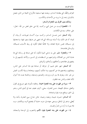العزائم والعُقَد التي يعقدها الساحر، وينفث فيها مستعينا بالأرواح الخبيثة من الجن، فيصل بذلك في زعمه إلى ما يريد من الأحداث والمكاسب.

وبذلك يتبين الفرق بين المعجزة والسحر :

**١– فالمعجزة** ليست من عمل النبي، وكسبه. إنما هي خلق محض من الله– تعالى– على حلاف سنته في الكائنات.

وأما السحر: فمن عمـــل الساحر، وكسبه سواء أكـــان تعويذات، أم بيانا، أم نميمة، أم غير ذلك، وله أسبابه ووسائله التي قد تنتهي بمن عرفها ومهر فيها، واستعملها إلى مسببالها، فليس خارقا للعادة، ولا مخالفًا لنظام الكون في ربط الأسباب بمسببالها، والوسائل بمقاصدها.

٢– والمعجزة: تظهر على يد مدعى النبوة لتكون آية على صدقه في رسالته التي هما هداية الناس من الضلالة، وإخراجهم من الـــظلمات إلى النــــور، والأخذ بأيديهم إلى ما ينفعهم في عقائدهم، وأحلاقهم، وأبداهُم، وأموالهم.

**أما السحر**: فهو حلق ذميم، أو خرافة، أو صناعة يموه ها الساحر على الناس، ويضللهم، ويخدعهم ها عن أنفسهم، وما ملكت أيديهم، ويتخذها وسيلة لكسب العيش من غير حله، ويفرق ها بين المرء وزوجه، والصديق وصديقه، وبالجملة يفسد ها أحوال الأمة بخفاء، والناس عنه غافلون.

٣– سيرة من ظهرت على يده المعجزة حميدة. وعاقبته مأمونة، فهو صريح في القول والفعل، صادق اللهجة، حسن العشرة، سخي، كريم، عفيف عما في أيدي الناس، يدعو إلى الحق، وينافح دونه بقوة وشجاعة.

أما الساحر: فسيرته ذميمة، ومغبته وحيمة، حائن حداع سيئ العشرة، يأحذ ولا يُعطي، يدعو إلى الباطل، ويسعى جهده في ستره، خشية أن يفتضح أمره، وينكشف سره، فلا يتم له ما أراد من الشرّ والفساد.

£ – من ظهرت على يده المعجزة يقود الأمم والشعوب إلى الوحدة والسعادة،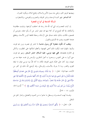ويهديها طريق الخير، وعلى يده يسود الأمن والسلام، وتفتح البلاد، ويكون العمران. أما الساحر: فهو آفت الوحدة، ونذير الفرقة، والتخريب والفوضى، والاضطراب. المسألة التاسعة في أنواع المعجزة

إن آيات المعجـــزات التي أيد اللّه بما رسله قد اختلفت أنواعها، وتباينت مظاهرها وأشكالها، إلا ألها تجتمع في أن كلا منها قد عجز البشر عن أن يأتوا بمثله، منفردين أو مجتمعين، فكانت بذلك شاهد صدق على الرّسالة، وحجَّة قاطعة تخرس الألسنة، وينقطع عندها الخصوم، ويجب لها التّسليم والقبول.

ويغلب أن تكون معجزة كل رسول مناسبة لما انتشر في عصره، وبرز فيه قومه، وعُرفوا بالمهارة فيه، ليكون ذلك أدعى لفهمها، وأعظم لدلالتها على المطلوب، وأمكن في الالتزام بمقتضاها، ففي عهد موسى، عليه السلام، انتشر السحر، ومهر فيه قومه، حتى أثروا به على النفوس، وسحروا به أعينَ الناظرين، وأوحس في نفسه خيفة منه من شهده، وإن كان عالي الهمّة، قوي العزيمة، فكان ما آتاه اللهّ نبيه موسى فوق ما تبلغه القوى والقدر، وما لا يدرك بالأسباب والوسائل، وقد أوضح اللّه ذلك في كثير من الآيات، منها قوله- تعالى-: ﴿ وَمَا تِلْكَ بِيَمِينكَ يَنْمُوسَىٰ ١٠ قَالَ هِيَ عَصَايَ أَتَوَكَّؤُاْ عَلَيْهَا وَأَهْشُ بِهَا عَلَىٰ غَنَمِي وَلِيَ فِيهَا مَثَارِبُ أُخْرَىٰ ۞ قَالَ أَلْقهَا يَنمُوسَىٰ ۞ فَأَلْقَنهَا فَإِذَا هِيَ حَيَّةٌ تَسْعَىٰ ۞ قَالَ خُذْهَا وَلَا تَخَفَّ ۖ سَنُعِيدُهَا سِيرَتَهَا ٱلْأُولَىٰ ۞ وَٱضْمُمْ يَدَكَ إِلَىٰ جَنَاحِكَ تَخَرُجْ بَيْضَآءَ مِنْ غَيْرِ سُوٓءٍ ءَايَةً أُخۡرَىٰ ۞ لِنُرِيَكَ مِنۡ ءَايَـٰتِنَا ٱلۡكُبۡرَى ۞ ﴾ (') [سورة طه، الآيات: ١٧ - ٢٣].

و لهــــذا بُـهت السحــــرة، وبــــطل ما جاءوا به من التمويه والتضليل، وامتاز الحق عن الباطل.

قال– تعالى–: ﴿ وَأُلِّقِيَ ٱلسَّحَرَةُ سَجِدِينَ ۞ قَالُوٓاْ ءَامَنَّا بِرَبِّ ٱلۡعَـٰلَمِينَ ۞ رَبِّ مُوسَىٰ

.  $\Upsilon \Upsilon = \Upsilon \Upsilon$ : 4 ملورة طه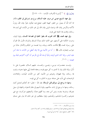وَهَـٰزُونَ ۞ ﴾ ('') [سورة الأعراف، الآيات: ١٢٠– ١٢٢].

وفي عهد المسيح عيسى ابن مريم، عليه السلام، برع بنو إسرائيل في الطب فكان مما آتاه اللَّه أن يصوّر من الطين كهيئة الطير، فينفخ فيه، فيكون طيرًا بإذن الله، وإبراءُ الأكمه والأبرص بإذن الله، وإحياء الموتى بإذن الله، إلى غير ذلك من الآيات التي ثبتت بما , سالته، وقامت بما الحجة على قومه.

وفي عهد محمد، ﷺ كان العرب قد بلغوا الغاية في فصاحة اللسان، وقوة البيان، وجرت الحكمة على ألسنتهم حتى اتخذوا ذلك ميدانًا للسباق والمباراة، فأنزل الله القرآن على رسوله محمد، ﷺ فكانت بلاغته، وبيانه، وما تضمنه من الحِكم والأمثال حانبًا من حوانب إعجازه، قال، ﷺ ﴿ "ما من الأنبياء نبي إلا وقد أعطيَ من الآيات ما مثله آمن عليه البشر، وإنما كان الذي أوتيته وَحْيًا أوحاه اللّه إلى فأرجو أن أكون أكثرهم تابعًا يوم القيامة ﴾ (٢) (٣).

وليست معجـــزات موسى، وعيسى، ومحمـــد، عليهم السلام، مقصورة على ما ذُكِرَ، وإنما ذلك بيان لما تحدي به كلِّ منهم قومه، وجعله قاعدة يَبْني عليها دعوته، وتثبت ها رسالته، وإلا فلهؤلاء وغيرهم من الأنبياء كثير من الآيات البيّنات، والعلامات الواضحات التي دلَّت على صدقه سوى ما تحدَّى به كل بيي قومه.

ومنها ما يرجع إلى سيرقم قبل الرسالة، فإن الله - تعالى- قد أعدَّهم لتحمل أعباء رسالته، ومنها ما يرجع إلى ثبات جأشهم، وقوة بأسهم في مقام الدعوة، والجهاد في سبيل نصرها، ونشرها بنفسه، وبمن آمن معه، وما أقلهم عددًا، وأضعفهم شوكــة، مع غني عدوهم، وكثــرة عَدَدهم، وعُددهم، وقوة سلطالهم، إلى غير ذلك ممًا يدل على صدق

- . ١٢١ سورة الأعراف : ١٢٠ ١٢٢ .
- (٢) البخاري فضائل القرآن (٤٦٩٦) ، مسلم الإيمان (١٥٢) ، أحمد (١/٢٥٢) .
	- (٣) " مختصر صحيح مسلم " (١٩) عن أبي هريرة .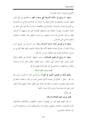الدَّاعي في دعوته، وكمال يقينه ها.

ومنها: ما يرجع إلى سلامة الشريعة التي يدعون إليها، وحكمتهم في حمل الناس عليها، وقـــوة حجاجهم في الدفاع عنها، وما شوهد من آثارها في صلاح من اهتدى بما من الأمم في الدولة، والسياسة، والاجتماع، والاقتصاد، والحرب، والسلم، وغير ذلك من أحوال الشعوب، حتى إذا حرّفوها عن مواضعها، فأولوها على غير وجهها، أو أعرضوا عنها، وتركوا العمــــل ها دالت دولتهم، وســــاءت حالتهم، فإن العاقبـــة للمتقين، والخيبة والخزي على المفسدين.

ومنها ما يرجع إلى آيات حسية أكرم ها رسله، ومن آمن هم من: تفريج كربة، وإزالة شدَّة، أو خوارق عادات طلبتها الأمة بغيًا وعنادًا، فأجيبت إليها دفعًا للحرج عن الرسل، وزيادة في التثبيت لهم، والإعذار إلى من كفر بمم.

ومنها: ما يوجع إلى تعليم الصناعات، وتيسير طرقها: كإسالة عين القطر، وإلانة الحديد لداود، عليه السلام، على حلاف سنــة الكون، ليكون ذلك آية له وكرامة، وليكون سعة للعباد ورحمة لهم، إلى غير ذلك مما لا يحصيه إلا الله.

### قصة يوسف عليه السلام

وإليك أمثلة من قصص الأنبياء في القرآن ترشدك إلى كثير مما ذكرت، وتبين لك سنة الله – تعالى– الماضيةُ في إعداده الأنبياء لتحمل أعباء الرسالة، وحكمته البالغة في تأييده إياهم بالمعجزات الباهرات، لتقوم ها الحجة على أممهم، إعذارًا إليهم، ولئلا يكون للناس على الله حجة بعد الرسل، وكان عزيزا حكيمًا.

فمن ذلك:

#### قصة يوسف عليه الصلاة والسلام:

إن هذه القصة فيها كثير من العجائب، والعبر، والعظات، والأحكام، والأحلاق، وألوان الامتحان، والابتلاء، والفضل، والإحسان، والذي أقصد إليه من مباحثها هنا أمرين لمزيد اتصالهما بالموضوع: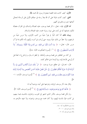الأول: كيف كانت هذه القصة معجزة لرسول الله محمد ﷺ.

**الثاني**: كيف كانت دليلا على أن الله يعدّ رسله في حيالهم الأولى قبل الرسالة لتحمّل أعبائها حين إرسالهم إلى أممهم.

أما الأول: فإنه- تعالى- ذكر قصة يوسف، عليه الصلاة والسلام، في القرآن مفصَّلة لتكون بجملتها آية بل آيات على نبوة رسوله محمد، عليه الصلاة والسلام.

**وبيان ذلك** أنهَّ كان أميًّا لم يقرأ شيئًا من كتب الأولين، ولا درس شيئًا من تاريخهم، ولا خطَّ من ذلك شيئًا بيمينه حتى يُرتاب في أمره، ويُتَهم بأنه تكلم بما قرأ أو درس. قال– تعالى–: ﴿ وَمَا كُنتَ تَتْلُواْ مِن قَبْلِهِۦ مِن كِتَـٰبِ وَلَا تَخُطُّهُۥ بِيَمِينِكَ ۗ إذَا لَّارَتَابَ ٱلْمُبْطِلُونَ ۞ ﴾ ```. [سورة العنكبوت الآية: ٤٨ ].

بل كان من الغافلين عن قصة يوسف وأمثالها، لم تخطر له ببال، ولم تقرع له سمعًا قبل أن يُوحى الله ها إليه، ويذكرها له في محكم كتابه.

قال– تعـــالى– في مطلع سورة يوسف: ﴿ الْرَّ تِلْكَ ءَايَنتُ ٱلْكِتَنبِ ٱلْمُبِينِ ۞ إنَّا أَنزَلْنَهُ قُرَّءَ'نَا عَرَبِيًّا لَّعَلَّكُمْ تَعْقِلُونَ ۞ بَحْنُ نَقُصُّ عَلَيْكَ أَحْسَنَ ٱلْقَصَص بمَآ أَوْحَيْنَآ إلَيْكَ هَـٰذَا ٱلْقُرْءَانَ وَإِن كُنتَ مِن قَبْلِهِۦ لَمِنَ ٱلْغَـٰفِلِينَ ۞ ﴾ (`` [سورة يوسف الآيات: ١- $\cdot$ [۳

وقال بعد ذكر يوسف لرؤياه، وعرضها على أبيه، ووصية أبيه له:

﴿ ﴾ لَّقَدۡ كَانَ فِي يُوسُفَوۡإِخۡوَتِهِۦٓ ءَايَـٰتٌ لِّلسَّآبِلِينَ۞ ﴾ (") [سورة يوسف الآية: ٧]. و لم تكن قصة يوسف بالأمر الذي اشتهر في العرب، وتناولوه بالحديث فيما بينهم، بل كانت غيبًا بالنسبة إليهم، ولا كان محمد مع يوسف وإخوته، ولا شهد مكرهم به،

- (١) سورة العنكبوت آية : ٤٨ .
	- (٢) سورة يوسف : ١ ٣ .
	- (٣) سورة يوسف آية : ٧ .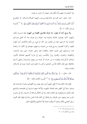ولا كيدهم له، فيتهم بأنه تكلم بأمر شهده، أو انتشر بين قومه.

قال– تعالى– لنبيه محمد في ختام قصة يوسف، عليهما الصلاة والسلام: ﴿ ذَٰلِكَ مِنْ أَنْبَآءِ ٱلۡغَيۡبِ نُوحِيهِ إِلَيۡكَ ۖ وَمَا كُنتَ لَدَيۡهِمۡ إِذۡ أَجۡمَعُوٓا۟ أَمۡرَهُمۡ وَهُمۡ يَمۡكُرُونَ ۞ ﴾ ('' [سورة يوسف الآية: ١٠٢].

ولا يسع أحد أن يقول: إنه عرف تفاصيل القصة من اليهود، فإن السورة مكية، واليهود كانوا يعيشون بالشام والمدينة وما حولها، ولم يعرف عنه أنّه اتَصل هم قبل الهجرة، ولا دارسهم شيئا من العلوم، ولو كان تم شيءٍ من ذلك لانكشف أمره لطول العهد، وكثرة الخصوم، وحرج قومه من دعوته، وسعيهم جهدهم في الكيد له، والصدِّ عنه، وحرصهم على تشويه سمعته، والقضاء عليه وعلى دعوته، حبّى رموه بالسحر، والكهانة، والجنون، والهموه زورًا بالكذب، وهو في قرارة أنفسهم الصادق الأمين، وتبادلوا الرأي فيما يوقعونه به من حبسه، أو طرده من بينهم، وتشريده، وانتهى أمرهم بالاتفاق على قتله، فأبحاه الله من كيدهم، وكتب له الهجرة إلى المدينة حيث عزَ الإسلام، وقامت دولته.

قال- تعالى-: ﴿ وَإِذْ يَمْكُرُ بِكَ ٱلَّذِينَ كَفَرُواْ لِيُثْبِتُوكَ أَوْ يَقْتُلُوكَ أَوْ يُحْرِجُوكَ ۚ وَيَمْكُرُونَ وَيَمۡكُرُ ٱللَّهُ ۚ وَٱللَّهُ خَيۡرُ ٱلۡمَـٰكِرِينَ۞۞۞ ۞ (\*) [سورة الأنفال الآية: ٣٠].

فقوم هذا شأنهم معه لا يخفى عليهم أمره، وهو يعيش بين أظهرهم، وهم له بالمرصاد، فلو وجدوا سبيلا إلى الطعن عليه باتصاله باليهود، والأخذ عنهم لسارعوا إلى فضيحته، والتشنيع عليه بذلك، و لم يضطروا إلى الافتراء عليه، ولا إلى التفكير في قتله أو تشريده، ولا إلى نشوب الحرب بينه وبينهم سنين طويلة، و لم يلجأوا إلى الهامه لهمة تحمل ردها في طيها، فقد الهموه برحل أعجمي بمكة، وادعوا أنه يعلّمه، فسفَه الله أحلامهم وألقمَهُم الحجر.

- (١) سورة يوسف آية : ١٠٢ .
	- (٢) سورة الأنفال آية : ٣٠ .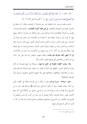قال– تعالى–: ﴿ وَلَقَدْ نَعْلَمُ أَنَّهُمْ يَقُولُونَ إِنَّمَا يُعَلِّمُهُۥ بَشَرٌ ۚ لِّسَانِ ۢ ٱلَّذِى يُلۡحِدُونَ إِلَيْهِ أَعْجَمِيٌّ وَهَـٰذَا لِسَانٌ عَرَبِيٌّ مُّبِينٌ ١١٦ ﴾ ('') [سورة النحل الآية: ١٠٣].

وليست قصة يوسف حبرًا مقتضبًا عبَّر عنه بالجملة أو الجملتين، فيقال: إن صدقه في الحديث عنها وليد الصدفة والاتفاق، **بل هي قصة كثيرة العجائب**، متشعبة الموضوعات، وقعت بين أطراف مختلفة في أزمان متباعدة، فمن رؤيا صادقة، إلى مؤامرة، ثم نجاة، يتبعها بيع، ثم إيواء، إلى مراودة، يتبعها هم، ثم عصمة من الفحشاء، إلى سجن فيه دعوة إلى التوحيد، مع رفق وحُسْن سياسة، وتأويل للرؤيا أصدق تأويل، يتبع ذلك خروجه عليه السلام، من السجن بريئًا من التهمة، وتولَّيه شئون الدولة، واحتماع إخوته به، مع معرفته لهم، وإنكارهم إياه، وما أكثر ما دارٍ بينه وبينهم من الأحاديث وما جرى من الأحداث، إلى أن انتهى ذلك بتعريفه لهم بنفسه، وعفوه عنهم، وحضور أبيه إليه على حير حال، إلى غير ذلك من التفاصيل التي يعرفها البصير بكتاب اللهّ.

وقد سيقت القصة مفصلة في جميع نواحيها، مستوفاة في جميع فصولها، في أدق عبارة، وأحكم أسلوب، أفيعقل بعد ذلك أن يًقال: إن صدقه، عليه الصلاة والسلام، فيما سرده من قضاياها، ووقائعها، وعجائبها على هذا النهج الواضح، والطريق السوي وليدُ الصدفة والاتفاق؟!

<del>خ</del>تم— **سبحانه**— **سورة يوسف** بمثل ما بدأها به من الإرشاد إجمالًا إلى القصد الذي من أجله سيقت القصة، وهو أن تكون آية على نبوة محمد ﷺ وصدقه فيما جاء به من التشريع، وأن قصة يوسف، ونحوها مما نزل به الوحي مستقى من المشكاة التي أخذ منها الأنبياء، فليس حديثًا مفترى، ولكنه تصديق لما بين يديه من كتب المرسلين، وتفصيل لما يحتاج إليه المكلفون من التشريع في معاشهم ومعادهم، وجماع الهداية والرحمة لمن كان له قلب، أو ألقى السمع وهو شهيد.

(١) سورة النحل آية : ١٠٣.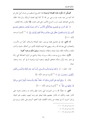أفيمكن أن تكون هذه القيادة الرشيدة هذا التشريع المستقيم من إنسان أميّ عاش في أمة أمية من عند نفسه دون وحي من الله !؟ كلا إنَها العناية الربانيَّة، والرسالة الحقَّة، والوحي الصادق المبين، نزل به الروح الأمين، على قلب محمد، ﷺ ليكون رحمة للعالمين.

﴿ لَقَدْ كَانَ فِي قَصَصِهِمْ عِبْرَةٌ لِّأُوْلِي ٱلْأَلْبَبِ َّمَا كَانَ حَدِيثًا يُفْتَرَك وَلَنكِن تَصْدِيقَ ٱلَّذِى بَيْنَ يَدَيْهِ وَتَفْصِيلَ كُلّ شَيْءٍ وَهُدًى وَرَحْمَةً لِّقَوْمِ يُؤْمِنُونَ ۞ ﴾ (') [سورة يوسف  $\sqrt{|\Upsilon_0\rangle}$ 

أما الثاني: فإن في تفاصيل قصة يوسف، عليه الصلاة والسلام، كثيرًا من الأسرار، والعجائب التي يعد ها الله رسله، ويهيئ ها أنبياءه لقيادة الأمم، من أخلاق سامية، وآداب عالية، وحكمة بالغة، وقرة عزيمة، وعقائد صحيحة، ويتبَيِّنَّ **ذلك بوجوه كثيرة:** 

الأول: صفاء روح يوسف، ونقاء سريرته، وهذا واضح من الرؤيا الصادقة التي رآها في صغر سنة، وأول نشأته، فتحقق تأويلها بسجود أبويه وإخوته له في كبر سنه، وختام. حىاته.

قال– تعالى–: ﴿ إِذْ قَالَ يُوسُفُ لِأَبِيهِ يَتَأْبَتِ إِنِّي رَأَيْتُ أَحَدَ عَشَرَ كَوْكَبًا وَٱلشَّمْسَ وَٱلْقَمَرَ رَأَيْتُهُمْ لِي سَنجِدِينَ ۞ ﴾ (") [سورة يوسف الآية: ٤].

وقال: ﴿ وَرَفَعَ أَبَوَيْهِ عَلَى ٱلْعَرْشِ وَخَرُّواْ لَهُۥ سُجَّدَا ۖ وَقَالَ يَتَأَبَتِ هَـٰذَا تَأْوِيلُ رُءْيَنِيَ مِن قَبْلُ قَدْ جَعَلَهَا رَبّي حَقًّا ﴾ (٣) [سورة يوسف الآية: ١٠٠].

**الثاني**: ما خصَّهُ الله به من المميزات التي زادت تعلق والده به، وحملت إحوته على التآمر عليه، والكيد له، فأشار بعضهم بقتله ليخلو لهم وجه أبيهم، وتطيب لهم الحياة، ورأى آخرون أن في إبعاده عن والده الكفاية، فلما أجمعوا أمرهم على ذلك، ورموه في

- (١) سورة يوسف آية : ١١١ .
	- (٢) سورة يوسف آية : ٤ .
- (٣) سورة يوسف آية : ١٠٠ .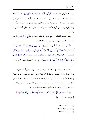غيابة الجبّ أوحى الله إليه: ﴿ لَتُنَبِّئَنَّهُم بِأَمْرِهِمْ هَـٰذَا وَهُمْ لَا يَشۡعُرُونَ۞﴾ ('') [سورة يوسف الآية: ١٥]. إيناسًا له، وإزاحة للغمة عن نفسه، وهيأ له من أخرجه من البئر لكنهم باعوه بثمن بخس دراهم معدودة، فرعاه الله، وجعله عند من يكرم مثواه، ومكَّن له في الأرض، وعلمه من تأويل الأحاديث، واللّه غالب على أمره، ولكنَ أكثر الناس لا بعلمون.

**وبعد أن مكَّن اللَّه له**، واجتمع بإخوته لم ينتقم لنفسه، بل صَفَحَ عن الزَلَّة، وعفا عند القدرة، ونبأهم بما سبق من سوء صنيعهم معه في الصَّغر.

﴿ قَالَ هَلْ عَلَمْتُم مَّا فَعَلَّمُ بِيُوسُفَ وَأَخِيهِ إِذْ أَنتُمْ جَنهِلُونَ ﴿ وَالْوَاْ أَءِنَّكَ لَأنتَ يُوسُفُ مَّ قَالَ أَنَاْ يُوسُفُ وَهَـٰذَآ أَخِي ۖ قَدۡ مَر ۚ ﴾ لَللَّهُ عَلَيۡنَآ ۖ إِنَّهُۥ مَن يَتَّق وَيَصۡبرۡ فَإِنَّ ۖ ٱللَّهَ لَا يُضِيعُ أَجۡرَ ٱلْمُحْسِنِينَ ۞ قَالُوا تَٱللَّهِ لَقَدْ ءَاثَرَكَ ٱللَّهُ عَلَيْنَا وَإِن كُنَّا لَخَطِينَ ۞ قَالَ لَا تَثْرِيبَ عَلَيْكُمُ ٱلْيَوۡمَ ۖ يَغۡفِرُ ٱللَّهُ لَكُمۡ ۖ وَهُوَ أَرۡحَمُ ٱلرَّ حِمِينَ ۞ ۞ ۞ (`` [سورة يوسف الآية: ٨٩–  $\sqrt{97}$ 

**الثالث:** عفَة فرحه، ونزاهة نفسه، مع توافر دواعي الشهوة، وقميئ أسباب الجريمة، من دوام الخلوة، ومزيد الخلطة، والدعوة إلى الفاحشة، وحياته معها في بيتها، وأخذها الحيطة في إغلاق الأبواب. لقد كان يوسف من المخلصين للّه، فاستعاذ به، واستقبح أن يقابل جميلٍ من أحسن مثواه بخيانته في عرضه. وذكر ما يصيب الظالمين في العواقب من الخسار أو الدمار، وبذلك صرف الله عنه السوء والفحشاء، وأظهر براءته.

﴿ يُوسُفُ أَعْرِضْ عَنْ هَـٰذَا ۚ وَٱسْتَغْفِرِي لِذَنْبِكِ ۖ إِنَّكِ كُنتِ مِنَ ٱلْحَاطِينَ ۞ ﴾ ("َا [سورة يوسف الآية: ٢٩].

- (١) سورة يوسف آية : ١٥ .
- . ٩٢ ٨٩ : پوسف : ٩٦ ٩٢ .
	- (٣) سورة يوسف آية : ٢٩ .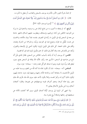ثم اشتدّ بامرأة العزيز الأمر، فأنذرت يوسف بالسجن والعذاب، أو يفعل ما تأمره به. فقال: ﴿ قَالَ رَبِّ ٱلسِّجْنُ أَحَبُّ إِلَيَّ مِمَّا يَدۡعُونَنِيٓ إِلَيۡهِ ۖ وَإِلَّا تَصۡرِفۡ عَنِي كَيۡدَهُنَّ أَصۡبُ إِلَيْهِنَّ وَأَكُن مِّنَ ٱلْجَنهِلِينَ۞﴾ ۞ (') [سورة يوسف الآية: ٣٣].

الرابع: أنه لم يشغله ما أصيب به من تتابع البلاء عن ربه ودينه، والدعوة إلى ما ورثه من التوحيد الخالص عن آبائه: إبراهيم، وإسحاق، ويعقوب، عليهم السلام، فانتهز حاجة من معه في السجن إليه في تأويل ما رأياه في التعريف بنفسه، فبدأ ببيان مكانته، والحديث عن نفسه، ليُقْبَل منه قوله، ونصح لهما في التوحيد وزيَّنه، وحذرهما من الشرك وقبحه، وأقام على ذلك الحجة، كلِّ ذلك قبل تأويل الرؤيا، ليكون أدعى إلى الإصغاء والقبول، وأبعد عن الإعراض عنه، وقد أطال في ذلك، ثم حتم بتأويل الرؤيا لهما في آية قصيرة.

**الخامس**: أن يوسف أراد أن يأخذ بأسباب الخلاص من السجن، فقال للذي ظَنَ أنَّه ناج من صاحبيه في السجن: اذكرني عند ربّك. فأدَّبه الله ببقائه في السجن بضع سنين، ليعلق قلبه بربِّه دون غيره، ويتم له صدق التوكُّل عليه وحده – سبحانه– دون سواه.

**السادس**: أنه– سبحانه– شاء أن تكون نجاته بما آتاه اللّه من العلم، وبـــما علَمه من تأويل الأحاديث، لا بشفاعة أحد، ولحاحة الأمة راعيها ورعيتها إليه، دون حاحته إليهم، ليكون ذلك أكرم له، وأعزَ لنفسه، ولئلا يكون لأحد عليه سوى الله منَة، فأرى الله ملك مصر رؤيا هاله أمرها، وعجز أشراف قومه ووجهاؤهم عن تعبيرها، وقالوا: أضغاث أحلام، وما نحن بتأويل الأحلام بعالمين !!

ولما انتهى أمر الرؤيا إلى يوسف أوَّلها أصدق تأويل، وبين ألها كشفت للأمة عن مستقبلها في رحائها وشدقما أربع عشرة سنة.

﴿ قَالَ تَزْرَعُونَ سَبْعَ سِنِينَ دَأَبًا فَمَا حَصَدتُّمْ فَذَرُوهُ فِي سُنُبُلِهِۦٓ إِلَّا قَلِيلًا مِّمَّا تَأْكُلُونَ (٢٦٢) ثُمَّ يَأْتِي مِنْ بَعْدِ ذَٰلِكَ سَبَّعٌ شِدَادٌ يَأْكُلُنَ مَا قَدَّمَتُمْ لَهُنَّ إِلَّا قَلِيلاً مِّمَّا تُحَصِنُونَ (٢٦٨) ثُمَّ يَأْتِي مِنْ بَعْدِ ذَٰلِكَ

(١) سورة يوسف آية : ٣٣ .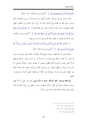عَامٌ فِيهِ يُغَاثُ ٱلنَّاسُ وَفِيهِ يَعْصِرُونَ (٢٦) ﴾ ( ' ) [سورة يوسف الآيات: ٤٧ - ٤٩].

فأخذ تفسير يوسف من قلب الملك مأخذه، ولم يسعه إلا أن يرسل بإحضاره، فأبي يوسف حتى ينظر في قضيته مع النسوة، فإنه قد زُجَّ به في السجن من أحلهن، ففعل الملك، وظهرت براءته، عليه السلام، وحضر إلى الملك فقال له: ﴿ إِنَّكَ ٱلْيَوۡمَ لَدَيۡنَا مَكِينٌ أُمِينٌ ۞ قَالَ ٱجۡعَلۡنِي عَلَىٰ خَزَآبِنِ ٱلۡأَرۡض ۖ إِنِّي حَفِيظٌ عَلِيمٌ ۞ ﴾ (`` [سورة يوسف الآيتان: ٤ ٥، ٥٥]. فاستجابَ له الملكَ، وأتم الله ليوسف ما شاء من نعمته.

﴿ وَكَذَالِكَ مَكَّنَّا لِيُوسُفَ فِي ٱلْأَرْضِ يَتَبَوَّأُ مِنْهَا حَيْثُ يَشَآءُ ۚ نُصِيبُ برَحْمَتِنَا مَن نَشَآءُ ۖ وَلَا نُضِيعُ أَجْرَ ٱلْمُحْسِنِينَ۞﴾ ۞ (") [سورة يوسف الآية: ٥٦].

وبذلك يتبين أن الله محّصه ورعاه، بتتابع البلاء والإنجاء، ابتلاه بكيد إحوته له، ورميه في الجب، ثم أبحاه. وابتلاه ببيع السيارة له، ثم هيأ له من أحسن مثواه. وابتلاه بتسليط امرأة العزيز عليه، وبالنسوة اللاتي قطَّعن أيديهن، ثم عصمه وحماه. وابتلاه بالسجن، ثم أخرجه منه بريئًا من التُهمة عليمًا بربه، وبشئون الأمة، في وقت اشتدت فيه حاجة البلاد إلى حفيظ عليم يدبر أمرها، ويقودها في حيالها حير قيادة، فتولَّى أمرها، واستسلم له أهلها.

وفي قصة يوسف، عليه السلام، سوى ما ذكر شيء كثير يدل على أن الله تعهد يوسف برعايته، وتولاه في أطوار حياته، ليتخذه رسولا، ويجعل من سيرتّه الحميدة آيات ببّنات على صدقه، وأمانته فيما يدعبه من الرسالة.

- . ٤٩ ٤٧ : سورة يوسف : ٤٧ ٤٩ .
- . ٥٥ ٥٥ يوسف : ٥٤ ٥٥ .
	- (٣) سورة يوسف آية : ٥٦ .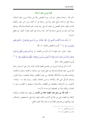### قصة موسى عليه السلام

ذكر الله– سبحانه وتعالى– في أول سورة القصص بيانًا عن نشأة موسى، عليه السلام، وحاله قبل الرسالة، وأتبع ذلك بيانًا عن رسالته إلى أن أنجاه، ومن آمن معه، وأهلك أعداءه ليكون ذلك القصص في جملته آية على نبوة محمد، عليه الصلاة والسلام، وصدقه فيما أنزل عليه من الوحي، ودعا إليه أمته، كما يرشدنا إلى ذلك، بقوله– تّعالى– في مطلع السورة:

﴿ ۚ تِلْكَ ءَايَـٰنُ ٱلۡكِتَـٰبِ ٱلۡمُبِينِ ۞ نَتۡلُوا۟ عَلَيۡكَ مِن نَّبَإِ مُوسَىٰ وَفِرۡعَوۡنَ ۖ بِٱلۡحَقّ لِقَوۡمِ يُؤْمِنُورَ ﴾ ﴾ ('') [سورة القصص الآيتان: ٢، ٣].

وقوله– تعالى– عند انتهاء ما أراد ذكره من القصة: ﴿ وَمَا كُنتَ يُجَانِبِ ٱلطُّورِ إِذْ نَادَيْنَا وَلَـٰكِن رَّحۡمَةً مِّن رَّبِّكَ لِتُنذِرَ قَوْمًا مَّآ أَتَنهُم مِّن نَّذِيرِ مِّن قَبْلِكَ لَعَلَّهُمْ يَتَذَكَّرُونَ (٢٩) ﴾ (٢ [سورة القصص الآية: ٤٦].

أما ما ذكر في هذه السورة من تفاصيل القصة فآيات بيِّنات تدل على كـــمال رعاية الله لموسى، عليه الصلاة والسلام، في جميع شئونه: في رضاعته، وكفالته، وعلمه وحكمته، وإعداده بالقــوة، والأخلاق الفاضلة، من نصرة المظلوم، وإعانة الضعيف، وعزَة النفس، وصدق التوكَّل على الله، والأمانة، وحسن المعاملة، ليكون رسولا ينقذ به– سبحانه– الشعوب من الاستعباد، ويخلصها من الطغيان، والاستبداد، ويهدي به القلوب، وينير به البصائر، وإليك شيئًا من تفصيلها ترى منه ما ذكرت:

١- قَدم اللَّه بين يدي هذه القصة جملة من الآيات بين فيها سنته العادلة، وحكمته البالغة، في القضاء على من علا في الأرض، وأفسد فيها، ومنّه على المستضعفين، والتمكين لهم، وإدالتهم من عدوهم، فضلًا منه ورحمة، والله عليم حكيم.

- $\mathbf{y} = \mathbf{y}$ . سورة القصص: ٢ ٣.
- (٢) سورة القصص آية : ٤٦ .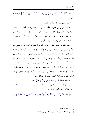﴿ سُنَّةَ ٱللَّهِ ٱلَّتِي قَدْ خَلَتْ مِن قَبْلُ ۖ وَلَن تَجِدَ لِسُنَّةِ ٱللَّهِ تَبْدِيلًا ۞ ﴾ (`` [سورة الفتح الآبة: ٢٣].

ثم فصًّا ذلك فيما ذكره بعد من القصة.

٢- ولد موسى بن عمران، عليه السلام، في مصر، وكان ملكها إذ ذاك حبارًا حائرًا، يقتل ذكران بني إسرائيل، ويستحيي نساءِهم، فأوحى الله إلى أم موسى أن تلقيه في اليم إذا حافت عليه من فرعون وجنوده، ووعدها وعدًا صادقًا أن يردّه إليها، ففعلت، وأنجاه الله، والتقطه آل فرعون، وتداولوا الرأي فيه.

وعند ذلك مر موسى بطَوْر آخر من أطوار الخطر، ثم كتب اللّه أن ينتهي هِم التفكير في أمره إلى أن يتخذه فرعون ولدًا، وأن ينشأ في بيت ملك يتربًى فيه على العزة، وشدة البأس، وقوة العزم، والأخذ بالحزم، ولا يصاب بما أصيب به قومه من العذاب، والذَّل، والهوان. وبذلك يصلح لحمل أعباء الرسالة، ومواجهة فرعون في جبروته وطغيانه <sup>(٢)</sup>. ثم أولاه الله نعمة أخـــرى، فكتب عليه ألا يرضع إلا من أمه، حتى اضطر فرعون، ومن معه إلى أن يردُّوه إلى أمه، وهم لا يشعرون، وهذا التدبير الحكيم، واللطف الخفيي، أنجز الله لأم موسى وعده، فرجع إليها ولدها لتكفله، ويتمتع بعطفها، وينعم بحنالها، وتقر به عيناها ولا تحزن، ولتعلم أن وعد الله حق.

٣- هذه الحلقة الأولى من حياة موسى كلها عبرٌ وآيات:

منها: أن الله- سبحانه وتعالى– جعل نجاته مما أصاب غيره من أبناء قومه فيما يراه الناس دمارًا، وإلقاءً بالنفس إلى التهلكة.

﴿ وَأَوْحَيْنَآ إِلَىٰٓ أُمِّرٍ مُوسَىٰٓ أَنْ أَرْضِعِيهِ ۖ فَإِذَا خِفۡتِ عَلَيۡهِ فَأَلۡقِيهِ فِي ٱلۡيَمۡرَوۡلَا ۖ يَخَافِي وَلَا

(٢) انظر آية (٣٨) من سورة القصص وآية (٢٤) من سورة (النازعات) .

<sup>(</sup>١) سورة الفتح آية : ٢٣ .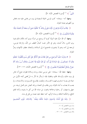تَحَزَنِ<sub>ن</sub>َ ﴾ <sup>(١)</sup> [سورة القصص الآية: ٧].

و منها: أنه- سبحانه- كتب لموسى الحياة السعيدة في بيت من يخشى عليه منه، فعاش بين أظهرهم عيشة الملوك.

﴿ وَقَالَتِ ٱمْرَأَتُ فِرْعَوْنِکَ قُرَّتُ عَيْنِ لِّى وَلَكَ ۖ لَا تَقْتُلُوهُ عَسَىٰٓ أَن يَنفَعَنآ أَوْ نَتَّخِذَهُۥ وَلَدًا وَهُمْ لَا يَشْعُرُونَ ۞ ﴾ (") [سورة القصص، الآية: ٩].

ومنها: أن الله حرَّم عليه تحريمًا كونيا أن يرضع من امرأة سوى أمه، فكان ذلك فيما يري الناس، بلاءً أصابه، وهو في الأمر نفسه كمالُ اللطف من اللّه، والرحمة بموسى، ليرجعه إلى أمه، وهم لا يشعرون، فاجتمع له إلى السلامة، والنجاة، عطف الأمهات وعزُّ الملوك.

﴿ ﴾ وَحَرَّمْنَا عَلَيْهِ ٱلْمَرَاضِعَ مِن قَبْلُ فَقَالَتْ هَلْ أَدُلُّكُمْ عَلَىٰٓ أَهْلِ بَيْتِ يَكْفُلُونَهُۥ لَكُمْ وَهُمْ لَهُۥ نَنصِحُونَ ۞ فَرَدَدْنَهُ إِلَىٰٓ أُمِّهِۦ كَيْ تَقَرَّ عَيْنُهَا وَلَا تَحْزَنَ ۖ وَلِتَعْلَمَ أَنَّ وَعْدَ ٱللَّهِ

حَوِّ \* وَلَـٰكِنَّ أَكْثَرَهُمْ لَا يَعْلَمُونَ ۞ ﴾ (") [سورة القصص الآيتان: ١٢– ١٣].

**ومنها: حفظ الله**– سبحانه– على موسى صفاء روحه وسلامة فطرته، فمع أنه عاش في بيت ملك، وأوساط ظلم، وطغيان فإنه لم يتأثر بما تأثر به مَنْ قضي أيامه الأولى من حياته في بيئــــة استشرى فيهـــــا الفســـــاد، وطبعت بطابــــع الجـــــبروت، والاستبداد، ولم يصب بما يصاب به أبناء الملوك، ومن يتقلب في النعمة، ورغد العيش حين قممل تربيته، من جهل واستهتار، أو رخاوة وخلاعة ومجون، بل صانه الله من كل ما يشينه، وآتاه العلم النافع، والحكمة البالغة، وسداد الرأي، كما حفظ عليه نعمته من قبل في بدنه.

﴿ وَلَمَّا بَلَغَ أَشُدَّهُۥ وَٱسۡتَوَىٰٓ ءَاتَيۡنَهُ حُكۡمًا وَعِلۡمًا ۚ وَكَذَٰٰٓالِكَ كَجۡرَى ٱلۡمُحۡسِنِينَ

- (١) سورة القصص آية : ٧ .
- (٢) سورة القصص آية : ٩ .
- . ١٣ ١٢ نسورة القصص: ١٢ ١٣ .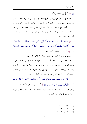@ ﴾ ('') [سورة القصص الآية: ١٤].

٤- جَبَلَ اللَّه نبَيِّه موسى على الحزم والأخذ بقوة في نصرة المظلوم، والضرب على يد الظالم، وذلك يتجَلَّى في الخصومة التي كانت بين إسرائيلي وفرعوني، فإن موسى لم يلبث أن أغاث من استغاث به، فوكز القبطي، فقضى عليه، إقامة للعدل، وإنصافًا للمظلوم، كما طبعه على الرفق بالضعيف، والعطف عليه، ومد يد المعونة إليه. ويتجلى ذلك منه في قوله– تعالى–:

﴿ وَلَمَّا وَرَدَ مَآءَ مَدْيَرٍ ۖ وَجَدَ عَلَيْهِ أُمَّةً مِّرٍ ﴾ ٱلنَّاسِ يَسْقُونَ ۖ وَوَجَدَ مِن دُونِهِمُ ٱمرَأتَيْن تَذُودَان ۖ قَالَ مَا خَطَّبُكُمَا ۖ قَالَتَا لَا نَسْقِى حَتَّىٰ يُصۡدِرَ ٱلرِّعَآءُ ۗ وَأَبُونَا شَيۡخٌ كَبِيرٌ ۞ فَسَقَىٰ لَهُمَا ﴾ (٢) [سورة القصص الآيتان: ٢٣- ٢٤].

فجمع له بين شدَّة البطش على الظالمين، وكمال الرّفق بالمستضعفين.

ه- كان من آثارٍ عناية اللَّه بموسى، ورعايته له أن قُوَى فيه الوعي الديني، واستحكمت الصلة بينه وبين ربه، فأحبَّ ما يحبِّه اللَّه من العدل والإنصاف، وكره ما يبغضه الله من الظلم والعدوان؛ لذلك فزع إلى ربه، واعترف بظلمه لنفسه، حينما قضى القبطي نحبه من وكزته، وأسرع إلى الاستغفار لله – تعالى– من ذنبه.

﴿ قَالَ رَبِّ إِنِّي ظَلَمْتُ نَفْسِي فَٱعْفِرْ لِي فَغَفَرَ لَهُنَّ إِنَّهُۥ هُوَ ٱلْغَفُورُ ٱلرَّحِيمُ ۞ قَال رَبّ بمَآ أَنْعَمْتَ عَلَىَّ فَلَنْ أَكُونَ ظَهِيرًا لِّلْمُجْرِمِينَ ۞ ﴾ (") [سورة القصص الآيتان: ١٦، ١٧]. وفاض قلبه إيمانا بالله، فعظمت ثقته، وتوكله عليه؛ لذلك قصد إليه وحده في غربته وحيرته , جاء أن يهديه سواء السبيل.

- (١) سورة القصص آية : ١٤ .
- . ٢٤ ٢٣ : القصص: ٢٣ ٢٤ .
- . ١٧ ١٦: القصص: ١٦ ١٧.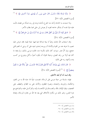﴿ وَلَمَّا تَوَجَّهَ تِلْقَآءَ مَدْيَنَ قَالَ عَسَىٰ رَبِّيّ أَن يَهْدِيَنِي سَوَآءَ ٱلسَّبِيلِ (٢٦٢) [سورة القصص الآية: ٢٢].

ولما استبدت به الحاجة وأخذ منه الجوع مأخذه توجه إلى ربه، فسأله من فضله، فأبت عليه عزَة نفسه أن يشكو حاجته لغيره، أو يعرض لمن سقى لهمِا بطلب الأجر.

﴿ فَسَقَىٰ لَهُمَا ثُمَّ تَوَلَّىٰٓ إِلَى ٱلظِّلِّ فَقَالَ رَبِّ إِنِّي لِمَآ أَنزَلْتَ إِلَيَّ مِنْ خَيْر فَقِيرٌ هِ ﴾ (``) [سورة القصص، الآية: ٢٤].

وقد استحاب الله دعاءه، وهيأ له بيئة صالحة يحيا فيها حياة طيبة، فقد عرض عليه شعيب لما عرفه عنه من القوة والأمانة أن يزوجه إحدى ابنتيه على أن يرعى له الغنم ثماني حجج، وإن أتمَّ عشر سنوات كان ذلك مكرمة منه، فالتزم موسى بذلك، ولم يمنعه ما كان فيه أولا من رغد العيش، وحياة الملوك أن يكون أجيرًا، يأكل ويتزوج من كسب يده، وأشهد <sub>له</sub> على ذلك:

﴿ قَالَ ذَٰزِلِكَ بَيْنِي وَبَيْنَكَ ۖ أَيَّمَا ٱلْأَجَلَيْنِ قَضَيْتُ فَلَا عُدُوَٰنَ ۖ عَلَيَّ ۖ وَٱللَّهُ عَلَىٰ مَا نَقُولُ وَكِيلٌ ۞ ۞ ۞ [سورة القصص الآية: ٢٨].

وقد ثبت أنه أتم أبعد الأجلين.

فهذه سلسلة من حياة موسى قبل الرسالة، تضمنت شيئًا مما حباه الله به من العلم، والحكمة، والمروءة، والنجدة، ونصرة المظلوم، والأخذ على يد الظالم، والعطف على الضعيف، وقوة الإيمان بالله، والصــــدق في الالتجــــاء إليه، والتوكــــل عليه، والتواضع مع عزة النفس، وغير ذلك من مكارم الأخلاق التي يعد هما الله من يختاره للرسالة، وقيادة الأمم.

- (١) سورة القصص آية : ٢٢ .
- (٢) سورة القصص آية : ٢٤ .
- (٣) سورة القصص آية : ٢٨ .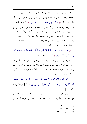٦– طلب موسى من ربه أن يشدّ أزره بأخيه هارون، فأرسله معه ليكون عونا له في الجِجَاج، وخاف أن يبطش بمما فرعون وجنوده، وأن يقتلوا موسى بالقبطي الذي سبق أن قتله، فقال الله له: ﴿ لَا تَخَافَآٓ إِنَّنِي مَعَكُمَآ أَسْمَعُ وَأَرَىٰ ۞ ﴾ '' [سورة طه الآية: ٤٦]. وجعــــل لهما سلطانًا من الآيات تقوم به الحجة، وتنخلع به قلوب الجبارين، وتمتلئ بالوهن والضعف، وبذلك يثبت موسى في ميدان الدعوة إلى اللهّ، فبات واثقًا بربه مؤمنًا بما يدعو إليه من الهدى والنور، وتجلي في حجاجه صولة الحق، وأحس من نفسه بالعزة والقوة، وبذلك ذلَّ حبروت فرعون، وتلاشى عنده تألُّهه وتعاليه، ولم يعد يملك لموسى من الكيد إلا أن يرعد ويبرق، ويموَّه ويخدع.

﴿ وَقَالَ فِرْعَوْنِ ۖ ذَرُوبِيٓ أَقْتُلْ مُوسَىٰ وَلَيَدۡعُ رَبَّهُۥٓ ۗ إِنِّيٓ أَخَافُ أَن يُبَدِّلَ دِينَكُمۡ أَوۡ أَن يُظْهِرَ فِي ٱلْأَرْضِ ٱلْفَسَادَ ۞ ﴾ <sup>(٢)</sup> [سورة غافر، الآية: ٢٦].

و لم يكن ليأخذ على يديه أحد، ولا هناك من الأسباب الداعية ما يمنعه أن يبطش بموسى، فإن الدولة دولته، والجنود حنوده، لكنها عناية الله برسوله، وما آتاه من آيات، وسلطان قد هر فرعون، وقطع نياط قلبه، ولم يملك– أيضًا– ملأ فرعون سوى أن يُثيروا حفيظته، ويُغروه بموسى ومن آمن به:

﴿ وَقَالَ ٱلۡلَآأُ مِن قَوۡمِ فِرۡعَوۡنَ أَتَذَرُ مُوسَىٰ وَقَوۡمَهُۥ لِيُفۡسِدُوا۟ فِى ٱلۡأَرۡضِ وَيَذَرَكَ وَءَالِهَتَلَكَ قَالَ سَنُقَتِلُ أَبْنَاءَهُمْ وَنَسْتَحْيٍء نِسَاءَهُمْ وَإِنَّا فَوْقَهُمْ قَنهرُونَ ۞ ﴾ (") [سورة الأعراف، الآية: ١٢٧].

أفلا يرى العاقل أن موسى وهو وحيد غريب، وقومه مستعبدون، لم يقف هذا الموقف من فرعون وملئِهِ، والدولة دولتهم إلاٌ هو مؤيّد من ربه، صادق في دعوته، وأن هذا هو

- (٢) سورة غافر آية : ٢٦ .
- (٣) سورة الأعراف آية : ١٢٧ .

<sup>(</sup>١) سورة طه آية : ٤٦ .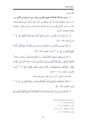الحق المبين.

٧- جرت سنة اللَّه العادلة أن يفتح بالحق بين رسله، ومن آمن بهم من الأمم، ومن سار سيرهم، ويجعلهم خلفاء الأرض، ويهلك من كذُب هم، وانحرف عن طريقهم ليكون ذلك من آيات اللهّ التي يفصــــل هما بين الصادق والكــــاذب، والحق والباطل، والشريعة العادلة، والقوانين الجائرة.

﴿ إِنَّا لَنَنصُرُ رُسُلَنَا وَٱلَّذِينَ ءَامَنُواْ فِي ٱلْحَيَوٰةِ ٱلذُّنْيَا وَيَوۡمَ يَقُومُ ٱلْأَشۡهَـٰدُ ۞ ﴾ (') [سورة غافر، الآية: ٥١].

﴿ وَقَالَ مُوسَىٰ رَبِّيٓ أَعْلَمُ بِمَن جَآءَ بِٱلۡهُدَىٰ مِنۡ عِندِهِۦ وَمَن تَكُونُ لَهُۥ عَنقِبَةُ ٱلدَّارِ ۚ إِنَّهُۥ لَا يُفْلِحُ ٱلظَّلِمُونَ ﴾ (") [سورة القصص الآية: ٣٧].

﴿ قَالَ مُوسَىٰ لِقَوْمِهِ ٱسْتَعِينُواْ بِٱللَّهِ وَٱصْبِرُوٓاْ ۗ إِنَّ ٱلْأَرْضَ لِلَّهِ يُورثُهَا مَن يَشَآءُ مِنْ عِبَادِه وَٱلۡعَـٰقِبَةُ لِلۡمُتَّقِينَ ﴾ قَالُوٓاْ أُوذِينَا مِن قَبۡلِ أَن تَأۡتِيَنَا وَمِنۢ بَعۡلاِ مَا جِئۡتَنَا ۚ قَالَ عَسَىٰ رَبُّكُمۡ أَن يُهْلكَ عَدُوَّكُمْ وَيَسْتَخْلَفَكُمْ فِي ٱلْأَرْضِ فَيَنظُرَ كَيْفَ تَعْمَلُونَ (٤٣٦ ^ أصورة الأعراف، الآيتان: ١٢٨ – ١٢٩].

وهذا هو ما انتهى به أمر موسى وقومه مع فرعون وملئه.

﴿ فَأَخَذْنَهُ وَجُنُودَهُ فَنَبَذَّنَهُمْ فِي ٱلْيَمِّ فَٱنظُرْكَيْفَكَانَ عَنِقَبَةُ ٱلظَّلمِينَ (ع ﴾ ('') [سورة القصص الآبة: ٤٠].

﴿ فَأَوْحَيْنَآ إِلَىٰ مُوسَىٰٓ أَن ٱضۡرِب بِعَصَاكَ ٱلۡبَحۡرَ ۖ فَٱنفَلَقَ فَكَانَ كُلُّ فِرۡقِ كَٱلطَّوۡدِ ٱلۡعَظِيمِ (٢٤

- (١) سورة غافر آية : ٥١ .
- (٢) سورة القصص آية : ٣٧ .
- (٣) سورة الأعراف : ١٢٨ ١٢٩ .
	- (٤) سورة القصص آية : ٤٠ .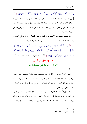وَأَزْلَفْنَا ثُمَّ ٱلْأَخَرِينَ ۞ وَأَنجَيْنَا مُوسَىٰ وَمَن مَّعَهُرَ أَجْمَعِينَ ۞ ثُمَّ أَغْرَقْنَا ٱلْأَخرينَ ۞ ﴾ (')

[سورة الشعراء، الآيات: ٦٣– ٦٦]. فانـــظر كيف اتحـــدت وسيلة النجـــاة للأولياء، والهلاك للأعداء، إلها آية الله الباهرة، وقدرته القاهرة، لقد أهلك فرعون وجنده بما جعله طريقًا لنجاة موسى وقومه، هذا إلى حانب انفلاق البحر، وتماسك مائه، وخروجه عن طريق السيلان بضربة عصا.

وفي قصص موسى من الآيات سوى ذلك ما يبهر العقول، ويأخذ بمحامع القلوب، ولا يدع قولا لقائل إلا من سَفه نفسه، وسعى في هلاكها، وذلك قوله:

﴿ وَلَقَدْ أَخَذْنَآ ءَالَ فِرْعَوْنَ بِٱلسِّنِينَ وَنَقۡصٖ مِّنَ ٱلتَّمَرَٰتِ لَعَلَّهُمۡ يَذَّكَّرُونَ ۞ فَإِذَا جَآءَتْهُمُ ٱلْحُسَنَةُ قَالُواْ لَنَا هَـٰذِهۦ ۗ وَإِن تُصِبُّمْ سَيِّئَةٌ يَطَّيَّرُواْ بِمُوسَىٰ وَمَن مَّعَهُرَ ۗ أَلَآ إِنَّمَا طَبَرُهُمْ عِندَ ٱللَّهِ وَلَكِنَّ أَكْثَرَهُمْ لَا يَعْلَمُونَ ۞ ﴾ (") [سورة الأعراف الآيتان: ١٣٠ – ١٣١].

# خاتمة وتشتمل على أمرين

## الأمر الأول الطريقة المثلي للدعوة إلى الله

 $(\mathfrak{h})$ 

تختلف أحوال الدعاة إلى الله في أداء مهمتهم، فبينما يكون بعضهم: حبيرا بجوهر الموضوع، ملما بأطرافه، محسنا للأداء والتعبير عما أراد، منسقا لنقاط الموضوع، مقدما منها ما يجب أن يقدم، مراعيا لظروف السماعين وأحوالهم، يكون البعض الآخر محسنا في بعض النواحي دون بعض.

**وقد خلق الله الإنسان مختارا**، وأودع فيه غريزة حب الاستطلاع، وطبعه على النفرة من النقص، والفرار منه، والرغبة في الدرجات العليا، وطلب المزيد مما ينهض به في حياته ويرفع مستواه، وحعل فيه استعدادا للتأثر بما يرى ويسمع ومحاكاة ما يجده في بيئته من

- (١) سورة الشعراء : ٦٣ ٦٦ .
- . ١٣١ سورة الأعراف : ١٣٠ ١٣١ .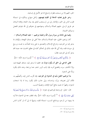الخير، اللهم إلا من مسخت فطرته وانسلخ مما هو الأصل في إنسانيته.

وخير طريق يحتذيه الدعاة في القيام بمهمتهم، وأمثل منهاج يسلكونه في استمالة قلوب الناس إلى الخير، والإعذار إلى من لم يستجب للحق بعد بيان الحجة، وإقامة البرهان هو طريق الرسل، عليهم الصلاة والسلام، ومنهاجهم في دعوهم إلى الله بقولهم المفصل وسيرتمم الحميدة.

وفيما يلي إلماعة من سيرة رسول اللَّه وخليله إبراهيم، – عليه الصلاة والسلام –.

كان إبراهيم الخليل، عليه الصلاة والسلام، مثلاً أعلى في صدق اللهجة، والإيمان بما يدعو إليه من التوحيد، وشرائع الإسلام، والتصديق به على وجه اطمأنَت به نفسه، ورسخ في سويداء قلبه، وقد أُنْني الله عليه بذلك في مُحكم كتابه في مطلع الحديث عنه حينما قام يدعو أباه إلى التوحيد، فقال:

﴿ وَٱذۡكُرۡ فِي ٱلۡكِتَـٰبِ إِبۡرَٰهِيمَ ۚ إِنَّهُۥ كَانَ صِدِّيقًا نَّبِيًّا ( ۗ ﴾ ( ' ) [سورة مريم، الآية: ٤١].

فعلى الداعي إلى الحق أن يكون مؤمنًا به، مخلصا لما يدعو إليه، صادق اللهجة فيه، وإلا انكشف سره، وافتضح أمره، فإن ثياب الزور تشف عما وراءها، وعند ذلك يكون و بالًا على الدعوة.

بدأ إبراهيم الخليل بأبيه في الدعوة إلى التوحيد، فإنه أقرب الناس إليه، وألصقُهم به، فكان أولى بمعروفه، وبرَّه، وإحسانه، وإلى حانب ذلك يكون ردءا له إذا استجاب لدعوته، وظهرًا له يحميه بدافع أخوة الإيمان، وعصبيّة النسب.

قال– تعالى– في وصفه لِإبراهيم في دعوته: ﴿ يَتَأَبَتِ لِمَ تَعْبُدُ مَا لَا يَسْمَعُ وَلَا يُبْصِرُوَلَا يُغْنِي عَنكَ شَيَّءَا ۞ ﴾ (") [سورة مريم، الآية: ٤٢]. وقد تلطف معه في الدعوة، فذكره بما بينهما من الرحم، ووشائج النسب، استمالة لقلبه، وتنبيهًا له إلى أنه لو كذَبَ الناس

- (١) سورة مريم آية : ٤١ .
- (٢) سورة مريم آية : ٤٢ .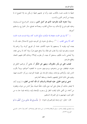جميعًا ما طابت نفسه بالكذب عليه، وأنه لو غشهم جميعًا لم يكن منه إلا النصح له لما بينهما من أواصر القربي والنسب.

وبدأ دعوته لأبيه بالتوحيد الذي هو أصل الدين، وجوهر الشرائـــع الســـماوية، وعليه تقوم فروع الإسلام، وبه صلاح القلب، وبصلاحه تصلح سائر الجوارح، وتستقيم أحوالها.

﴿ " ألا وإن في الجسد مضغة إذا صَلَحَت صَلَحَ الجسد كله، وإذا فسدت فسد الجسد كله، ألا وهي القلب ﴾ '''. وسلك في دعوته إلى التوحيد طريق الاستدلال عليه بأن ما يعبده أبوه وقومه لا يسمعهم إذا دعوه لكشف غمة، أو تفريج كربة، ولا يراهم إذا عبدوه، وتضرعوا إليه، ولا يجلب لهم نفعًا، ولا يدفع عنهم ضرًا، وإذا كان لا يرجى نفعه، ولا يُخشى بأسه، فكيف يستحق أن يعبد، أو يتقرب إليه؟!! وبذلك أقام عليهم الحجة، وقطع عذرهم.

فيجب على من يأمر بالمعروف، وينهي عن المنكر أن يقتفي أثر إبراهيم الخليل في دعوته، فيتلطف مع من يدعوهم، ويسوسهم حسب ما تقتضيه أحوالهم، ويبدأ بأقرب الناس إليه، وأولاهم بإرشاده، ويقدم الإرشاد إلى عقيدة التوحيد، ويركز الحديث فيها، ويقيم على ذلك الدليل ليقنعهم بالحجة، ويسقط أعذارهم.

ادعى إبراهيم الخليل، عليه الصلاة والسلام، أن اللَّه آتاه من العلم ما لم يؤت أباه، لا ليفخر بذلك، أو يتعالى على أبيه حتى يكون خلقًا ذميمًا، ينفَرُ الناس من حوله، ويمقتونه من أجله، بل ادَّعي ذلك ليلفت النظر إلى وجوب الإصغاء إليه، واتباعه فيما جاء به من الحق المبين، ليهديهم به إلى الصراط المستقيم.

قال– تعالى– في وصفه لِإبراهيم في دعوته: ﴿ يَتَأْبَتِ إِنِّي قَدْ جَآءَنِي مِرَ ﴾ ٱلْعِلْمِ مَا لَمْ

<sup>(</sup>١) البخاري الإيمان (٥٢) ، مسلم المساقاة (١٥٩٩) ، ابن ماجه الفتن (٣٩٨٤) ، أحمد (٢٧٠/٤) ، الدارمي البيوع (٢٥٣١) .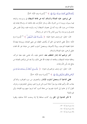يَأْتِكَ فَٱتَّبِعْنِيٓ أَهۡدِكَ صِرَاطًا سَوِيًّا ۞ ﴾ ``` [سورة مريم، الآية: ٤٣].

هي إبراهيم، عليه الصلاة والسلام، أباه عن طاعة الشيطان في وسوسته، واتباعه فيما يسوله، ويزينه له من الشرك بالله، وسائر المنكرات، فإن طاعته له، وإسلام قياده إليه عبادة له من دون الله، ونبه أباه إلى عصيان الشيطان لربه، وتمرده عليه، وإذنَّ فليس على هدي في وسوسته، ولا يزين للناس إلا ما هو شر وضلال.

قال– تعالى– في وصف دعوة حليله: ﴿ يَتَأَبَتِ۞ تَعَبُدِ ٱلشَّيْطَنِنَ ﴾ (٢) [سورة مريم الآية: ٤٤]. فعلى الداعية إلى الحق أن يكشف الغطاء عن معنى العبادة، ويزيدها إيضاحًا حماية لعقيدة التوحيد، وبيانًا لأصولها، ويستعمل أسلوب التنفير من عبادة غير الله اقتداء بخليل الرحمن، عليه الصلاة والسلام.

**أنذر إبراهيم أباه إنذار المتلطف معه**، المشفق عليه، بأنه يخشى عليه مغبة شركه، وعاقبة عبادته للشيطان، وطاعته له، فيعذبه الله على ذلك، ولا يجد ممن تولاهم بالعبادة من يدفع عنه بأس الله وعذابه.

قال– تعالى– في وصف إبراهيم في دعوته: ﴿ يَتَأَبَتِ إِنِّيٓ أَخَافُ أَن يَمَسَّكَ عَذَابٌ مِّنَ ٱلرَّحْمَـٰنِ فَتَكُونَ لِلشَّيْطَـٰنِ وَلِيًّا ۞ ﴾ (") [سورة مريم، الآية: ٤٥].

**فعلي الداعية أن يستعمل أسلوب الإنذار** ، والتخويف من سوء العواقب، والتذكير بعذاب الله، وأليم عقابه يوم يتبرأ دعاة السوء ممن غرروا هم، ويتمنَّى المخدوعون بزخرف القول أن لو عادوا إلى الدنيا، فيتبرءوا من دعاة السوء كما تبرءوا منهم يوم القيامة، وأني لهم ذلك؟

لا تأثير للدعوة إلى الحق وإن كانت صادقة إلا إذا وحدت آذانًا صاغية، وقلوبا

- (١) سورة مريم آية : ٤٣ .
- (٢) سورة مريم آية : ٤٤ .
- (٣) سورة مريم آية : ٤٥ .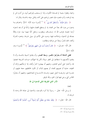واعية، وفطرة سليمة لم تفسدها الأهواء، ولذا لم يستجب لِإبراهيم أبوه، بل أنذره لئن لم ينته ليرجمنه، وأمره بهجره مليا، فصبر إبراهيم على أذاه، وقابل سيئته بالحسنة، وقال له:

﴿ سَلَـٰمٌ عَلَيْكَ ۖ سَأَسۡتَغۡفِرُ لَكَ رَبِّيٓ ﴾ (') [سورة مريم الآية: ٤٧]. واعتزلهم وما يدعون من دون الله، بعدًا عن الفتنة، إذ لم يستطع القضاء عليها، وأملًا في أن يجد لدعوته أرضا خصبة، فوهب الله له: إسحـــاق، ويعقوب، وجعل كلًا منهما نبيا، جزاء وفاقًا بصدقه في الدعوة، وإحلاصه فيها، وصبره على الأذى في سبيل نشرها، وهجره للشرك وأهله، اتقاء للشرّ، وبعدًا عن مواطنه ومظاهره.

قال اللّه- تعـــالى-: ﴿ قَالَ أَرَاغِبُ أَنتَ عَنْ ءَالِهَتِي يَتابِرَ ٰهِيمٌ ﴾ (٢) [سورة مريم، الآبة: ٤٦].

فعلى الدعاة أن يتذرَّعوا بالصبر، وسعة الصدر، وأن يقابلوا السيئة بالحسنة، وأن لا ينتقموا لأنفسهم ما استطاعوا إلى العفو سبيلا، لكن إذا انتهكت حرمات الشريعة انتصفوا لها، وأخذوا على أيدي العابثين، وعليهم أن يهجروا الشرّ وأهله، إذا لم يمكنهم إزالته أو تخفيفه، خشية أن تصيبهم الفتنة، أو يعمهم البلاء، أو تكون مخالطتهم حجة عليهم، أو معـــرة لهم، وذريعـــة للنيل منهم، وعــــدم الاستـــماع لنصائحهم، وعليهم أن يتحرّوا المحالس التي يرحى فيها قول الحق، والله الموفق.

# الأمر الثاني الطريقة المثلى للدعوة إلى الله

 $(\hookrightarrow)$ 

لم يرسل اللَّه– تعالى – رسولًا إلا أمره بالتوحيد، والدعوة إلى عبادة الله وحده لا شريك له.

قال الله- تعالى-: ﴿ وَلَقَدْ بَعَثْنَا فِي كُلِّ أُمَّةٍ رَّسُولاً أَن ٱعْبُدُواْ ٱللَّهَ وَٱجْتَنِبُواْ

- (١) سورة مريم آية : ٤٧ .
- (٢) سورة مريم آية : ٤٦ .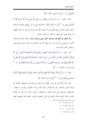ٱلطَّنِغُوتَ ۗ ﴾ <sup>(١)</sup> [سورة النحل، الآية: ٣٦].

وقال– تعالى–: ﴿ وَمَآ أَرۡسَلۡنَا مِن قَبۡللَّــَـ مِن رَّسُولِ إِلَّا نُوحِيَ إِلَيۡهِ أَنَّهُۥ لَآ إِلَـٰهَ إِلَّآ أَنَاْ فَٱعۡبُدُون ۞ ﴾ (`` [سورة الأنبياء الآية: ٢٥] وقد عني الرسل، عليهم الصلاة والسلام، بذلك، فبدءوا البلاغ بدعوة أممهم إلى أن يعبدوا الله وحده، ولا يشركوا به شيئًا، وقطعوا فيه شوطا بعيدا حتى شغلوا به الكثير من أوقات البلاغ.

ولا عجب في ذلك فإن التوحيد أصل الدين وذروة سنامه، وملاك الإسلام ودعامته الأولى، لا تصح من إنسان قربة. ولا يتقبل اللَّه منه عبادة إلا إذا كانت مقرونة بالتوحيد، وإحلاص القلب لله وحده.

قال- تعالى-: ﴿ إِنَّآ أَنزَلْنَآ إِلَيْكَ ٱلْكِتَنِبَ بِٱلْحَقِّ فَٱعۡبُدِ ٱللَّهَ مُخْلِصًا لَّهُ ٱلدِّينِ ﴾ أَلَا لِلَّهِ ٱلدِّينُ ٱلْحَالِصُّ وَٱلَّذِينَ ۖ ٱتَّخَذُواْ مِر . ﴾ دُونِهِۦٓ أَوْلِيَآءَ مَا نَعۡبُدُهُمۡ إلَّا لِيُقَرّبُونَآ إِلَى ٱللَّهِ زُلَٰفَىٰٓ إِنَّ ٱللَّهَ تَحَكُّمُ بَيْنَهُمْ فِي مَا هُمْ فِيهِ تَخْتَلِفُونَ ۗ إِنَّ ٱللَّهَ لَا يَهْدِى مَنْ هُوَ كَذبٌ كَفَّارٌ ۞ ﴾ ("َ) [سورة الزمر، الآيتان: ٢– ٣].

وقال: ﴿ وَمَآ أُمْرُوٓاْ إِلَّا لِيَعۡبُدُواْ ٱللَّهَ مُخۡلصِينَ لَهُ ٱلدِّينَ حُنَفَآءَ وَيُقيمُواْ ٱلصَّلَوٰةَ وَيُؤۡتُواْ ٱلزَّكَوٰةَ وَذَٰ لِكَ دِينُ ٱلۡقَيِّمَةِ ۞ ﴾ ('' [سورة البينة، الآية: ٥].

وقد أرشد اللهّ الناس إلى أيسر الطرق في الدعوة إلى التوحيد، وأسهلها، وأقرهما إلى معرفة الحق، وأعدلها. وهو الاستدلال بآيات الله، وسننه الكونية، وتفرده– سبحانه– بتصريفها، وتدبيرها على تفرده بإلهيته واستحقاقه أن يعبد وحده لا شريك له، فذلك أهدى سبيلا، وأقوم دليلا، وأقوى في إقناع الخصم، وإلزامه الحجة، فإنه مقتضى العقل

- (١) سورة النحل آية : ٣٦ .
- (٢) سورة الأنبياء آية : ٢٥ .
- $\mathbf{y} = \mathbf{y} = \mathbf{y}$  سورة الزمر :  $\mathbf{y} = \mathbf{y}$ 
	- (٤) سورة البينة آية : ٥ .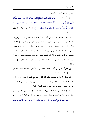الصريح وموجب الفطرة السليمة.

قال الله- تعالى-: ﴿ يَتَأَيُّهَا ٱلنَّاسُ ٱعۡبُدُواْ رَبَّكُمُ ٱلَّذِى خَلَقَكُمۡ وَٱلَّذِينَ مِن قَبْلكُمۡ لَعَلَّكُمۡ تَتَّقُونَ ۞ ٱلَّذِي جَعَلَ لَكُمُ ٱلْأَرْضَ فِرَٰشًا وَٱلسَّمَاءَ بِنَآءَ وَأَنزَلَ مِنَ ٱلسَّمَآءِ مَآءً فَأَخْرَجَ بِهِۦ مِنَ ٱلنَّعَمَرَٰتِ رِزْقًا لَّكُمْ ۖ فَلَا تَجَعَلُواْ لِلَّهِ أَندَادًا وَأَنتُمْ تَعْلَمُورَ ۖ ۞ ﴾ ''' [سورة البقرة، الآيتان:  $177 - 77$ 

فرتب– سبحانه– نميه إياهم عن اتخاذهم شركاء له في العبادة على علمهم، وإقرارهم بأنه– تعالى– وحده هو الذي خلقهم، وخلق الذين من قبلهم، وهو الذي جعل الأرض قرارًا، وذُلُّلُهــــا لهم ليمشوا في جوانبهــــا، وليبتغـــوا من فضله، ورفع السماء بلا عمد، وأنزل من السماء ماء فأخرج به من الثمرات رزقًا لهم، لينعموا بما آتاهم من النعم، وليتمتعوا بما أفاض عليهم من الخيرات لعلهم يتقون رهم، وولي نعمتهم، فيعبدوه وحده لا شريك له مخلصين له الدين، شكرًا له على ما أسبغ عليهم من نعمه، وأفاض عليهم من بر كاته.

وفي القرآن كثيرٍ من النظائرِ لهاتين الآيتين في بيان أسلوب الدعوة، ورسم الطريق الناجحة في إقامة الحجة، وإلزام الخصم.

لقد سلك الأنبياء والمرسلون هذه الطريقة في دعوقم أممهم إلى الهدى ودين الحق، اهتداء بمدي الله، واسترشادًا بإرشاده، وهو العليم الحكيم، ومن أبرزهم في ذلك أولو العزم من الرسل، ومنهم إبراهيم الخليل، عليهم الصلاة والسلام.

أرســــل الله– حل شأنه– خليله إبراهيم، عليه الصلاة والسلام، إلى قوم من الفرس عُتاة جبّارين يعبدون التماثيل، فأنكر عليهم عكوفهم لها، وتقرَّهم إليها. قال– تعالى–: ﴿ ﴾ وَلَقَدْ ءَاتَيْنَآ إبْرَٰهِمَ رُشۡدَهُۥ مِن قَبۡلُ وَكُنَّا بِهِۦ عَنلمِينَ ۞ إذۡ قَالَ لِأَبِيهِ وَقَوۡمِهِۦ مَا هَنذه

 $\cdot$  ٢٦ - ٢١ : وَ الْبِقَرِةَ : ٢١ - ٢٢ .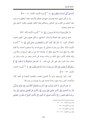ٱلتَّمَاثِيلُ ٱلَّتِيٓ أَنتُمْ لَهَا عَنِكِفُونَ۞﴾ ('') [سورة الأنبياء، الآيتان: ٥١ – ٥٢].

ولما لم يكن لديهم حجة يعتمدون عليها في عبادقم الأصنام، تعللوا لباطلهم بما وجدوا عليه آباءهم من التقرب إلى التماثيل، وعبادقمم إياها، فألغوا عقولهم، وقلدوا آباءهم على غير هدي وبصيرة:

﴿ قَالُواْ وَجَدْنَآ ءَابَآءَنَا لَهَا عَـٰبِدِينَ ۞ ﴾ ('') [سورة الأنبياء الآية: ٥٣].

فسفه إبراهيم، عليه الصلاة والسلام، أحلامهم، وحكم عليهم وعلى آبائهم بالحيرة، والضلال المبين، ﴿ قَالَ لَقَدْ كُنتُمْ أَنتُمْ وَءَابَاَؤُكُمْ فِي ضَلَلٍ مُّبِينٍ ۞ ﴾ (") [سورة الأنبياء، الآية: ٤٥]. وبين لهم أن التماثيل لا تسمع النداء، ولا تستجيب الدعاء، ولا تملك نفعًا، ولا توقع ضرًا، فلا يليق بعاقل أن يتخذها آلهة مع من فطر السماوات والأرض، وإليه مقاليد الأمور، يؤتي الملك من يشاء، ويتزعه ممن يشاء، ويضر من يشاء، ويذل من يشاء، بيده الخير، وهو على كل شيء قدير. ﴿ قَالَ هَلْ يَسْمَعُونَكُمْ إِذْ تَدْعُونَ ۞ أَوْ يَنفَعُونَكُمْ أَوْ يَضُرُّونَ ۞ قَالُواْ بَلْ وَجَدْنَآ ءَابَآءَنَا كَذَ'لِكَ يَفَعَلُونَ ۞ ﴾ (<sup>٤)</sup> [سورة الشعراء  $\sqrt{2}$ الآيات: ٧٢ - ٧٤].

فلما ركبوا رؤوسهم، وأبوا إلَّا اللجاج والعناد، والعصبية الممقوتة في تقليد الآباء والأجداد، أعلن براءته منهم، وشدة عداوته لهم، ولما يعبدون من دون الله:

﴿ قَالَ أَفَرَءَيْتُم مَّا كُنتُمْ تَعْبُدُونَ ۞ أَنتُمْ وَءَابَاَؤُكُمُ ٱلْأَقْدَمُونَ ۞ فَإِنَّهُمْ عَدُوٌّ لّي إِلَّا رَبَّ ٱلۡعَـٰلَمِينَ ۞ ٱلَّذِى خَلَقَنِي فَهُوَ يَهۡدِين ۞ وَٱلَّذِى هُوَ يُطۡعِمُنِي وَيَسۡقِين ۞ وَإِذَا مَرضَتُ فَهُوَ يَشْفِينِ ﴾ وَٱلَّذِى يُمِيتُنِي ثُمَّ يُحۡيينِ ۞ وَٱلَّذِىٓ أَطۡمَعُ أَن يَغۡفِرَ لِي خَطِيٓءَي

- (١) سورة الأنبياء : ٥١ ٥٢ .
	- (٢) سورة الأنبياء آية : ٥٣.
	- (٣) سورة الأنبياء آية : ٥٤.
- . ٧٤ ٧٢ : ورة الشعراء : ٧٢ ٧٤ .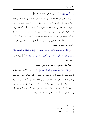يَوْمَرَالَدِّينِ ۞ ﴾ <sup>(١)</sup> [سورة الشعراء الآية: ٧٥– ٨٢].

وجد إبراهيم، عليه الصلاة والسلام، أنه لا بد له من سلوك طريق آخر عملي في إقامة الحجة ليكون أقوى في الإبانة عن الحق، وأملك في إلزام الخصم، يضطرهم به إلى الاعتراف بما هم فيه من ضلال، وظلم، وانحراف، فأقسم بالله أن يكيد لأصنامهم وهم عنها غائبون، انتهز فرصة حروجهم من البلد لبعض شألهم، وذهب إلى ألهتهم خفية لئلا يراه أحد فيصده عن تنفيذ ما أراد، فجعلهم قطعًا صغارًا إلا كبيرًا لهم تركه سالمًا، ليكون له ولهم معه شأن عند التحقيق فيما حرى على أصنامهم، فلما عادوا إلى منازلهم، وشاهدوا ما أصيبت به آلهتهم:

﴿ قَالُواْ مَن فَعَلَ هَـٰذَا بِـءَالِهَتِنَآ إِنَّهُۥ لَمِنَ ٱلظَّـٰلِمِينَ ﴾ قَالُواْ سَمِعْنَا فَتَى يَذْكُرُهُمْ يُقَالُ لَهُۥٓ إبْرَٰهِيمُ ۞ قَالُواْ فَأْتُواْ بِهِۦ عَلَىٰٓ أَعۡيُنِ ٱلنَّاسِ لَعَلَّهُمۡ يَشۡهَدُونَ ۞ ﴾ (`` [سورة الأنبياء الآيات: ٥٩ -١٦].

فلما حضر مجلسهم أخذوا يقررونه بما صنع بآلهتهم:

﴿ قَالُوٓاْ ءَأَنتَ فَعَلْتَ هَـٰذَا بِـتَالِهَـٰتِنَا يَـتَالِبَرَاهِيمُ ۞ ﴾ (") [سورة الأنبياء الآية: ٢٢]. فأجاهِم بنسبَةِ ما حدث إلى مَنْ لا يَتَأَتَّى منه، نسبه إلى كبير التماثيل وهو– كما يعلم ويعلمون– جماد لا حراك به، ذلك ليرشدهم إلى مكان الخطأ في عكوفهم على التماثيل، عبادة لها، وتقربا إليها، ويصرفهم عنها إلى عبادة الله وحده لا شريك له، ويوحى إليهم بأنه هو الذي كاد لأصنامهم، وأنزل هم ما يكرهون، وقد أكد ذلك بأمره إياهم أن يسألوا التماثيل عمَّن أصاهِم بالتكسير والتحطيم إن كانوا يحيرون جوابا.

- . ٨٢ ٧٥ : مليورة الشعراء : ٢٥ ٨٢ .
- (٢) سورة الأنبياء : ٥٩ ٦١ .
	- (٣) سورة الأنبياء آية : ٦٢ .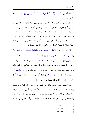﴿ قَالَ بَلْ فَعَلَهُۥ كَبِيرُهُمْ هَـٰذَا فَسْئَلُوهُمْ إِن كَـٰانُواْ يَنطِقُونَ ۞ ﴾ ('') [سورة الأنساء، الآية: ٦٣].

وقد نجحت هذه الطريقة إلى حدّ ما، وأوحدت فيهم وعيًا، فثابوا إلى رشدهم، وما كان في أصل فطرقم، واعترفوا بألهم هم الذين ظلموا أنفسهم بعبادقم تماثيل لا تملك لنفسها نفعًا، ولا تدفَّــع عنها بأسًا، وظلموا إبراهيم، عليه السلام، بصدهم عن دعوته، وإعراضهم عما جاءهم به من الآيات البينات على التوحيد، وإخلاص العبادة للّه رب العالمين، لكنهم لم يلبثوا أن ركبوا رؤوسهم، ونكصُوا على أعقاهم، وارتكسوا في حمأة الضلال، والحيرة عصبية لما ورثوه عن آبائهم من الشرك، والبهتان المبين.

قال الله- تعالى-: ﴿ فَرَجَعُوٓاْ إِلَىٰٓ أَنفُسِهِمْ فَقَالُوٓاْ إِنَّكُمْ أَنتُمُ ٱلظَّلِمُونَ ۞ ثُم نُكِسُواْ عَلَىٰ رُءُوسِهِمْ لَقَدْ عَلِمْتَ مَا هَتَؤُلاَءِ يَنطِقُونَ ۞ ﴾ (٢) [سورة الأنبياء الآية: ٢٤، ٦٥]. لقد ازداد طريق الحق وضوحًا، وبيانًا، واستحكمت حلقات الحجة لِإبراهيم على أبيه، وقومه، وحق له أن يضيق ذرعًا من صدودهم، وأن يتأفف ضحرًا من طغيالهم وشركهم، وأن يُنكر عليهم ذلك إنكارًا صارخًا، ويرميهم بالخبال، وإلغاء العقول، ﴿ قَالَ أَفَتَعْبُدُورَ ۖ مِن دُوبِ ٱللَّهِ مَا لَا يَنفَعُكُمْ شَيْئًا وَلَا يَضُرُّكُمْ ۞ أُفِّ لَّكُمْ وَلِمَا تَعۡبُدُونَ مِن دُون ٱللَّهِ أَفَلَا تَعْقُلُونَ ۞ ۞ ۞ [سورة الأنبياء الآيتان: ٦٦، ٦٧].

لقد أخذت الحمية الجاهلية للباطل من نفوس قوم إبراهيم، عليه السلام، مأخذها، وتمكنت منهم العصبية لطاغوت التقليد للآباء، والأحداد فيما أصيبوا به من الشرك، والانحسراف عن الحق حبيّ ملكت مشـــاعـــرهـم، ووجهت عقوطـم، وأفكارهـم إلى شر وجهة، وصرفتهم عن الحق المبين، والصراط المستقيم، وزينت لهم أن يتخلصوا من إبراهيم،

- (١) سورة الأنبياء آية : ٦٣ .
- (٢) سورة الأنبياء : ٦٤ ٦٥ .
- (٣) سورة الأنبياء : ٦٦ ٦٧ .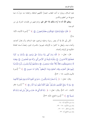عليه السلام، ويترلوا به أشد العقاب انتصارًا لألهتهم الباطلة، وانتقاما منه جزاءً له عما صنع ها من تحطيم وتكسير.

ويعلم اللَّه أنه ما أراد بذلك إلا الخير لهم، وإحراجهم من ظلمات الشرك إلى نور التوحيد:

قَالُواْ حَرَّقُوهُ وَٱنصُرُوَاْ ءَالِهَتَكُمْ إِن كُنتُمٍّ فَنعِلِينَ ۞ ﴾ ('') [سورة الأنبياء، الآية:  $\sqrt{7\lambda}$ 

لكن يأبي الله إلا أن ينصر رسوله وخليله إبراهيم، عليه السلام، وأن يخذل أعداءه، وأعداء دينه، ويُبطل ما كادوا به لأوليائه، فيبوءوا بالخسران المبين، إمضاءً لسنته العادلة الحكيمة في أولبائه وأعدائه.

قال- تعالى-: ﴿ قُلْنَا يَننَارُ كُونِي بَرْدًا وَسَلَيْمًا عَلَىٰٓ إِبْرَٰهِيمَر ۞ وَأَرَادُواْ بِهِۦ كَيْدًا فَجَعَلْنَهُمُ ٱلْأَخْسَرِينَ ۞ وَجَّيَّنَهُ وَلُوطًا إِلَى ٱلْأَرْضِ ٱلَّتِي بَرَكْنَا فِيهَا لِلْعَلَمِينَ ۞ وَوَهَبْنَا لَهُۥٓ إِسْحَـٰقَ وَيَعۡقُوبَ نَافِلَةً ۖ وَكُلاًّ جَعَلۡنَا صَـٰلِحِينَ ۞ وَجَعَلۡنَـٰهُمۡ أَبِمَّةً يَهۡدُونَ بِأَمۡرِنَا وَأَوۡحَيۡنَآ إِلَيْهِمْ فِعْلَ ٱلْخَيْرَاتِ وَإِقَامَ ٱلصَّلَوٰةِ وَإِيتَآءَ ٱلزَّكَوٰةِ ۖ وَكَانُواْ لَنَا عَـٰبِدِينَ ۞ ﴾ ('' [سورة الأنباء الآيات: ٦٩ - ٧٣].

وقال– تعالى–: ﴿ إِنَّا لَنَنصُرُ رُسُلَنَا وَٱلَّذِينَ ءَامَنُواْ فِي ٱلْحَيَوٰةِ ٱلدُّنْيَا وَيَوۡمَ يَقُومُ ٱلْأَشۡهَىٰدُ ﴾ يَوْمَ لَا يَنفَعُ ٱلظَّلمِينَ مَعْذِرَبُّهُمْ ۖ وَلَهُمُ ٱللَّعْنَةُ وَلَهُمْ سُوٓءُ ٱلدَّارِ ۞ ﴾ (٣) [سورة غافر الآيتان: ٥١، ٥٢]. وقال– تعالى–: ﴿ سُنَّةَ ٱللَّهِ ٱلَّتِي قَدْ خَلَتْ مِن قَبْلُ ۖ وَلَن تَجِدَ لِسُنَّةِ ٱللَّهِ تَبْدِيلًا ۞ ﴾ <sup>(٤)</sup> [سورة الفتح، الآية: ٢٣].

- (١) سورة الأنبياء آية : ٦٨ .
- $YY 79 :$  سورة الأنبياء : 19 ٢٣
	- (٣) سورة غافر : ٥١ ٥٢ .
		- (٤) سورة الفتح آية : ٢٣ .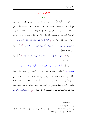## الفرق الإسلامية

#### تمهيد

كان الناسُ أمةً واحدةً على الحق بما أودع الله فيهم من فطرة الإسلام، وبما عهد إليهم من الهدى والبيان، فلما طال عليهم الأمـــد قســـت قلوبمم، فاحتـــالتهم الشياطـــين عن الصراط المستقيم، وسلكت هم بنيات الطريق، فتمزقت وحدقم، واختلفت كلمتهم. فبعث الله النبيين مبشرين ومنذرين، لئلا يكون للناس على اللّه حجة بعد الرسل، وكان الله عزيزًا حكيما. قال- تعالى-: ﴿ كَانَ ٱلنَّاسُ أُمَّةً وَاحِدَةً فَبَعَثَ ٱللَّهُ ٱلنَّبِيِّـنَ مُبَشِّرِينَ وَمُنذِرِينَ وَأَنزَلَ مَعَهُمُ ٱلْكِتَنبَ بِٱلْحَقّ لِيَحْكُمَ بَيْنَ ٱلنَّاسِ فِيمَا ٱخْتَلَفُواْ فِيهِ ۚ ﴾ (') [سورة البقرة الآية: ٢١٣].

وقال: ﴿ فَأَقِمْ وَجَّهَكَ لِلدِّينِ حَنِيفًا ۚ فِطْرَتَ ٱللَّهِ ٱلَّتِي فَطَرَ ٱلنَّاسَ عَلَيْهَا ۚ ﴾ ('' [سورة الروم الآية: ٣٠].

وقال، ﷺ ﴿ كلَّ مولود يولد على الفطرة، فأبواه يهوّدانه، أو ينصرّانه، أو يمجسانه ﴾ (٣). الحديث. وقد أمر الله- تعالى- في كتبه، وعلى ألسنة رسله بوحدة الكلمة، والاعتصام بشرعه، وحذَّرٍ من الفرقة والاختلاف، وبين عاقبة ذلك بما ذكر من أحوال الأمم الماضية، وما حاق ها من الدَمار، وأصاها من الهلاك، وحثهم على البلاغ والبيان، والأمر بالمعروف، والنهي عن المنكر، نصرة للحق، وإزالة للشبهة، وإحباطًا لكيد دعاة السوء واستهوائهم النفوس الضعيفة. قال الله- تعالى–: ﴿ يَتَأَيُّهَا ٱلَّذِينَ ءَامَنُواْ ٱتَّقُواْ ٱللَّهَ

- (١) سورة البقرة آية : ٢١٣ .
	- (٢) سورة الروم آية : ٣٠ .
- (٣) البخاري الجنائز (١٣١٩) ، مسلم القدر (٢٦٥٨) ، الترمذي القدر (٢١٣٨) ، أبو داود السنة (٤٧١٤) ، أحمد (٣٤٧/٢) ، مالك الجنائز (٦٩٥) .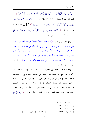حَقَّ تُقَاتِهِ ۚ وَلَا تَمُوتُنَّ إِلَّا وَأَنتُم مُسۡلِمُونَ ۞ وَٱعۡتَصِمُوا۟ بِحَبۡل ٱللَّهِ جَمِيعًا وَلَا تَفَرَّقُوا۟ ﴾ (') [سورة آل عمران الآيتان: ١٠٢، ١٠٣]. وقال: ﴿ إِنَّ ٱلَّذِينَ فَرَّقُواْ دِينَهُمْ وَكَانُواْ شِيَعًا لَّسْتَ مِنَّهُمْ فِي شَيْءٍ ۚ إِنَّمَآ أَمْرُهُمْ إِلَى ٱللَّهِ ثُمَّ يُنَبُّهُم مِمَا كَانُواْ يَفَعَلُونَ ۞ ﴾ ('') [سورة الأنعام الآية: ١٥٩]. وقسال: ﴿ وَأَنَّ هَـٰذَا صِرَطِي مُسْتَقِيمًا فَأَتَّبِعُوهُ ۖ وَلَا تَتَّبِعُواْ ٱلسُّبُلَ فَتَفَرَّقَ بكُمْ عَن سَبِيلَهِۦ ۚ ﴾ ('') [سورة الأنعام الآية: ١٥٣].

وعن العرباض بن سارية ﴿ قَالَ: وَعَظْنَا رَسُولَ اللهِ، ﷺ مُوعِظَةٍ بِلِيغَةٍ، ذَرِفَت منها العيون، ووحلت منها القلوب، فقال قائل: يا رسول الله! كأنَّها موعظة مودعٍّ، فماذا تعهد إلينا؟ فقال: " أوصيكم بالسَّمع والطَّاعة، فإنه من يعش منكم بعدي، فسيرى اختلافًا كثيرًا، فعليكم بسنتي، وسنة الخلفاء الراشدين المهديين من بعدي، تمسكوا ها، وعضوا عليها بالنواجذ، وإياكم ومحدثات الأمور، فإن كلِّ محدثة بدعة، وكلِّ بدعة ضلالة ﴾ <sup>(٤)</sup>. إلى غير ذلك من الآيات والأحاديث.

ومع ذلك دبّ الخلاف بين الناس، فما من أمة من الأمم إلا وقد احتلفت هم الأهواء حتى وضع كل لنفسه أصولا عليها يبني مذهبه، وإليها يرجع في خصومته، فتناقضت مذاهبهم، وصار كل واحد حربا على أخيه، وشغل بذلك عن كتاب الله، وهدى رسوله، عليه الصلاة والسلام، إلا أنه- سبحانه- جرت سنته، واقتضت حكمته، أن يقيِّض للحق في كل عصر جماعة تقوم عليه، وقمدي الناس إليه، إنجازًا للوعد بحفظ دينه، وإقامة للحجة، وإسقاطًا للمعاذير، قال– تعالى–: ﴿ وَإِن مِّنْ أُمَّةٍ

- . (۱) سورة آل عمران : ۱۰۲ ۱۰۳ .
	- (٢) سورة الأنعام آية : ١٥٩ .
	- (٣) سورة الأنعام آية : ١٥٣.
- (٤) الترمذي العلم (٢٦٧٦) ، ابن ماجه المقدمة (٤٤) ، أحمد (٤/٢٦) ، الدارمي المقدمة (٩٥) .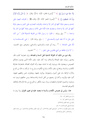إِلَّا خَلَا فِيهَا نَذيرٌ ۞ ﴾ (') [سورة فاطر، الآية: ٢٤]. وقال: ﴿ إِنَّا خَمَّنُ نَزَّلْنَا ٱلذِّكْر وَإِنَّا لَهُۥ لَحَنفِظُونَ ۞ ﴾ ('') [سورة الحجر الآية: ٩]. وقال، ﷺ ﴿ افترقت اليهود على إحدى وسبعين فرقة كلها في النار إلا واحدة، وافترقت النصاري على اثنتين وسبعين فرقة كلها في النار إلا واحدة، وستفترق هذه الأمة على ثلاث وسبعين فرقة كلها في النار إلا واحدة ﴾ °''. وفي رواية، ﴿ قالوا: يا رسول الله! من الفرقة الناجية؟ قال: " من كان على مثل ما أنا عليه اليوم وأصحـــابي ". ﴾ وفي رواية، قال: ﴿ هي الجـــماعـــة يد اللّه على الجماعة ﴾ <sup>(٤)</sup>. رواه أبو داود، والترمذي، والنسائي، وغيرهم. وفي الحديث: ﴾ "لا تزال طائفة من أمتي ظاهرين على الحق... ". ﴾ <sup>(٥)</sup> الحديث.

وقد تبين من ذلك أن الفرقة الناجية أهل السنة والجماعة، وإن شعارها كتاب الله، وهدي رسوله، عليه الصلاة والسلام، وما كان عليه سلف الأمة الذين يؤمنون بمحكم النصوص، ويعملون هما، ويردون إليه ما تشابه منها، وأما الفرق الضالة، فشعارها مفارقة الكتاب، والسنة، وإجماع سلف الأمة، واتباع الأهواء، وشرع ما لم يأذن به الله من البدع والآراء الزائفة بناء على أصول وضعوها، يوالون عليها، ويعادون، فمن وافقهم عليها، أثنوا عليه وقرَّبوه، وكان في زعمهم من أهل السنة والجـــماعة، ومن خالفهم تبرءوا منه ونبذوه، وناصبوه العداوة والبغضاء، وربما رموه بالكفر، والخروج من ملة الإسلام لمخالفته لأصولهم الفاسدة.

هذا، وليس في نصوص الكتاب والسنة ما يعتمد عليه في تعين الفرق، ولا بيان ما

- (١) سورة فاطر آية : ٢٤ .
- (٢) سورة الحجر آية : ٩ .
- (٣) ابن ماجه الفتن (٣٩٩٢) .
- (٤) النسائي تحريم الدم (٤٠٢٠) .
- (٥) مسلم الإمارة (١٩٢٠) ، الترمذي الفتن (٢٢٢٩) ، أبو داود الفتن والملاحم (٤٢٥٢) ، ابن ماجه الفتن  $(719/0)$  is  $(7907)$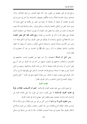يرجع إليه في تمييز بعضها من بعض، وإن كان فيها التحذير من فرق الضلال، وذكر عددهم، وبيان شعارها إجمالًا، ولسنا بمكلَّفين بتعيينها، وتحديدها، ولا نحن في ضرورة إلى ذلك في عقيدة، أو عبادة، أو معاملة، أو دعوة إلى الحق، بل يكفينا في جميع شئوننا أن يتميز لدينا الحق من الباطل بالحجة والبرهان، وبالحق يعرف رجاله والدعاة إليه، فلا يعيب الشريعة إن حلت من ذلك، ولا ينقص قدر العلماء أن يضربوا صفحًا عن استقصاء الفرق الضالة حتى يبلغوا بما ما ذكر في الحديث من العدد، ومع ذلك، فقد حمل بعض العلماء حب الاستطلاع، والولع، والبحث أن يصنّفوا في تعيين الفرق، ويذكروا لكل فرقة ما به تتميز عن الأخرى إشباعًا للرغبة، واستجابة لداعى الفكر، وحاولوا أن يبلغوا بما جمعوا وقسَّموا، وأصلوا وفصَّلوا ما ذكر رسول الله، ﷺ في الحديث من غير أن يتجاوزوه أو يقفوا دونه.

ومن أجل أن المسألة احتهادية، ولا حبر فيها عن المعصوم تباينت مناهجهم في التصنيف، واحتلفت مذاهبهم في التعيين، فمنهم من أحذ في عد الفرق من غير أن يبني على أساس، أو يستند إلى قانون يضبط ما ذكر من عدد الفرق ومذاهبها، ومنهم من أصل أصولا يتفرع عنها ما سواها، ووضع قواعد تضمنت المسائل التي وقع فيها التزاع، وذكر كبار الفرق التي ينشعب عنها ما عداها. ومن هؤلاء الشهرستاني في كتابه: " الملل والنحل ". وإليك كلمته في أصول المذاهب، وكبار الفرق، فقال:

#### المقدمة الثانية

في تعيين قانون يبني عليه تعديد الفرق الإسلامية: اعلم أن لأصحاب المقالات طرقًا في تعديد الفرق الإسلامية لا على قانون مستند إلى نصٍّ، ولا على قاعدة مخبرة عن الوجود، فما وجدت مصنفين منهم متفقين على منهاج واحد في تعديد الفرق.

**ومن المعلوم الذي لا مراء فيه** أن ليس كل من تميز عن غيره بمقالة ما في مسألة ما عُدَّ صاحب مقالة. فتكاد تخرج المقالات عن حدّ الحصر، والعدد، ويكون من انفرد بمسألة في أحكام الجوهر مثلاً معدوداً في عداد أصحاب المقالات. فلا بدّ إذن من ضابط في مسائل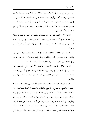هي: أصول، وقواعد يكون الاختلاف فيها اختلافًا يعتبر مقالة، ويعد صاحبها صاحب مقالة، وما وحدت لأحد من أرباب المقالات عناية بتقرير هذا الضابط، إلا أُهُم استرسلوا في إيراد مذاهب الأمة كيفما اتفق وعلى الوجه الذي وجد، لا قانون مستقر، لا أصل مستمر، فاجتهدت على ما تيسر من التقدير، وتقدر من التيسير، حبّى حصرهًا في أربع قواعد هي: الأصول الكبار .

القاعدة الأولى: الصفات، والتوحيد فيها، وهي تشتمل على مسائل: الصفات الأزلية إثباتًا عند جماعة، ونفيًا عند جماعة، وبيان صفات الذات، وصفات الفعل، وما يجب للهّ – تعالى– وما يجوز عليه، وما يستحيل، وفيها الخلاف بين الأشعرية، والكرامية، والمحسمة، والمعتزلة .

القاعدة الثانية: القدر، والعدل، وهي تشتمل على مسائل: القضاء، والقدر، والجبر، والكسب في إرادة الخير، والشر، والمحذور، والمعلوم إثباتًا عند جماعة، ونفيا عند جماعة، وفيها الخلاف بين القدرية، والنجارية، والجبرية، والأشعرية، والكرامية.

القاعدة الثالثة: الوعد، والوعيد، والأسماء، والأحكام، وهي تشتمــل على مســـائل: الإيمان، والتوبة، والوعيد، والإرحاء، والتكفير، والتضليل إثباتًا على وحه عند جماعة، ونفيًا عند جماعة، وفيها الخلاف بين المرحثة، والوعيدية، والمعتزلة، والأشعرية، والكرامية.

القاعدة الرابعة: السّمع، والعقل، والرّسالة، والأمانة، وهي تشتمل على مسائل: التحسين، والتقبيح، والصلاح، والأصلح، واللطف، والعصمة في النبوّة، وشرائط الإمامة نصًا عند جماعة، وإجماعا عند جماعة، وكيفية انتقالها على مذهب من قال بالنصِّ، وكيفية إثبـــالها على مذهب من قال بالإجماع، والخلاف فيها بين الشيعة، والخوارج، والمعتزلة، والكرامية، والأشعرية. فإذا وحدنا انفراد واحد من أئمة الأمة بمقالة من هذه القواعد عددنا: مقالته مذهبًا، وجماعته فرقة، وإن وحدنا واحدًا انفرد بمسألة، فلا نجعل مقالته مذهبًا، وجماعته فرقة، بل نجعله مندرجًا تحت واحدة ممن وافق سواها مقالته، ورددنا باقى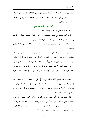مقالته إلى الفروع التي لا تعد مذهبًا مفردًا، فلا تذهب المقالات إلى غير النهاية، وإذا تعينت المسائل التي هي قواعد الخلاف تبينت أقسام الفرق، وانحصرت كبارها في أربع بعد أن تداخل بعضها في بعض.

## كبار الفرق الإسلامية أربع

القدرية – الصفاتية – الخوارج – الشيعة

ثم يتركب بعضها مع بعض، ويتشعَّب عن كل فرقسة أصناف، فتصل إلى ثلاث وسبعين فرقة، ولأصحاب كتب المقالات، طريقان في الترتيب.

أحدهما: أَلهم وضعوا المسائل أصولا ثم أوردوا في كلِّ مسألة: مذهب طائفة طائفة، وفرقة فرقة.

والثاني: أُلهم وضعوا الرجال وأصحاب المقالات أصولًا، ثم أوردوا مذاهبهم في مسألة مسألة، وترتيب هذا المختصر على الطريقة الأخيرة لأيي وحدقما أضبط للأقسام وأليق بأبواب الحساب، وشرطي على نفسي أن أورد مذهب كل فرقة على ما وجدته في كتبهم من غير تعصب لهم، ولا كسر عليهم، دون أن أبيّن صحيحه من فاسده، وأعين حقه من باطله، وإن كان لا يخفى على الأفهام الذكية في مدارج الدلائل العقلية لمحات الحق، ونفحات الباطل.

ومهـــما يكن المنهج الذي سلكه من ألف في الفرق الإسلامية، وأيا كان احتهادهم في تعيين الفرق، وتمييز بعضها من بعض لتبلغ العدد الذي ورد في الحديث، فلن يبرئهم ما وضعوا من الأصول والضوابط من معرة التكلف، ولن يعصمهم من مزالق التخمين، وما يوجه إليهم من طعنات النقاد.

فإن النصوص وإن دلَّت على حدوث الفِرق في هذه الأمة، وبيّنت عدد الفرق إجمالًا لم تخص بحدوث الفرق عهدًا دون عهد، والأمة لا تزال تتابع أجيالها، وتختلف آراؤها، والمستقبل غيب لا يعلمه إلا الله، فربـــما حدث من البدع، ومذاهب الضلال ما ليس في الحسبان مما لا يمكن رده إلى مذاهب الفرق الأولى.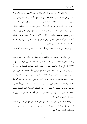وإذا كان ذلك على ما وصفت كان تعيين الفرق رجمًا بالغيب، واقتحامًا لمتاهات لا تزيد من رمي بنفسه فيها إلا حيرة. مع ما في ذلك من التكلف في ضمّ بعض الفرق إلى بعض بإلغاء ضرب من الخلاف خشية أن يتجاوز العدد ما ذكر في الحديث، أو جعل الواحدة فرقتين باعتبار نوع من الخلاف حذرًا أن ينقص العدد عما ذكر في الحديث إلَّا أن التأجيل، ووضع القواعد على النحو الذي صنفه " الشهرستاني " وغيره أقرب إلى الضبط، وأسرع للفهم والتحصيل، وأبعد عن نشر الكلام، وأدحل في صناعة التأليف. لذلك اكتفيت بذكر أصول الفرق الكبار مع مراعاة ترتيبها حسب حدوثها من غير استقصاء، أو محاولة بلوغ العدد المذكور في الحديث.

وذكر جملة من الفرق المشهورة التي تشعّبت عنها مع بيان شيء مما يتميز به كل منها. الخوارج

حرج جماعة من المسلمين على الخليفة الثالث عثمان بن عفان لأمور نقموها منه، وأحداث أنكروها عليه، وما زال بمم اللجاج في الخصومة معه حتى قتلوه. **ولما انتهت الخلافة** إلى على بن أبي طالـــب كان ممن اختلف عليه، وقــــاتله: طلحـــة بن عبيد اللهُ القرشي، والزبير بن العوام. فأما الزبير فقتله ابن حرموز، وأما طلحة فرماه مروان بن الحكم بسهم فقتله، وكانت معهما عائشة – رضى الله عنها– على جمل لها، ولكنها رجعت سالمة مكرمة لم يعترض عليها أحد، وتسمى هذه الموقعة بــ "موقعة الجمل " (٣٦هـ). واختلف على عليّ – أيضًا – معاوية ومن تبعه– رضي اللَّه عنهم– ودارت الحرب بين الفريقين في صِفين حتى كان التحكيم الذي زاد الفتنة اشتعالًا، ودبّ الخلاف في جيش علي، وحـــرج عليه ممن كان من أنصاره فرقة تعرف بالحرورية، وبالشراة. واشتهرت باسم الخوارج.

وحديث العلماء في الفرق الإسلامية عن الخوارج إنما هو عن هؤلاء الذين خرجوا على عليّ ﷺ، من أجل التحكيم. أما طلحة، والزبير، ومعاوية، ومن تبعهم، فلم يعرفوا عند علماء المسلمين هذا الاسم.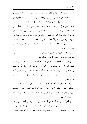ثم صارت كلمة الخوارج تطلق على كل من حرج على إمام من أئمة المسلمين، اتفقت الجماعة على إمامته في أي عصر من العصور دون أن يأتي ذلك الإمام بكفر ظاهر ليس له عليه حجة، وإذن فأول من أحدث هذه البدعة في هذه الأمة، الجـــماعـــة الـتي حرجت على عليّ بن أبي طالب سنة ٣٩ هــ، وأشـــدهم في التمـــرد، والخـــروج عليه، الأشعث بن قيس، ومسعود بن فدكي التميمي، وزيد بن حصين الطائي، والذي دعاهم إلى ذلك مسألة التحكيم المشهورة في التاريخ، ورضا الملومة به مع ألهم هم الذين أمروه به، واضطروه إليه، ثم أنكروه عليه. فقالوا: لم حكمت الرجال، لا حكم إلا الله.

ورؤوسهم ستة: الأزارقة، والنجدات، والصفرية، والعجاردة، والأباضية، والثعالبة، وعنها تتفرع فرقهم.

ومن أصولهم التي اشتركت فيها فرقهم، البراءة من علي، وعثمان، وطلحـــة، والزبير، وعائشة، وابن عباس – رضي اللهّ عنهم– وتكفيرهم.

والقول بأن الخلافة ليست في بني هاشم فقط، كما تقول الشيعة، ولا في قريش فقط، كما يقول أهل السنة، بل في الأمة عربها وعجمها، فمن كان أهلًا لها علمًا، واستقامة في نفسه، وعدالة في الأمة جاز أن يُختار إمامًا للمسلمين، والخروج على أئمة الجور، وكــــل من ارتكب منهم كبيرة. ولذلك سموا بالخوارج. والإيمان عندهم: عقيدة، وقول، وعمل.

**وقد وافقوا في هذا أهل السنة في الجملة**، وخالفوا غيرهم من الطوائف. ومن أصولهم– أيضًا–: التكفير بالكبائر، فمن ارتكب كبيرة فهو كافر. وتخليد من ارتكب كبيرة في النار إلا النجــــدات في الأخيرين. ولذا سموا وعيدية، ومن أصولهم – أيضًا– القول بخلق القرآن.

وإنكارٍ أن يكون الله قادرًا على أن يظلم. وتوقف التشريع، والتكليف على إرسال الرسل، وتقديم السمع على العقل على تقدير التعارض، فمن وافقهم في هذه الأصول فهو منهم، وإن خالفهم في غيرها. ومن وافقهم في بعضها، ففيه منهم بقدر ذلك، وقد اجتمعوا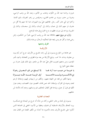بحروراء برئاسة عبد الله بن الكواء، وعتاب بن الأعور، وعبد الله بن وهب الراسبي، وعروة بن حدير، ويزيد بن عاصم المحاربي، وحرقوص بن زهير المعروف بذي الثدية. وكانوا في اثني عشر ألف رحل. فقاتلهم عليَّ يوم النهروان، فما نجا منهم إلا أقل من عشرة، فر منهم اثنان إلى عمان، واثنان إلى كرمان، واثنان إلى سجستان، واثنان إلى الجزيرة، وواحد إلى موزن، فظهرت بدع الخوارج في هذه المواضع.

وأول من بويع منهم بالخلافة عبد الله بن وهب الراسبي، فتبرأ من الحكمين، وممن رضي بهما، وكفَّر هو ومن بايعه عليا لتحكيمه الرجال، ورضاه بذلك.

### الفرق وتشعبها

#### الأزارقية

هم جماعة من الخوارج ينسبون إلى أبي راشد نافـــع بن الأزرق، خرج آخر أيام يزيد بن معاوية، ومات ٦٥ هــ. وبايع الأزارقة من بعد موته قطري بن الفجاءة، وسموه بأمير المؤمنين، ومن بدعهم تصويب قاتل عليّ عبد الله بن ملحم. وفي ذلك يقول عمران بن حطان مفتي الخوارج:

ومنها تكفير من قعد عن الجهاد معهم،. وتكفير من لم يهاجر إليهم، وإسقاط الرجم لعدم وجوده في القرآن، وإسقاط الحد عمن قذف المحصنين دون المحصنات، وعدم جواز التُقية في قول أو عمل، وإباحة قتل أطفال المخالفين لهم ونسائهم، وعدم أداء الأمانة لمن خالفهم.

#### النجدات العاذرية

ينسبون إلى نجدة بن عامر الحنفي، وكان من شأنه أنه خرج من اليمامة مع عسكـــره يريد اللحاق بالأزارقة، فاستقبله أبو فديك، وعطية بن الأسود الحنفي في الجماعة الذين أنكروا على نافـــع الأزرق بدعه، فأحبروه بما أحدثه من تكفير القعدة عن القتال معه،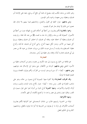وغير ذلك من بدعه، فكتب إليه، ينصح له، فلما أبي نافع أن يرجع، بايعه على الإمامة أبو فديك، وعطية، ومن معهما، وسموه بأمير المؤمنين.

ومن بدعهم: جواز التقية في القول والعمل، وتناصفهم فيما بينهم بلا إمام، فإن عجزوا عن ذلك إلا بإمام جاز لهم أن يقيموه.

وسموا بالعاذرية لأُلهم يعذرون من أخطأ في أحكام الفروع لجهالته دون من أخطأ في الأصول: كمعرفة الله، ورسله، والإقرار بما حاء به محمد، ﷺ من عند الله جملة. و لم يلبث أبو فديك وعطية أن اختلفا عليه، وقتله أبو فديك، ثم اختلف أبو فديك وعطية، وبرئ كل منهما من الآخر، وصار لكل منهما أتباع. وسمى أتباع أبو فديك: فدكية، وأتباع عطية: العـــطويــــة، وقــــد أرســــل عبــــد الملك بن مروان، عثمان بن عبيد الله بن معمر إلى أبي فديك، فحاربه أيامًا، وقتله، وفر عطية إلى أرض سجستان.

#### العجاردة

هم طائفة من الخوارج ينسبون إلى عبد الكريم بن عجرد، وهم من أصحاب عطية بن الأسود الحنفي **ومن بدعهم**: البراءة من الأطفال حتى يدعوا إلى الإسلام عند بلوغهم، **ومن بدعهم** – أيَضَا–: أن سورة يوسف ليست من القرآن، وألهم يتولون القعدة، ويرون الهجرة فضلة لا فرضًا.

**وقد افترقت العجاردة** فرقا كثيرة منها: الميمونية أتباع ميمون بن حالد، وهو على مذهب المعتزلة في القدر. ومن بدعه – أيضًا– حواز نكاح بنات البنات والبنين، وبنات أولاد الإخوة والأخوات. ومنها الحمزية أتباع حمزة بن أدرك ثبتوا على قول ميمون في القدر، وقالوا بجواز إمامين في عصر واحد ما لم تحتمع الكلمة، أو تقهر الأعداء.

### ومنها الأطرافية:

فرقة من الحمزية رئيسهم غالب بن شاذان السحستاني سموا أطرافية لأفمم يعذرون أصحاب الأطراف في ترك ما لم يعرفوه من الشريعة إذا أتوا بما عرفوه بالعقل، ومذهبهم: كالذرية في تحكيم العقل.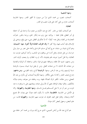ومنها الشعيبية

أصحاب شعيب بن محمد الذي تبرأ من ميمون لما أظهر القدر. ومنها الجازمية أصحاب جازم بن علي كان على قول شعيب في القدر.

الثعالبة:

هم أصحاب ثعلبة بن عامر. كان مع عبد الكريم بن عجرد يدًا واحدة إلى أن اختلفا في أمر الطفل، فقال ثعلبة – بولايته حتى نرى منه إنكار الحق، ورضا بالجور. فتبرأت العجاردة من ثعلبة، ونقل عنه– أيضًا– أنه لا يحكم في الطفل بشيء حتى يبلغ، ويدعى إلى الإسلام، فإن أجاب فبها، وإلا كفر !! وقد افترقت الثعالبة فرقًا كثيرة. منها: الشيبانية، وهم أتباع شيبان بن سلمة، خرج أيام أبي مسلم الخراساني وأعانه على نصر بن سيار والي خراسان من قبل هشام، وقتل أناسا ممن يوافقون في المذهب، وأحذ أموالهم، فبرئت منه الثعالبة، ولما قتل أخبروا بتوبته، فلم يقبلوها، لأنه لم يرد المظالم، و لم ينصف أولياء الدم. ومن بدعهم: تشبيه الله بخلقه، وموافقة جهم في قوله بالجبر، واعتقاد أن الولاية والعداوة من صفات الله الذاتية، لا من صفات الفعل. ومن لم يقبل توبة شيبان يسمون بالزيادية نسبة لرئيسهم زياد بن عبد الرحمن. ومنها: ا**لرشيدية** أتباع رشيد الطوسي. **ومن بدعهم**: إخراج نصف العشر زكاة لما سقى بالألهار. ومنها المكرمية أصحاب أبي مكرم بن عبد الله العجلي، ومن مقالته: تكفير تارك الصلاة لجهله بربه، وغفلته عن معرفته، وعدم مبالاته بالتكليف. وقالوا بإيمان الموافاة، بمعنى أن الله يوالي عباده، ويعاديهم على ما يوافونه به عند الموت من خير أو شر لا على أعـــمالهم قبــــل ذلـــك. ومنها المعلومية، والمجهولية: وهما في الأصل من الجازمية. **فالمعلومية**، قالت: لا يكون العبد مؤمنًا حتى يعرف الله بجميع أسمائه وصفاته. وقالوا فعل العبد مخلوق له، فبرئت منهم الجازمية. **والمجهولية** قالت: من علم البعض، وجهل البعض كان مؤمنًا.

#### الأباضية

هم أتباع عبد الله بن أباض التميمي، الذي خرج أيام مروان بن محمد آخر خلفاء بني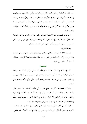أمية، قال: إن مخالفينا من أصل القبلة كفار غير مشركين، وأباح مناكحتهم، وموارثتهم، وأباح غنيمة أموالهم من السلاح، والكراع عند الحرب لا غير. وحرَّم قتلهم، وسبيهم غيلة، وأباح ذلك بعد إقامة الحجة، ونصب القتال. وقال: مرتكب الكبيرة موحد لا مؤمن، وكافر نعمة لا كفرًا يخرج من الملة، وأنه مخلَد في النار، وأفعال العباد مخلوقة للهّ مكتسىة للعىد.

وهم فرق كثـــيرة. منها الحفصية أصحاب حفص بن أبي المقدام، تميز عن الأباضية بجعله الفرق بين الشرك والإيمان، معرفة الله وحده، فمن عرفه فهو مؤمن، وإن كفر بالرسل، وما جاءوا به. ومن ارتكب كبيرة، فهو كافر غير مشرك.

### ومنها الحارثية:

أصحاب الحارث بن مزيد الأباضي، خالف الأباضية في القدر، فقال فيه بقول المعتزلة، ولذا كرهوه. وقال بالاستطاعة قبل الفعل لا معه. وقال بإثبات طاعة لا يُراد ها وجه الله، كما قال أبو الهذيل من المعتزلة.

#### الشعة

الشياع: القوة والانتشار، يقال: شاع الخبر إذا انتشر، وكثر التكلم به. **وشيعة الرجل:** خواصه، وجماعته الذين ينتشرون، ويتقوى هم لنسب يجمعهم، أو لاتباعهم إياه في مذهبه، وسيرهم على منهاجه وسننه، وتجمع الشيعة على شِيَع، وتُجمع شيع على أشيا ع.

والمراد بالشيعة هنا: كل من شايع على بن أبي طالب حاصة، وقال بالنص على إمامته، وقصر الإمامة على آل البيت. وقال بعصمة الأئمة من: الكبائر، والصغائر، والخطأ. وقال: لا ولاء لعلي إلا بالبراء من غيره من الخلفاء الذين في عصره قولا، وفعلًا، وعقيدة، إلا في حال التقية. وقد يثبت بعض الزيدية الولاء دون البراء.

فهذه أصول الشيعة التي يشترك فيها جميع فرقهم، وإن احتلفت كل فرقة عن الأخرى في بعض المسائل، فمن قال ممن ينتسب إلى الإسلام هذه الأصول، فهو شيعي.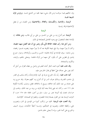الزيدية، والإمامية، والكيسانية، والغلاق، والإسماعيلية ومن العلماء من لم يجعل الإسماعيلية فرقة رئيسية.

#### الز يدية

الزيدية: هم أتباع زيد بن علي بن الحسين بن علي بن أبي طالب، ومن مقالته: إن الإمامة تنعقد للمفضول مع وجود الفاضل للمصلحة في ذلك.

ومن أجل هذا رأى انعقاد الخلافة لأبي بكر وعمر مع أن عليا أفضل منهما عقيدة، وكان لا يتبرأ منهما، ولما بلغ شيعة الكوفة عنه أنه لا يتبرأ منهما رفضوه، فسموا رافضة، ومن مذهبه: سوق الإمامة في أولاد فاطمة: الحسن، والحسين، وأولادهما، وجواز خروج إمامين في قطرين على أن يكون كل منهما من أولاد فاطمة. ويتحلى بالعلم، والزهد، والكرم، والشجاعة.

**وقد عاب عليه** أحوه محمد الباقر أخذه العلم عن واصل بن عطاء الغزال من أجل أنه كان يجوز على حدهما علىّ الخطأ في قتال الخارجين عليه.

كما عاب عليه: رأيه بأن الخروج شرط في كون الإمام إمامًا، وكان يذهب في القدر إلى مذهب القدرية، وبذلك نعرف السر في أن أتباع زيد كلهم معتزلة. وقد خرج زيد على هشام بن عبد الملك أيام خلافته، وبويع له بالخلافة، فقتل، وصلب بكناسة الكوفة عام ١٢١ هـــ. وكان ابنه يجيي إمامًا بعده أيام الوليد بن يزيد بن عبد الملك. وذهب إلى حراسان، فبعث إليه أميرها نصر بن سيار، سلم بن أحوز، فقتله عام ١٢٥ هـــ، ثم انحرفت الزيدية بعد عن القول بصحة إمامة المفضول، وطعنوا في الصحابة، كالإمامية.

ومما أجمعت عليه الزيدية: تخليد من ارتكب كبيرة من المؤمنين في النار، وتصويب على، وتخطئة مخالفه، وتصويبه في التحكيم، وإنـــما أحطأ الحكمان، ويرون السيف والخروج على أئمة الجور، وإنه لا يصلي حلف فاسق.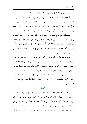وقد افترقت الزيدية ثلاث فرق: حارودية، وسليمانية، وبترية.

الجارودية: هم أتباع أبي الجارود زياد بن المنذر العبدي، مات عام ١٥٠ هــ. وقـــد سماه أبو جعفر الباقر سر حزب (الشيطان). ومن مقالته: إن النبي، ﷺ نص على إمامة عليّ بالوصف دون الاسم، وإن الصحابة كفروا بتركهم بيعة علي، وبذلك حالف إمامه زيد بن علي. ومن أصحاب أبي الجارود فضيل الرسان، وأبو حالد الواسطى.

**السليمانية:** هم أتباع سليمان بن جرير الزيدي الذي ظهر أيام أبي جعفر المنصور، ومن مقالته: إن الإمامة شوري، وإلها تنعقد ولو برجلين من حيار الأمة، وإلها تنعقد للمفضول مع وجود الفاضل. إلا أُهْم كفَروا عثمان للأحداث التي نسبت إليه، وكفَّروا عائشة، وطلحــة، والزبير لِإقدامهم على قتال على بن أبي طالب، وطعنوا في الرافضة من أجل قولهم بالبداء وبالتقية.

البتوية والصالحية: أما البترية، فأتباع كثير الثواء الملقب بالأبتر مات سنة ١٦٩ هـــ تقريبًا. وأما الصالحية، فأصحاب الحسن بن صالح بن حي الكوفي الهمداني مات عام ١٦٧ هـــــــومذهبهما في الإمامة مثل مذهب السليمانية، إلا ألهم يتوقفون في كفر عثمان لتعارض نصوص فضائله، والأحداث التي نسبت إليه، ويتوقفون كذلك في إكفار قتلته.

ذكر في مقالات الإسلاميين أن الزيدية ست فرق الثلاث السابقة: **والنعيمية**، أتباع نعيم بن اليمان، **واليمانية**، وهم أتباع محمد بن اليمان، **واليعقوبية**، وهم أتباع يعقوب بن على الكوفي.

#### الإمامية

الإمامية: قالوا: بالنص الصريح على إمامة على في مواضع، وبالإشارة إليه بعينه في مواضع أخرى، وقالوا: إنه الإمامة ركن الدين ليس في الإسلام شيء أهم منه، فلا يجوز أن يتركـــه الرسول، ﷺ لاختيار الأمة، بل يجب أن يعين له شخصًا، وقد عين له على بن أبي طالب بالنص عليه، والإشارة إليه. وقالوا: بتكفير بعض الصحابة، واتفقوا على إمامة الحسين، فعلي زين العابدين، فمحمد الباقر، ثم افترقوا بعد ذلك فرقًا كثيرة في الوقوف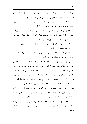بالإمامة عند الباقر، وسوقها إلى ابنه جعفر، ثم فيمن كان إمامًا من أولاد جعفر الستة: محمد، وإسحاق، وعبد الله، وموسى، وإسماعيل، وعلي. **وإليك بعضها**:

**الباقرية:** هـم أصحــــاب أبي جعفر محمد الباقر، وهـم يثبتون إمامته بالنص من أبيه زين العابدين عليه، ويزعمون أنه لم يمت، وإنه المهدي المنتظر .

الجعفرية أو الناوسية: نسبة إلى رحل يُقال له: ناوس أو عجلان بن ناوس من أهل البصرة، أو قرية تسمى ناوسا، ومن مذهبهم سوق الإمامة إلى جعفر الصادق بنص أبيه الباقر عليه، ويزعمون أنه لم يمت، وإنه المهدي المنتظر .

**الشميطية**: هم أصحاب يجيي بن أبي شميط. يقول: يموت جعفر الصادق، ونصه على إمامة ابنه محمد، وإنه المهدى المنتظر .

**الأفطحية أو العمارية**: ينسبون إلى رجلٍ يقال له: عمارٍ، كان يقول: بموت جعفر الصادق، ونصه على إمامة ابنه عبد الله الأفطح.

الموسوية: ينسبون إلى موسى الكاظم. قالوا: إن الإمامة انتقلت من جعفر الصادق إلى ابنه موسى الكاظم بنصه عليه، ثم إن هارون الرشيد حمل موسى إلى بغداد، وحبسه لإظهاره الإمامة. ويقال: إنه دس له سما فمات. ودفن ببغداد. ثم من قال: بموته سموا: بالقطعية. ومن قال: لا ندري أمات أم لا ! سموا: بالممطورة. لقول على بن إسماعيل فيهم، ما أنتم إلا كلاب ممطورة، ومن قال بغيبته، و لم يسق الإمامة فيمن بعد سموا: **بالوقفية**.

الاثنا عشرية: فرقة من الموسوية، قالت: بموت موسى، وسموا ا**لقطعية**، كــما تقدم، وهؤلاء ساقوا الإمامة في أولاد موسى بنص كل منهم على من بعده، فزعموا أن الإمام بعد موسى: على الرضا، ثم محمد التقى، ثم على بن محمد، ثم الحسن العسكري، ثم ابنه القائم المنتظر الذي اختفى في سرداب في سر مَنْ رَأى وهو الإمام الثاني عشر.

**الإسماعيلية الواقفية**: قالوا: بموت جعفر الصادق، ونصه على إمامة ابنه إسماعيل، ثم انتقلت منه إلى ابنه محمد بن إسماعيل لموت إسماعيل في حياة جعفرٍ، وقالوا: بغيبة محمدٍ، و رجعته.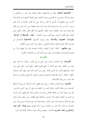ا**لإسماعيلية الباطنية**: فرقة من الإسماعيلية ساقت الإمامة بعد محمد بن إسماعيل بن جعفر في أئمة مستورين، ثم ظاهرين، وهم الباطنية، وهي الفرقة المشهورة في الفرق هذا الاسم. ومن مقالتهم أن الأرض لا تخلو من إمام حي، إما ظاهر مكشوف، وإما باطن مستور . وأن من مات و لم يعرف إمام زمانه مات ميتة جاهلية! ومن مات وليس في عنقه بيعة لِإمام مات ميتة حاهلية! وسموا باطنية لحكمهم بأن لكل ظاهر باطنًا، ولكل تنزيل تأويلًا، ولهم ألقاب أخرى، منها ألهم يسمون بالعراق – أ**يضا– القرامطة أو المزدكية**. وبخراسان: التعليمية، والملاحدة. وهم يسمون أنفسهم: الإسماعيلية لامتيازهم عن الموسوية الاثنا عشرية بالقول بإمامة إسماعيل بن جعفر دون أخيه موسى الكاظم.

ومن مقالتهم – أيضًا– أُلهم لا يقولون بإثبات الصفات لله، ولا نفيها، فرارًا من التشبيه بالموجودات والمعدومات، ولهم سوى ذلك كثير من الشناعات الكفرية.

## الكيسانية

**الكيسانية**: هم أصحاب كيسان مولى على بن أبي طالب. ويقال: إنه تتلمذ على محمد بن الحنفية. وقد زعم أتباعه أنه جمع العلوم كلها، وجمع أسرار علوم على وابنه محمد، ويجمعهم القول بأن الدين طاعة رحل، ومن أحل ذلك ضل منهم كثير، وحاءوا بالكفر: كإنكار أركان الإسلام، والشك في البعث، والقول بالتناسخ، والحلول، والرجعة بعد الموت. ومن فرق الكيسانية:

**المختارية**: وهم أصحاب المختار بن أبي عبيد الثقفي كان خارجيًّا، ثم زبيريًّا، ثم شيعيًّا كيسانيا، ومن مقالته القول: بإمامة محمد بن الحنفية بعد علِي، أو بعد الحسن والحسين. وقد تبين حيبته لمحمد بن الحنفية، فأعلن براءته منه، والذي ساعد على ظهور أمره انتسابه إلى محمد بن الحنفية، وقيامه بثأر الحسين، واشتغاله بقتل الظلمة. ومن مذهبه جواز البداء على الله علمًا، وإرادة، وأمرًا ليبرر بذلك رحوعه فيما أبرمه مع دعواه أنه يوحى إليه. ومن المختارية من قال: بأن محمد بن الحنفية لم يزل، وأنه المهدي، ومن هؤلاء: كثير عزة، وإسماعيل بن محمد الحميري الشاعران. ومنهم من قال: بموته، وانتقال الإمامة إلى غيره.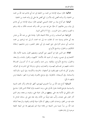**الهاشمية:** قالوا بسوق الإمامة من محمد بن الحنفية إلى ابنه أبي هاشم عبد الله بن محمد بن الحنفية، وأن والده أفضى إليه بالأسرار التي أفضى ها على إلى ولده محمد بن الحنفية.

**البيانية**: هم أتباع بيان بن سمعان التميمي النهدي، قالوا بسوق الإمامة من أبي هاشم إلى بيان، ومن مقالتهم: أن عليًّا حلَّ فيه جزءٍ من الله، واتحد بجسده، فكان به إلها، وعلم به الغيب، وانتصر به في الحروب.. إلخ !! ثم ادَّعي النبوة.

**الرزامية**: هم أصحاب رزام من غلاة الشيعة، قالوا: بإمامة على بن عبد اللهّ بن عباس بعد أبي هاشم بوصية منه، ثم انتقلت منه إلى ابنه محمد، ثم إلى ابنه إبراهيم بن محمد صاحب أبي مسلم الخراساني حتى انتهت إلى أبي جعفر المنصور، ومن مذهبهم: إسقاط التكاليف، والحلول، وتناسخ الأرواح.

**الغلاة**: هم الذين غلوا في أئمتهم حتى ألهوهم، ويجمعهم القول بتشبيه الأئمة بالله: كالنصاري في عيسى، وغيره، أو تشبيه الله بالأئمة: كاليهود، والقول بالبداء، والرجعة، والحلول، وتناسخ الأرواح، والإلهية. ومن بحث وأنصف تبين له أن أصـــول الغــــلاة دخلت عليهم من تعـــاليم اليهـــود، والنصاري، وماني، ومزدك التي انتشرت في العراق، ولهم في كل بلد لقب، فهم يلقبون في أصفهان: بالخرمية، والكردية. وفي الري: بالمزدكية، والسنبادية. وفي أذربيحان: بالذقولية. وفي موضع بالمحمرة، وفيما وراء النهر: بالمبيضة ومن فرقهم ما يأتي:

**السبائية**: أتباع عبد الله بن سبأ الحميري اليهودي، أظهر الإسلام، وأثار الفتن الدينية والسياسية، فوضع قاعدة حلول الله في علي، ومنه انشعبت فرق الغلاة الذين قالوا: بتناسخ الجزء الإلهي في الأئمة بعد علي. ومنهم من قال: بحياة علي، وغيبته، ورجعته، وهو الذي أثار الفتن على عثمان، وألَّب عليه فريقًا من الأمة، وقد نفاه على إلى ساباط المدائن لما علمه فيه من الغلو، وإحداث الفتن، ويظهر أن فكرة حياة الإمام، والغيبة، والرجعة أنشأها عبد اللَّه بن سبأ حينما يئس الشيعة من إقامة دولة لهم ليصرفهم ها عن البيعة لخليفة موجود إلى إمام مفقود.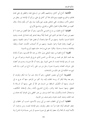**الكاملية**: أتباع أبي كامل، ومذهبهم تكفير من لم يبايع عليا، والطعن في علي لعدم قتالهم، والخروج عليهم، ومع ذلك غلا أبو كامل في علي، ورأى أن الإمامة نور ينتقل من شخص لآخر، ويتفاوت. ففي شخص يقوى حتى يكون نبيا، وفي آخر يكون إمامًا. وقال كغيره من الغلاة بفكرة الحلول الكلي، والجزئي، وتناسخ الأرواح.

**العليائية:** أتباع العلياء بن ذراع الدوسي الأسدي، زعم أن عليًا أفضل من محمد ! ثم منهم من زعم أن عليا هو الذي سمي محمدًا إلهًا! وبعثه ليدعو إليه، فدعا إلى نفسه، وذموه لذلك! فسموا بالذمية. ومنهم من ألَّه عليا ومحمدًا، أو فضل عليا ! وسموا بالعينية. ومنهم من ألههما، وقدم محمدًا وسموا بالميمية. ومنهم من أله أصحاب الكساء: محمدًا، وعليّا، وفاطمة، وحسنا، وحسيَّنا. وقالوا: هم شيء واحد حلت فيهم الروح بالسوية.

**المغيرية**: أتباع المغيرة بن سعيد البجل<sub>ى</sub> مولى خالد بن عبد الله القسري، زعم أن الإمام بعد محمد الباقر هو محمد بن عبد اللّه بن الحسن الذي خرج في المدينة، وزعم أنه حي لم يمت، ثم زعم الإمامة لنفسه، ثم ادعى النبوة. وفي زعمه أن الله صورة، وحسم ذو أعضاء على حروف الهجاء، وصورته صورة رحل من نور على رأسه تاج من النور، وله قلب تنبع منه الحكمة إلى غير ذلك من الشناعات.

**المنصورية**: أتباع أبي منصور العجلبي، زعم أنه إمام حين تبرأ منه الباقر وطرده، ثم زعم بعد وفاة الباقر أن روحه انتقلت إليه، وله كثير من المزاعم. منها أنه عرج به إلى السماء. ومنها أن الكِسْف الساقط من السماء هو الله أو على. ومنها أن الرسالة لا تنقطع. ومنها تسمية الجنة والنار، وأنواع التشريع بأسماء رحال لإسقاط التكاليف، واستحلال الدماء والأموال، وقد أخذه يوسف بن عمر الثقفي والى العراق أيام هشام بن عبد الملك، وصلبه لخبث دعوته، وهم صنف من الحزمية.

ا**لخطابية**: أتبـــاع أبي الخطاب محمد بن أبي زينب الأسدي، انتسب أبو الخطاب إلى جعفر الصادق أولا، فلما تبرأ منه جعفر وطرده، زعم الإمامة لنفسه، ومن مزاعمه: أن الأئمة أنبياء، ثم آلهة! وأن جعفرا إله ظهر في صورة جسم، أو لبس جسمًا فرآه الناس! ولما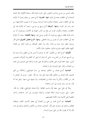وقف عيسى بن موسى صاحب المنصور على حبث دعوته قتله بسبخة الكوفة، وقد افترق أصحاب أبي الخطاب بعده إلى فرق، منها: المعموية، أتباع معمر بن خيثم زعموا أن الإمام بعد أبي الخطاب معمر، وهؤلاء ينكرون فناء الـــدنيا، ويرون أن ما يصيب العالم فيها، من حير وشر هو الجزاء. **ومنها: البزيغية** أتباع بزيغ بن موسى، زعموا أنه الإمام بعد أبي الخطاب، وهؤلاء ينكرون الموت لمن بلغ من الناس النهاية في الكمال، ويزعمون أن من مات فارق فقط، ورفع، ويزعمون أن المؤمن يوحى إليه. **ومنها العجلية**، زعموا أن الإمام بعد أبي الخطاب عمير أو عمرو بن بيان العجلي. ومنها: أتباع مفضل الصيرفي الذي قال بربوبية جعفر دون نبوته ورسالته. وقد تبرأ جعفر الصادق بن محمد الباقر من هؤلاء كلهم، فإلهم كلهم حياري ضالون جاهلون بحال الأئمة.

**الكيالية**: أتباع أحمد بن الكيال، كان له مزاعم لا أساس لها من العقل، ولا مستند لها من السمع، فتركه من انخدع به، ادعى أنه إمام، ثم ادعى أنه القائم وله تأويلات لنصوص الدين. منها: حملة الميزان على العالمين، والصراط على نفسه، والجنة على الوصول إلى علمه من البصائر، والنار على الوصول إلى ما يضاده.

الهشامية: أتباع هشام بن الحكم، وهشام بن سالم الجواليقي، وكلاهما من أهل التشبيه، فأما هشام بن الحكم، فقال فيما نقل عنه: إن الله– تعالى– جسم ذو أبعاض له قدر من الأقدار، ولكن لا يشبه شيئًا من المخلوقات. ولا يشبهه شيء منها. ونقل عنه أنه قال: إنه شبر بشبر نفسه، إلى آخر شناعاته.

وغلا في عليّ حتى حعله إلهًا واحب الطاعة. وأما هشام الجواليقي، فقال: إن الله-تعالى– على صورة إنسان أعلاه مجوف، وأسفله مصمت، إلى آخر شناعاته، وأجاز المعصية على الأنبياء دون الأئمة لعصمتهم.

**النعمانية**: هم أتباع محمد بن علي بن النعمان أبي جعفر الأحول الملقب بشيطان الطاق، ومذهبه في حدوث علم اللَّه: كمذهب هشام بن الحكم، وكذلك مذهبه في ذات الله، إلا أنه يقول: إلها نور على صورة إنسان.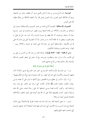**اليونسية**: هم أتباع يونس بن عبد الرحمن القمي مولى آل يقطين، وهو من المشبهة، يزعم أن الملائكة تحمل العرش، وأن العرش يحمل الله. وأن أطيط الملائكة من وطأة عظمة الله على العرش.

**النصيرية والإسحاقية**: النصيرية أتباع محمد بن نصير النميري، والإسحاقية ينسبون إلى إسحاق بن الحارث، وكلاهما من غلاة الشيعة يرون ظهور الروحانيات في صور جسمية حيرة أو حبيثة، ويزعمون أن الله يظهر في صورة إنسان، وأن جزء منه حلَّ في عليَّ به يعلم الغيب، ويفعل ما لا طاقة لأحد به من البشر، إلا أن النصيرية أميل إلى مشاركة على لله في الألوهية. والإسحاقية أميل إلى مشاركة على لمحمد في النبوة، وكلاهما يرى – أيضًا– إباحة المحارم، وإسقاط التكاليف.

ومن الرافضة– أيضا– جماعة يقولون: بإمامة محمد بن عبد الله بن الحسن بن علي بن أبي طالب، وأنه لم يزل حيا، وينتظرون حروجه، مع أن جيش أبي جعفر المنصور قد قتله بالمدينة، وأقر بذلك فرقة من أتباع إمامهم محمد.

## أسئلة منثورة من سنوات عدة

س١- من الفـــرق الإســــلامية الخـــوارج. فمن هم الخوارج؟ ومتى نشأوا؟ اذكر فرقهم الرئيسية، والأصول التي اشتركوا فيها. و لم سمُّوا وعيدية وخوارج؟ وبم تحكم فيهم؟ س٢– (أ)– ذكــر في مطلع سورة القصص، وفي أثنائها ما يدل على أن قصة موسى سيقت لتكون معجزة لمحمد، ﷺ فاذكر الآيات التي ترشد إلى ذلك، مع بيان وجه إرشادها إليه. وكيف كانت قصة موسى بجملتها آية على رسالة محمد، صلى الله عليه وسلم؟ وكيف كانت بتفصيلها دليلًا على أن الله يعد أنبياءه قبل النبوة بالعلم، والأخلاق الفاضلة لتحمل أعباء الرسالة؟

(ب) – ما معنى الشيعة لغة، وما المراد ها عند علماء الفرق الإسلامية؟ ومتى نشأت الشيعة مع بيان السبب، وما الأصول التي اشتركت فيها فرق الشيعة؟ اذكر فرقهم الرئيسية التي تتشعب عنها جميع فرقهم.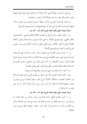من الذي بدأ مذهب المعتزلة؟ ومتى كان ذلك؟ اذكر الأصول التي تشترك فيها فرقهم؟ وبيّن مرادهم بكل منها، و لم سموا معتزلة؟ اذكر أربعة من مشاهيرهم.

من الفرق الإسلامية الخوارج، فاذكر ضابطًا يشملهم ويميزهم عن غيرهم. واذكر فرقهم الرئيسية وما الأصول التي اشتركت فيها فرقهم؟ ولم سموا وعيدية وحوارج؟

أسئلة امتحان النقل بكلية اللغة العربية لعام ٨٢– ٨٣ هـــ

س١- عرّف الحكم. واذكر الفرق بين أقسامه الثلاثة (الحكم الشرعي. الحكم العرفي. الحكم العقلبي). مع التوضيح بالأمثلة. ما معنى كون الوحوب والاستحالة والجواز أحكامًا عقلية؟ وضَّح ما تقول بالأمثلة. وهل يكفي العقل في إثبات أحكام الدين دون نصوص الشرع؟ علل لما تقول مع التوضيح بالأمثلة؟

س ٢- عرف توحيد الألوهية مع التمثيل؟ واذكر آيات من القرآن فيها الاستدلال بتوحيد الربوبية على توحيد الألوهية مع بيان وجه الدلالة، و لم كان توحيد الربوبية طريقا فطريًّا ﻹثبات توحيد اﻷلوهية؟ ولم كان طريق القرآن في الحجاج، وهدي اﻷنبياء في الاستدلال أعظم طمأنينة للنفس، وأقوى في إثبات الحق وإقناع الخصم؟

س ٣- (أ)– اذكر الفرق بين النبي والرسول، وأوضح النسبة بينهما؟

(ب)– كيف كانت المعجزة دليلًا على صدق من ظهرت على يده في دعوى الرسالة؟ ولم اختلفت المعجزات باختلاف الأمم؟ اشرح ذلك مستعينا بمعجزة موسى، وعيسى، ومحمد، عليهم الصلاة والسلام، ولم أرسل كل رسول بلسان قومه؟ اذكر ما يدل على ذلك من آيات القرآن.

أسئلة امتحان النقل بكلية اللغة العربية لعام ٨٢ –٨٣ هـــ

س ١- أثبت بالدليل العقلي حاجة العالم إلى موجد، واذكر من آيات القرآن ما يرشدك إلى ما دل عليه العقل من حاجــــة العالم إلى موجد مع بيان وجه الدلالة؟ واذكر من الكتاب والسنة ما يرشدك إلى أن ذلك ثابت– أيضا– بشهادة الفطر مع بيان وجه الدلالة؟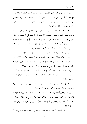س ٢- هل الأمم التي كذبت الأنبياء في دعوى الرسالة أقرت بإمكان الرسالة اذكر من آيات القرآن في قصص الأنبياء ما يدل على ذلك مع بيان وحه الدلالة، وبين الدواعي التي حملتهم على رد دعوة الرسل مع الحكمة في أن الله اختار رسله إلى الناس من البشر، اذكر ما يرشدك إلى ذلك من القرآن؟

س٣ – ذكــر في مطلع سورة يوسف، وفي أثنائها، وختامها ما يدل على أن قصة يوسف سيقت لتكون معجزة لمحمـــد، ﷺ فأشر إلى الآيات التي أرشدت إلى ذلك الغرض. وبين كيف كانت قصة يوسف بجملتها آيات لمحمد، ﷺ وكيف كانت دليلا– أيضا– على أن اللّه يعد أنبياءه قبل النبوة بالعلم، والأخلاق الفاضلة لتحمل أعباء الرسالة؟

س ١ – (أ) – أذكر الفرق أولًا: بين الواحب لذاته، والواحب لغيره.

وثانيًا: بيّن المستحيل لذاته والمستحيل لغيره مع توضيح كل منها بالمثال؟

(ب) – اذكر الدليل العقلي على إثبات توحيد الربوبية، واذكــر الآيات التي استخلص منها علماء المسلمين هذا الدليل العقلبي مع بيان وحه دلالتها على المطلوب؟ ولماذا أنبه الله على ذلك في القرآن مع أن المشركين قد أقروا بتوحيد الربوبية؟

(حـ)- بين المراد بتوحيد الأسماء والصفات، ثم بين كيف كان الوجود كله آيات بينات، وشواهد واضحات على إثبات أسماء الله وصفاته واذكر آيات من القرآن الكريم ترشد إلى ذلك؟

س٢ –(أ)– استدل على إمكان الرسالة وحاجة العالم إليها، وما شبهة من قال: بوجوبها، ومن قال: باستحالتها؟ وبم ترد على كل منهما؟

(ب)– من المقرر أن معجزات الأنبياء ليست منحصرة فيما تحدى به كل بي قومه، فأوضح ذلك ببيان عدم انحصار معجزة موسى في انقلاب العصا حيَّة، وخروج يده بيضاء مستعينًا في ذلك بما ذكر اللَّه من سيرته قبل الرسالة وبعدها في القرآن الكريم، وما جرى عليه، وعلى قومه من الأحداث؟

س−١− (أ)− فرّق بين الـــواجـــب، والممكن، والمستحيل في العقليات مع التوضيح بالمثال؟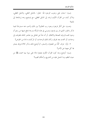(ب)– استدل على وجوب الوجود لله– تعالى– بالدليل النقلي، والدليل العقلبي، واذكر آيات من القرآن الكريم ترشد إلى الدليل العقلبي، مع توضيح وجه إرشادها إلى ذلك؟

تذكر بالحوار الذي دار بين فرعون وموسى في هذه المسألة بدرجة تدفع شبهة من زعم أن وجود العسالم وليد الصدفة والاتفاق. أو أنه نشأ عن تفاعل بين عناصر المادة، فتفرقت إلى وحدات، أو اتحدت بعد تفرق، وكان لتلك الوحدات، أو المركبات ما لها من الخواص؟

٢– (أ)– عرف كلًّا من المعجزة، والسحر، ثم أوضح ذلك بذكر ثلاثة فروق يتمايز ها كل منهما عن الآخر؟

(ب)– أوضح وجه كون القرآن الكريم معجزة دالة على نبوة نبينا محمد، ﷺ من حيث النظم، وما اشتمل عليه من التشريع، وأحكام الغيب؟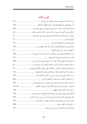فهرس الآيات

| إذ قال لأبيه ياأبت لم تعبد ما لا يسمع ولا يبصر ولا يغني عنك شيئا …….<br>$\circ$ $\cdot$   |
|-------------------------------------------------------------------------------------------|
| إذ قال يوسف لأبيه ياأبت إيي رأيت أحد عشر كوكبا والشمس والقمر  • ٤                         |
| أفرأيت من اتخذ إلهه هواه وأضله الله على علم وختم على سمعه وقلبه<br>1                      |
|                                                                                           |
|                                                                                           |
| إلا الذين آمنوا وعملوا الصالحات وذكروا الله كثيرا وانتصروا من  ١٣                         |
|                                                                                           |
| أمن يبدأ الخلق ثم يعيده ومن يرزقكم من السماء والأرض أإله مع الله  ٢٣                      |
|                                                                                           |
| إن الذين فرقوا دينهم وكانوا شيعا لست منهم في شيء إنما أمرهم إلى<br>17                     |
| إن الذين يجادلون في آيات الله بغير سلطان أتاهم إن في صدورهم إلا ……<br>$\circ$             |
| إن في خلق السماوات والأرض واختلاف الليل والنهار والفلك التي تحري<br>A                     |
| إن نقول إلا اعتراك بعض ألهتنا بسوء قال إي أشهد الله واشهدوا<br>$\sqrt{\epsilon}$          |
| إنا أرسلناك بالحق بشيرا ونذيرا وإن من أمة إلا خلا فيها نذير<br>$\mathfrak{r}\mathfrak{r}$ |
| إنا أنزلنا إليك الكتاب بالحق فاعبد الله مخلصا له الدين<br>$\circ$ 1                       |
| إنا أوحينا إليك كما أوحينا إلى نوح والنبيين من بعده وأوحينا إلى …….<br>17                 |
| إنا لننصر رسلنا والذين آمنوا في الحياة الدنيا ويوم يقوم الأشهاد  • 0، ٢١                  |
|                                                                                           |
| أولئك الذين يدعون يبتغون إلى رهم الوسيلة أيهم أقرب ويرحون رحمته  ١٥                       |
| الذي جعل لكم الأرض فراشا والسماء بناء وأنزل من السماء ماء فأخرج  ٢٢                       |
|                                                                                           |
|                                                                                           |
|                                                                                           |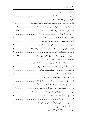| ذلك من أنباء الغيب نوحيه إليك وما كنت لديهم إذ أجمعوا أمرهم وهم  ٣٨                   |
|---------------------------------------------------------------------------------------|
| رسلا مبشرين ومنذرين لئلا يكون للناس على الله حجة بعد الرسل وكان  ٤، ٢٥                |
| سنة الله التي قد حلت من قبل ولن تحد لسنة الله تبديلا  ٤٥ ٤، ٦١                        |
| سنريهم آياتنا في الآفاق وفي أنفسهم حتى يتبين لهم أنه الحق أو لم  ٥                    |
|                                                                                       |
|                                                                                       |
| فأقم وحهك للدين حنيفا فطرة الله التي فطر الناس عليها لا تبديل  ٢٢                     |
| فأوحينا إلى موسى أن اضرب بعصاك البحر فانفلق فكان كل فرق كالطود • ٥                    |
|                                                                                       |
| فسقى لهما ثم تولى إلى الظل فقال رب إني لما أنزلت إلي من خير فقير  ٤٧ ٤، ٤٨            |
|                                                                                       |
| فلما ذهبوا به وأجمعوا أن يجعلوه في غيابة الجب وأوحينا إليه لتنبئنهم .<br>$\epsilon$ \ |
| قال أراغب أنت عن آلهتي ياإبراهيم لئن لم تنته لأرجمنك واهجريي .<br>$\circ \circ$       |
| قال أفتعبدون من دون الله ما لا ينفعكم شيئا ولا يضركم.                                 |
|                                                                                       |
|                                                                                       |
|                                                                                       |
| قال ذلك بيني وبينك أيما الأحلين قضيت فلا عدوان على والله على  ٤٨                      |
|                                                                                       |
| قال رب السحن أحب إلي مما يدعونني إليه وإلا تصرف عني كيدهن أصب ٤٢                      |
|                                                                                       |
|                                                                                       |
|                                                                                       |
|                                                                                       |
|                                                                                       |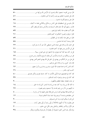| قال موسى لقومه استعينوا بالله واصبروا إن الأرض لله يورثها من .                                                      |
|---------------------------------------------------------------------------------------------------------------------|
| قال هل علمتم ما فعلتم بيوسف وأخيه إذ أنتم حاهلون.                                                                   |
| قال هل يسمعونكم إذ تدعون<br>$\circ \wedge$<br>.                                                                     |
| قال ياموسى إيي اصطفيتك على الناس برسالاتي وبكلامي فخذ ما آتيتك<br>1 \                                               |
| قالت رسلهم أفي الله شك فاطر السماوات والأرض يدعوكم ليغفر لكم .<br>TV                                                |
| قالوا أأنت فعلت هذا بآلهتنا ياإبراهيم                                                                               |
| قالوا حرقوه وانصروا ألهتكم إن كنتم فاعلين                                                                           |
| قالوا من فعل هذا بآلهتنا إنه لمن الظالمين.                                                                          |
|                                                                                                                     |
| قل الحمد لله وسلام على عباده الذين اصطفى آلله خير أم ما يشركون  ٢٢                                                  |
|                                                                                                                     |
| قل لو كان معه آلهة كما يقولون إذا لابتغوا إلى ذي العرش سبيلا ١٥                                                     |
| قل من يرزقكم من السماء والأرض أمن يملك السمع والأبصار ومن يخرج .<br>$\mathbf{Y} \mathbf{Y} \dots \dots \dots \dots$ |
| قل هل من شركائكم من يهدي إلى الحق قل الله يهدي للحق أفمن يهدي<br>$\mathbf{Y} \mathbf{Y} \dots \dots \dots \dots$    |
| $\mathbf{W}$                                                                                                        |
| كان الناس أمة واحدة فبعث الله النبيين مبشرين ومنذرين وأنزل معهم .<br>77                                             |
| $\mathbf{Y}^{\mathsf{T}}$                                                                                           |
| لقد كان في قصصهم عبرة لأولي الألباب ما كان حديثا يفترى ولكن تصديق<br>$\epsilon$                                     |
|                                                                                                                     |
|                                                                                                                     |
| ما اتخذ الله من ولد وما كان معه من إله إذا لذهب كل إله بما خلق ١٤                                                   |
|                                                                                                                     |
|                                                                                                                     |
| نحن خلقناهم وشددنا أسرهم وإذا شئنا بدلنا أمثالهم تبديلا ……………………………… ١٢                                             |
|                                                                                                                     |
| هل ينظرون إلا أن تأتيهم الملائكة أو يأتي ربك أو يأتي بعض آيات  ١٧                                                   |
|                                                                                                                     |
| وإذ يمكر بك الذين كفروا ليثبتوك أو يقتلوك أو يخرجوك ويمكرون ويمكر  ٣٨                                               |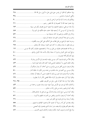| وإذا حاءتمم آية قالوا لن نؤمن حتى نؤتى مثل ما أوتي رسل الله الله  ٢٨                                                     |
|--------------------------------------------------------------------------------------------------------------------------|
|                                                                                                                          |
|                                                                                                                          |
|                                                                                                                          |
| وأن هذا صراطي مستقيما فاتبعوه ولا تتبعوا السبل فتفرق بكم عن سبيله  ٣٣                                                    |
| وأوحينا إلى أم موسى أن أرضعيه فإذا خفت عليه فألقيه في اليم ولا  ٤٥                                                       |
|                                                                                                                          |
|                                                                                                                          |
| وحرمنا عليه المراضع من قبل فقالت هل أدلكم على أهل بيت يكفلونه ٤٦                                                         |
| وربك يخلق ما يشاء ويختار ما كان لهم الخيرة سبحان الله وتعالى ……………………… ٢٥                                                |
| ورسلا قد قصصناهم عليك من قبل ورسلا لم نقصصهم عليك وكلم الله موسى ………… ١٧                                                 |
| ورفع أبويه على العرش وخروا له سحدا وقال ياأبت هذا تأويل رؤياي .                                                          |
|                                                                                                                          |
| $69$<br>وقال الملأ من قوم فرعون أتذر موسى وقومه ليفسدوا في الأرض ويذرك                                                   |
| وقال الملك ائتوىي به أستخلصه لنفسي فلما كلمه قال إنك اليوم لدينا….<br>$\epsilon$ ۳                                       |
| وقال فرعون ذرويي أقتل موسى وليدع ربه إيي أخاف أن يبدل دينكم أو  ٤٩                                                       |
| وقال موسى ربي أعلم بمن حاء بالهدى من عنده ومن تكون له عاقبة الدار .<br>$\circ \cdot \dots \dots \dots \dots \dots \dots$ |
| وقالت امرأة فرعون قرة عين لي ولك لا تقتلوه عسى أن ينفعنا أو نتخذه.<br>$\epsilon$ ,                                       |
| وقالوا لولا أنزل عليه ملك ولو أنزلنا ملكا لقضي الأمر ثم لا ينظرون  ٢٩                                                    |
| وقالوا لولا نزل هذا القرآن على رحل من القريتين عظيم  ٢٨ ٢٨                                                               |
| وكذلك مكنا ليوسف في الأرض يتبوأ منها حيث يشاء نصيب برحمتنا من  ٤٣                                                        |
|                                                                                                                          |
|                                                                                                                          |
| ولقد أخذنا آل فرعون بالسنين ونقص من الثمرات لعلهم يذكرون  ٥١                                                             |
|                                                                                                                          |
| ولقد بعثنا في كل أمة رسولا أن اعبدوا الله واحتنبوا الطاغوت فمنهم  ٥٥                                                     |
| ولقد نعلم أفمم يقولون إنما يعلمه بشر لسان الذي يلحدون إليه أعجمي  ٣٩                                                     |
| ولما بلغ أشده واستوى آتيناه حكما وعلما وكذلك نجزي المحسنين ٤٧                                                            |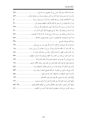| ولما توجه تلقاء مدين قال عسى ربي أن يهديني سواء السبيل  ٤٨                     |
|--------------------------------------------------------------------------------|
| ولما ورد ماء مدين وحد عليه أمة من الناس يسقون ووحد من دونهم امرأتين  ٤٧        |
| ولو أنا أهلكناهم بعذاب من قبله لقالوا ربنا لولا أرسلت إلينا رسولا  £           |
| وما أرسلنا قبلك من المرسلين إلا إنهم ليأكلون الطعام ويمشون في  ٣٠              |
| وما أرسلنا من رسول إلا بلسان قومه ليبين لهم فيضل الله من يشاء ……………………… ٢٩     |
| وما أرسلنا من قبلك إلا رحالا نوحي إليهم فاسألوا أهل الذكر إن ٣٠                |
| وما أرسلنا من قبلك من رسول إلا نوحي إليه أنه لا إله إلا أنا فاعبدون ٥٦         |
| وما أمروا إلا ليعبدوا الله مخلصين له الدين حنفاء ويقيموا الصلاة ٥٦             |
|                                                                                |
| وما قدروا الله حق قدره إذ قالوا ما أنزل الله على بشر من شيء قل ٢٧              |
| وما كان لبشر أن يكلمه الله إلا وحيا أو من وراء حجاب أو يرسل رسولا<br>11        |
| وما كنت بجانب الطور إذ نادينا ولكن رحمة من ربك لتنذر قوما ما  ٤٤               |
| وما كنت تتلو من قبله من كتاب ولا تخطه بيمينك إذا لارتاب المبطلون.<br><b>TV</b> |
| وما منع الناس أن يؤمنوا إذ حاءهم الهدى إلا أن قالوا أبعث الله …….<br>$79$      |
| ونادى فرعون في قومه قال ياقوم أليس لي ملك مصر وهذه الألهار تحري  ٢٨            |
| ياأبت إيي أخاف أن يمسك عذاب من الرحمن فتكون للشيطان وليا<br>$\circ$ {          |
| ياأبت إني قد حاءني من العلم ما لم يأتك فاتبعني أهدك صراطا سويا  ٥٣             |
|                                                                                |
|                                                                                |
| ياأيها الذين آمنوا اتقوا الله حق تقاته ولا تموتن إلا وأنتم مسلمون  ٢٢          |
| ياأيها الناس اعبدوا ربكم الذي خلقكم والذين من قبلكم لعلكم تتقون  ٢٢، ٥٧        |
| يوسف أعرض عن هذا واستغفري لذنبك إنك كنت من الخاطئين  ١٤                        |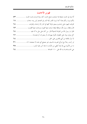## فهرس الأحاديث

| ألا وإن في الجسد مضغة إذا صلحت صلح الجسد كله، وإذا فسدت فسد الجسد<br>$\circ \mathbf{r}$                        |
|----------------------------------------------------------------------------------------------------------------|
| إنكم ترون ربكم عيانا كما ترون القمر ليلة البدر في الصحو ليس بينه سحاب<br>11                                    |
| افترقت اليهود على إحدى وسبعين فرقة كلها في النار إلا واحدة، وافترقت<br>$\mathcal{L}$                           |
| قال وعظنا رسول الله، موعظة بليغة، ذرفت منها العيون، ووحلت منها القلوب،<br>$\mathbf{v} = \mathbf{v} \mathbf{v}$ |
| قالوا يا رسول الله من الفرقة الناجية؟ قال  من كان على مثل ما أنا عليه<br>$\mathcal{L}$                         |
| كل مولود يولد على الفطرة، فأبواه يهودانه، أو ينصرانه، أو يمجسانه<br>77                                         |
|                                                                                                                |
| لو رأيت رحلا مع امرأتي لضربته بالسيف غير مصفح أي بحده لا صفحته؛ ٥٦<br>$T1$                                     |
| ما من الأنبياء نبي إلا وقد أعطي من الآيات ما مثله آمن عليه البشر، ……<br>$r \circ \ldots \circ \cdots$          |
|                                                                                                                |